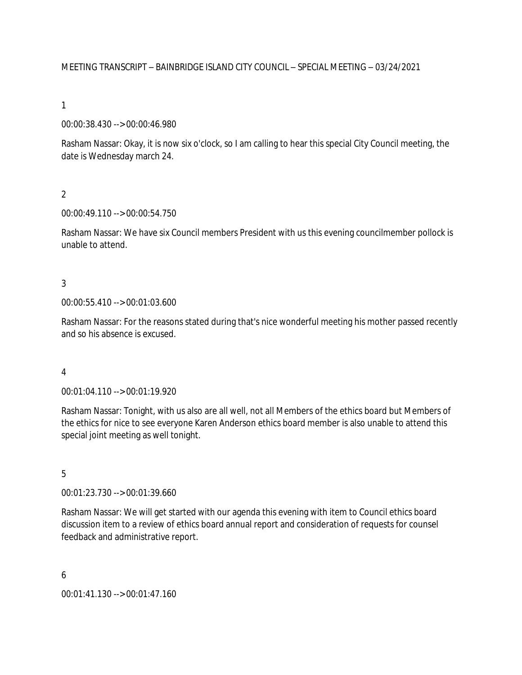MEETING TRANSCRIPT – BAINBRIDGE ISLAND CITY COUNCIL – SPECIAL MEETING – 03/24/2021

1

00:00:38.430 --> 00:00:46.980

Rasham Nassar: Okay, it is now six o'clock, so I am calling to hear this special City Council meeting, the date is Wednesday march 24.

 $\overline{2}$ 

00:00:49.110 --> 00:00:54.750

Rasham Nassar: We have six Council members President with us this evening councilmember pollock is unable to attend.

### 3

00:00:55.410 --> 00:01:03.600

Rasham Nassar: For the reasons stated during that's nice wonderful meeting his mother passed recently and so his absence is excused.

#### 4

00:01:04.110 --> 00:01:19.920

Rasham Nassar: Tonight, with us also are all well, not all Members of the ethics board but Members of the ethics for nice to see everyone Karen Anderson ethics board member is also unable to attend this special joint meeting as well tonight.

#### 5

00:01:23.730 --> 00:01:39.660

Rasham Nassar: We will get started with our agenda this evening with item to Council ethics board discussion item to a review of ethics board annual report and consideration of requests for counsel feedback and administrative report.

#### 6

00:01:41.130 --> 00:01:47.160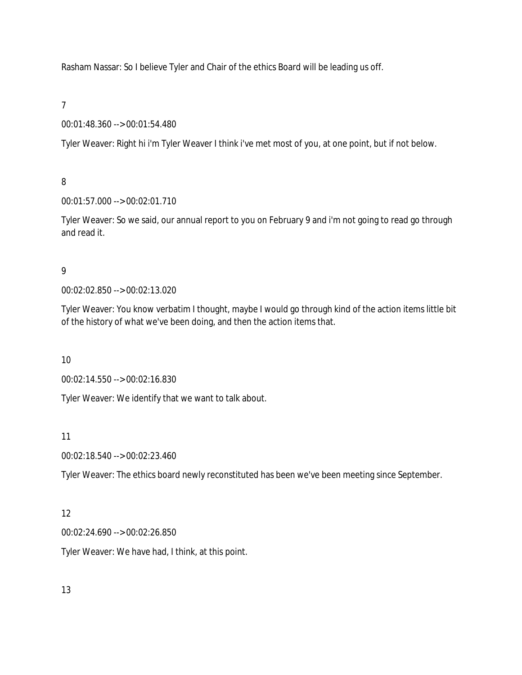Rasham Nassar: So I believe Tyler and Chair of the ethics Board will be leading us off.

7

00:01:48.360 --> 00:01:54.480

Tyler Weaver: Right hi i'm Tyler Weaver I think i've met most of you, at one point, but if not below.

8

00:01:57.000 --> 00:02:01.710

Tyler Weaver: So we said, our annual report to you on February 9 and i'm not going to read go through and read it.

9

00:02:02.850 --> 00:02:13.020

Tyler Weaver: You know verbatim I thought, maybe I would go through kind of the action items little bit of the history of what we've been doing, and then the action items that.

10

00:02:14.550 --> 00:02:16.830

Tyler Weaver: We identify that we want to talk about.

11

00:02:18.540 --> 00:02:23.460

Tyler Weaver: The ethics board newly reconstituted has been we've been meeting since September.

# 12

00:02:24.690 --> 00:02:26.850

Tyler Weaver: We have had, I think, at this point.

13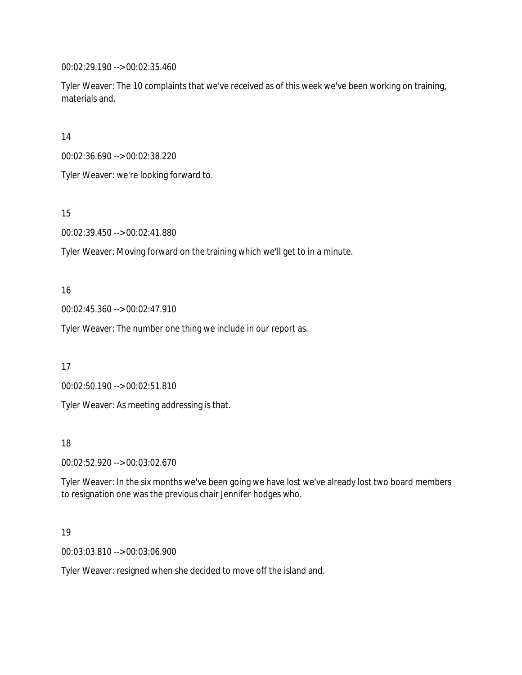00:02:29.190 --> 00:02:35.460

Tyler Weaver: The 10 complaints that we've received as of this week we've been working on training, materials and.

14

00:02:36.690 --> 00:02:38.220

Tyler Weaver: we're looking forward to.

15

00:02:39.450 --> 00:02:41.880

Tyler Weaver: Moving forward on the training which we'll get to in a minute.

### 16

00:02:45.360 --> 00:02:47.910

Tyler Weaver: The number one thing we include in our report as.

17

00:02:50.190 --> 00:02:51.810

Tyler Weaver: As meeting addressing is that.

#### 18

00:02:52.920 --> 00:03:02.670

Tyler Weaver: In the six months we've been going we have lost we've already lost two board members to resignation one was the previous chair Jennifer hodges who.

#### 19

00:03:03.810 --> 00:03:06.900

Tyler Weaver: resigned when she decided to move off the island and.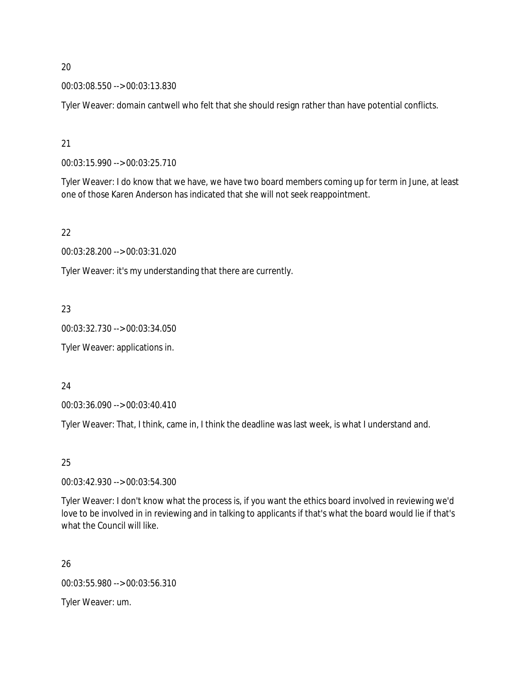00:03:08.550 --> 00:03:13.830

Tyler Weaver: domain cantwell who felt that she should resign rather than have potential conflicts.

21

00:03:15.990 --> 00:03:25.710

Tyler Weaver: I do know that we have, we have two board members coming up for term in June, at least one of those Karen Anderson has indicated that she will not seek reappointment.

22

00:03:28.200 --> 00:03:31.020

Tyler Weaver: it's my understanding that there are currently.

23

00:03:32.730 --> 00:03:34.050

Tyler Weaver: applications in.

24

00:03:36.090 --> 00:03:40.410

Tyler Weaver: That, I think, came in, I think the deadline was last week, is what I understand and.

25

00:03:42.930 --> 00:03:54.300

Tyler Weaver: I don't know what the process is, if you want the ethics board involved in reviewing we'd love to be involved in in reviewing and in talking to applicants if that's what the board would lie if that's what the Council will like.

26

00:03:55.980 --> 00:03:56.310

Tyler Weaver: um.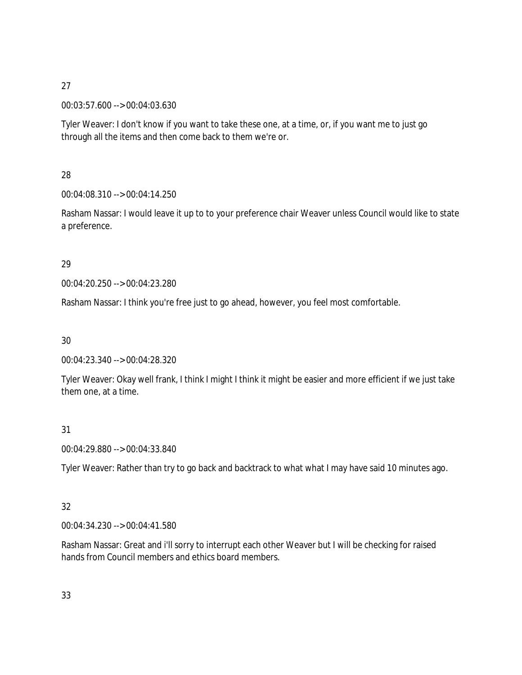00:03:57.600 --> 00:04:03.630

Tyler Weaver: I don't know if you want to take these one, at a time, or, if you want me to just go through all the items and then come back to them we're or.

28

00:04:08.310 --> 00:04:14.250

Rasham Nassar: I would leave it up to to your preference chair Weaver unless Council would like to state a preference.

# 29

00:04:20.250 --> 00:04:23.280

Rasham Nassar: I think you're free just to go ahead, however, you feel most comfortable.

30

00:04:23.340 --> 00:04:28.320

Tyler Weaver: Okay well frank, I think I might I think it might be easier and more efficient if we just take them one, at a time.

31

00:04:29.880 --> 00:04:33.840

Tyler Weaver: Rather than try to go back and backtrack to what what I may have said 10 minutes ago.

# 32

00:04:34.230 --> 00:04:41.580

Rasham Nassar: Great and i'll sorry to interrupt each other Weaver but I will be checking for raised hands from Council members and ethics board members.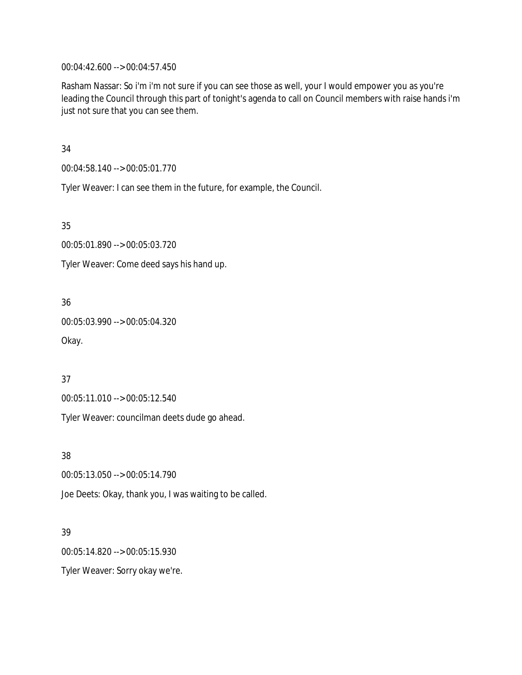00:04:42.600 --> 00:04:57.450

Rasham Nassar: So i'm i'm not sure if you can see those as well, your I would empower you as you're leading the Council through this part of tonight's agenda to call on Council members with raise hands i'm just not sure that you can see them.

34

00:04:58.140 --> 00:05:01.770

Tyler Weaver: I can see them in the future, for example, the Council.

35

00:05:01.890 --> 00:05:03.720

Tyler Weaver: Come deed says his hand up.

36

00:05:03.990 --> 00:05:04.320

Okay.

37

00:05:11.010 --> 00:05:12.540

Tyler Weaver: councilman deets dude go ahead.

38

00:05:13.050 --> 00:05:14.790

Joe Deets: Okay, thank you, I was waiting to be called.

39

00:05:14.820 --> 00:05:15.930

Tyler Weaver: Sorry okay we're.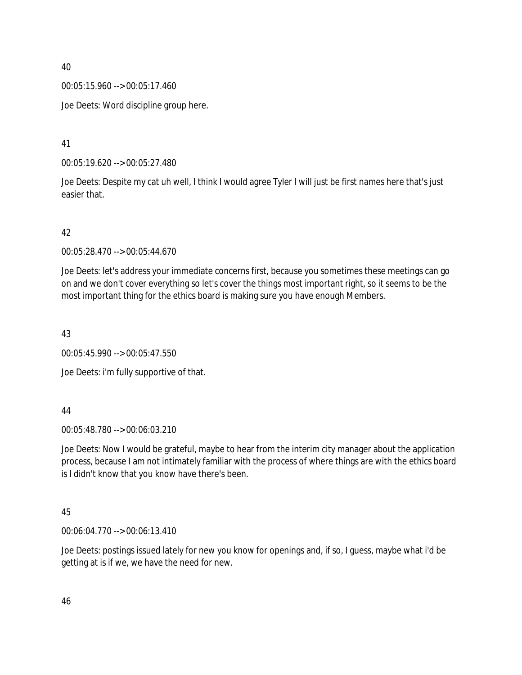00:05:15.960 --> 00:05:17.460

Joe Deets: Word discipline group here.

41

00:05:19.620 --> 00:05:27.480

Joe Deets: Despite my cat uh well, I think I would agree Tyler I will just be first names here that's just easier that.

# 42

00:05:28.470 --> 00:05:44.670

Joe Deets: let's address your immediate concerns first, because you sometimes these meetings can go on and we don't cover everything so let's cover the things most important right, so it seems to be the most important thing for the ethics board is making sure you have enough Members.

43

00:05:45.990 --> 00:05:47.550

Joe Deets: i'm fully supportive of that.

#### 44

00:05:48.780 --> 00:06:03.210

Joe Deets: Now I would be grateful, maybe to hear from the interim city manager about the application process, because I am not intimately familiar with the process of where things are with the ethics board is I didn't know that you know have there's been.

# 45

00:06:04.770 --> 00:06:13.410

Joe Deets: postings issued lately for new you know for openings and, if so, I guess, maybe what i'd be getting at is if we, we have the need for new.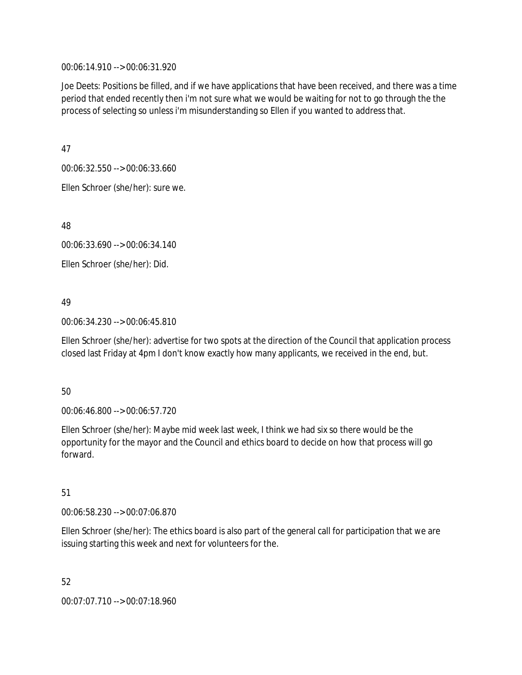00:06:14.910 --> 00:06:31.920

Joe Deets: Positions be filled, and if we have applications that have been received, and there was a time period that ended recently then i'm not sure what we would be waiting for not to go through the the process of selecting so unless i'm misunderstanding so Ellen if you wanted to address that.

47

00:06:32.550 --> 00:06:33.660

Ellen Schroer (she/her): sure we.

48

00:06:33.690 --> 00:06:34.140

Ellen Schroer (she/her): Did.

# 49

00:06:34.230 --> 00:06:45.810

Ellen Schroer (she/her): advertise for two spots at the direction of the Council that application process closed last Friday at 4pm I don't know exactly how many applicants, we received in the end, but.

# 50

00:06:46.800 --> 00:06:57.720

Ellen Schroer (she/her): Maybe mid week last week, I think we had six so there would be the opportunity for the mayor and the Council and ethics board to decide on how that process will go forward.

# 51

00:06:58.230 --> 00:07:06.870

Ellen Schroer (she/her): The ethics board is also part of the general call for participation that we are issuing starting this week and next for volunteers for the.

52 00:07:07.710 --> 00:07:18.960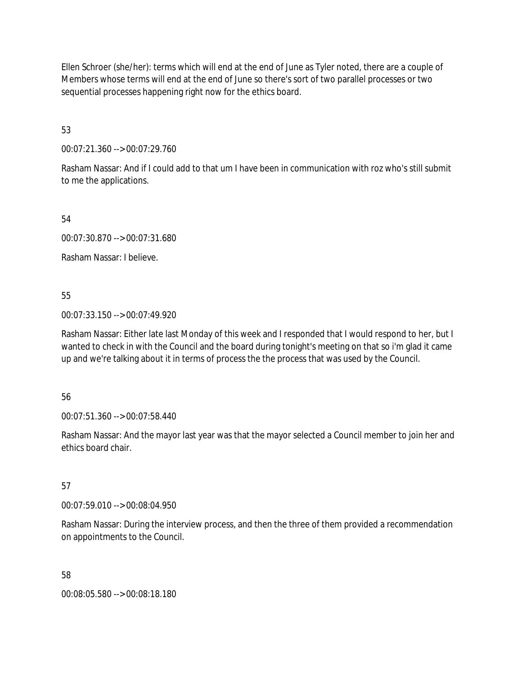Ellen Schroer (she/her): terms which will end at the end of June as Tyler noted, there are a couple of Members whose terms will end at the end of June so there's sort of two parallel processes or two sequential processes happening right now for the ethics board.

53

00:07:21.360 --> 00:07:29.760

Rasham Nassar: And if I could add to that um I have been in communication with roz who's still submit to me the applications.

54

00:07:30.870 --> 00:07:31.680

Rasham Nassar: I believe.

55

00:07:33.150 --> 00:07:49.920

Rasham Nassar: Either late last Monday of this week and I responded that I would respond to her, but I wanted to check in with the Council and the board during tonight's meeting on that so i'm glad it came up and we're talking about it in terms of process the the process that was used by the Council.

56

00:07:51.360 --> 00:07:58.440

Rasham Nassar: And the mayor last year was that the mayor selected a Council member to join her and ethics board chair.

57

00:07:59.010 --> 00:08:04.950

Rasham Nassar: During the interview process, and then the three of them provided a recommendation on appointments to the Council.

58

00:08:05.580 --> 00:08:18.180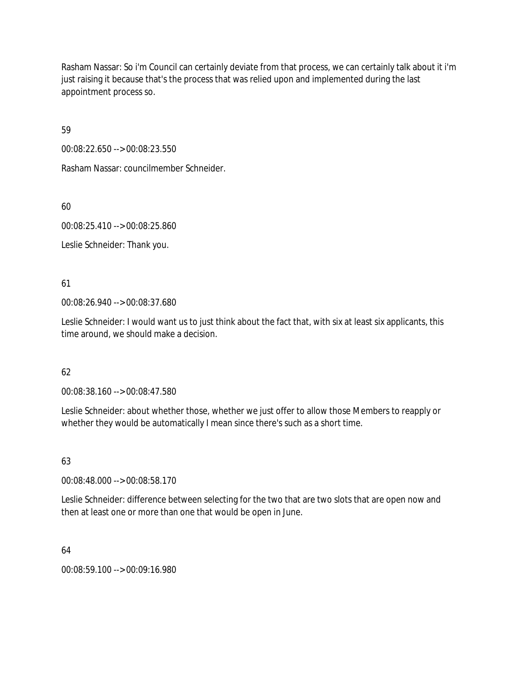Rasham Nassar: So i'm Council can certainly deviate from that process, we can certainly talk about it i'm just raising it because that's the process that was relied upon and implemented during the last appointment process so.

59

00:08:22.650 --> 00:08:23.550

Rasham Nassar: councilmember Schneider.

60

00:08:25.410 --> 00:08:25.860

Leslie Schneider: Thank you.

61

00:08:26.940 --> 00:08:37.680

Leslie Schneider: I would want us to just think about the fact that, with six at least six applicants, this time around, we should make a decision.

# 62

00:08:38.160 --> 00:08:47.580

Leslie Schneider: about whether those, whether we just offer to allow those Members to reapply or whether they would be automatically I mean since there's such as a short time.

# 63

00:08:48.000 --> 00:08:58.170

Leslie Schneider: difference between selecting for the two that are two slots that are open now and then at least one or more than one that would be open in June.

# 64

00:08:59.100 --> 00:09:16.980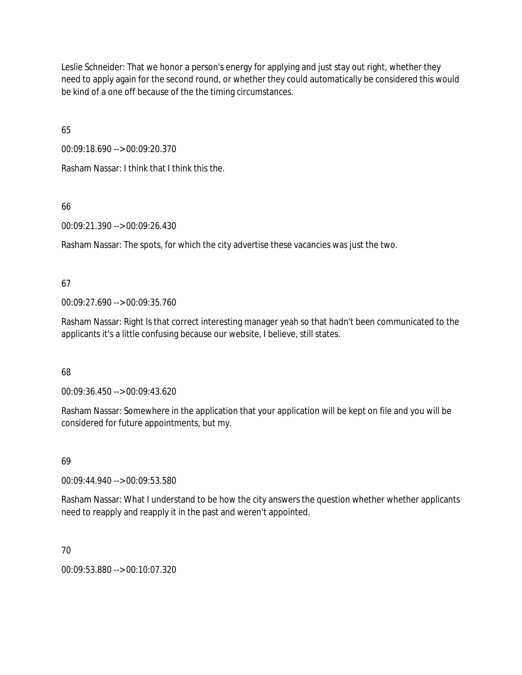Leslie Schneider: That we honor a person's energy for applying and just stay out right, whether they need to apply again for the second round, or whether they could automatically be considered this would be kind of a one off because of the the timing circumstances.

65

00:09:18.690 --> 00:09:20.370

Rasham Nassar: I think that I think this the.

66

00:09:21.390 --> 00:09:26.430

Rasham Nassar: The spots, for which the city advertise these vacancies was just the two.

67

00:09:27.690 --> 00:09:35.760

Rasham Nassar: Right Is that correct interesting manager yeah so that hadn't been communicated to the applicants it's a little confusing because our website, I believe, still states.

68

00:09:36.450 --> 00:09:43.620

Rasham Nassar: Somewhere in the application that your application will be kept on file and you will be considered for future appointments, but my.

69

00:09:44.940 --> 00:09:53.580

Rasham Nassar: What I understand to be how the city answers the question whether whether applicants need to reapply and reapply it in the past and weren't appointed.

70

00:09:53.880 --> 00:10:07.320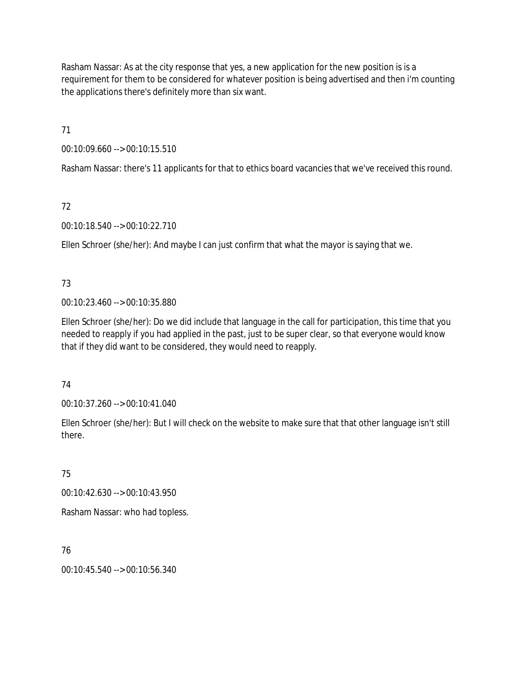Rasham Nassar: As at the city response that yes, a new application for the new position is is a requirement for them to be considered for whatever position is being advertised and then i'm counting the applications there's definitely more than six want.

71

00:10:09.660 --> 00:10:15.510

Rasham Nassar: there's 11 applicants for that to ethics board vacancies that we've received this round.

# 72

00:10:18.540 --> 00:10:22.710

Ellen Schroer (she/her): And maybe I can just confirm that what the mayor is saying that we.

# 73

00:10:23.460 --> 00:10:35.880

Ellen Schroer (she/her): Do we did include that language in the call for participation, this time that you needed to reapply if you had applied in the past, just to be super clear, so that everyone would know that if they did want to be considered, they would need to reapply.

# 74

00:10:37.260 --> 00:10:41.040

Ellen Schroer (she/her): But I will check on the website to make sure that that other language isn't still there.

# 75

00:10:42.630 --> 00:10:43.950

Rasham Nassar: who had topless.

# 76

00:10:45.540 --> 00:10:56.340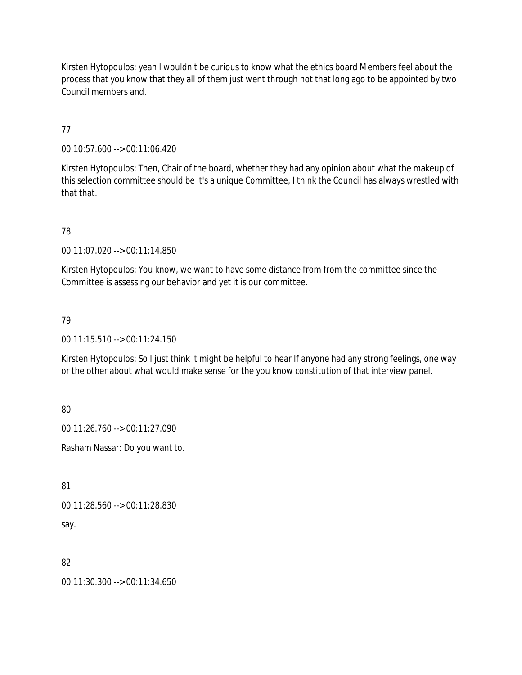Kirsten Hytopoulos: yeah I wouldn't be curious to know what the ethics board Members feel about the process that you know that they all of them just went through not that long ago to be appointed by two Council members and.

77

00:10:57.600 --> 00:11:06.420

Kirsten Hytopoulos: Then, Chair of the board, whether they had any opinion about what the makeup of this selection committee should be it's a unique Committee, I think the Council has always wrestled with that that.

78

00:11:07.020 --> 00:11:14.850

Kirsten Hytopoulos: You know, we want to have some distance from from the committee since the Committee is assessing our behavior and yet it is our committee.

### 79

00:11:15.510 --> 00:11:24.150

Kirsten Hytopoulos: So I just think it might be helpful to hear If anyone had any strong feelings, one way or the other about what would make sense for the you know constitution of that interview panel.

80

00:11:26.760 --> 00:11:27.090

Rasham Nassar: Do you want to.

81

```
00:11:28.560 --> 00:11:28.830
```
say.

82

00:11:30.300 --> 00:11:34.650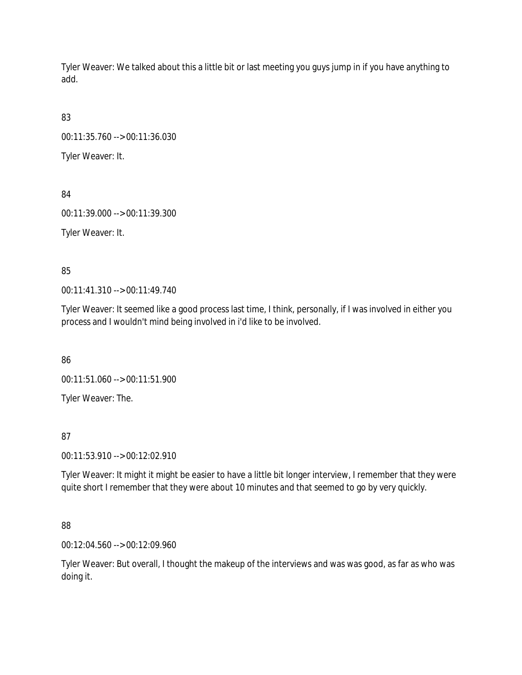Tyler Weaver: We talked about this a little bit or last meeting you guys jump in if you have anything to add.

83

00:11:35.760 --> 00:11:36.030

Tyler Weaver: It.

84

00:11:39.000 --> 00:11:39.300

Tyler Weaver: It.

85

00:11:41.310 --> 00:11:49.740

Tyler Weaver: It seemed like a good process last time, I think, personally, if I was involved in either you process and I wouldn't mind being involved in i'd like to be involved.

86

00:11:51.060 --> 00:11:51.900

Tyler Weaver: The.

87

00:11:53.910 --> 00:12:02.910

Tyler Weaver: It might it might be easier to have a little bit longer interview, I remember that they were quite short I remember that they were about 10 minutes and that seemed to go by very quickly.

88

00:12:04.560 --> 00:12:09.960

Tyler Weaver: But overall, I thought the makeup of the interviews and was was good, as far as who was doing it.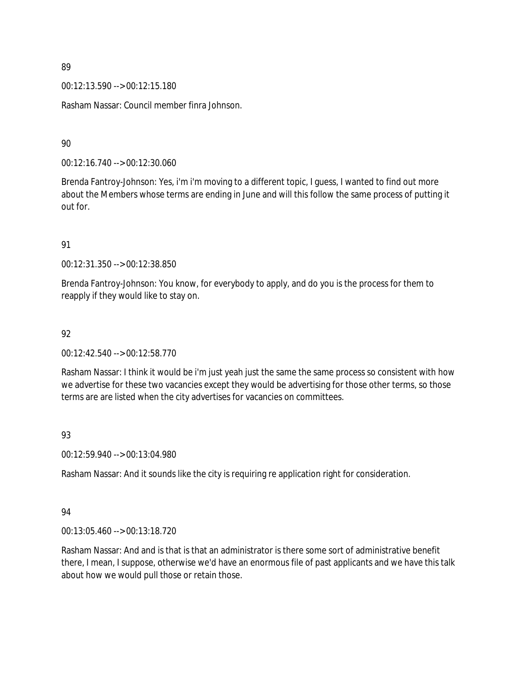00:12:13.590 --> 00:12:15.180

Rasham Nassar: Council member finra Johnson.

90

00:12:16.740 --> 00:12:30.060

Brenda Fantroy-Johnson: Yes, i'm i'm moving to a different topic, I guess, I wanted to find out more about the Members whose terms are ending in June and will this follow the same process of putting it out for.

91

00:12:31.350 --> 00:12:38.850

Brenda Fantroy-Johnson: You know, for everybody to apply, and do you is the process for them to reapply if they would like to stay on.

### 92

00:12:42.540 --> 00:12:58.770

Rasham Nassar: I think it would be i'm just yeah just the same the same process so consistent with how we advertise for these two vacancies except they would be advertising for those other terms, so those terms are are listed when the city advertises for vacancies on committees.

# 93

00:12:59.940 --> 00:13:04.980

Rasham Nassar: And it sounds like the city is requiring re application right for consideration.

# 94

00:13:05.460 --> 00:13:18.720

Rasham Nassar: And and is that is that an administrator is there some sort of administrative benefit there, I mean, I suppose, otherwise we'd have an enormous file of past applicants and we have this talk about how we would pull those or retain those.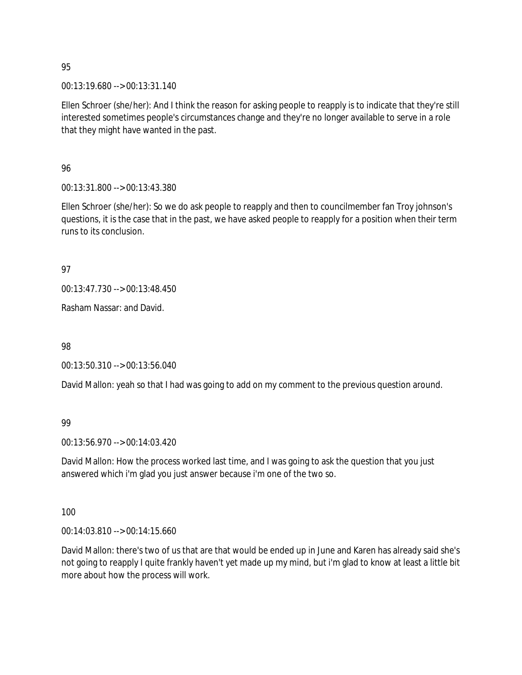00:13:19.680 --> 00:13:31.140

Ellen Schroer (she/her): And I think the reason for asking people to reapply is to indicate that they're still interested sometimes people's circumstances change and they're no longer available to serve in a role that they might have wanted in the past.

96

00:13:31.800 --> 00:13:43.380

Ellen Schroer (she/her): So we do ask people to reapply and then to councilmember fan Troy johnson's questions, it is the case that in the past, we have asked people to reapply for a position when their term runs to its conclusion.

97

00:13:47.730 --> 00:13:48.450

Rasham Nassar: and David.

98

00:13:50.310 --> 00:13:56.040

David Mallon: yeah so that I had was going to add on my comment to the previous question around.

99

00:13:56.970 --> 00:14:03.420

David Mallon: How the process worked last time, and I was going to ask the question that you just answered which i'm glad you just answer because i'm one of the two so.

100

00:14:03.810 --> 00:14:15.660

David Mallon: there's two of us that are that would be ended up in June and Karen has already said she's not going to reapply I quite frankly haven't yet made up my mind, but i'm glad to know at least a little bit more about how the process will work.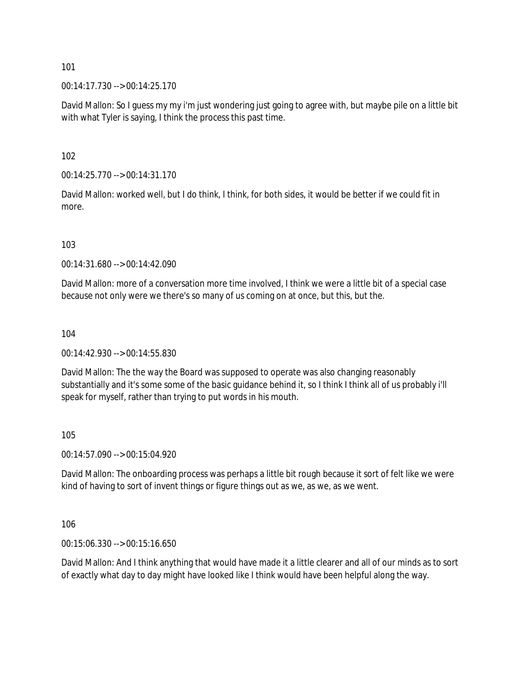00:14:17.730 --> 00:14:25.170

David Mallon: So I guess my my i'm just wondering just going to agree with, but maybe pile on a little bit with what Tyler is saying, I think the process this past time.

102

00:14:25.770 --> 00:14:31.170

David Mallon: worked well, but I do think, I think, for both sides, it would be better if we could fit in more.

103

00:14:31.680 --> 00:14:42.090

David Mallon: more of a conversation more time involved, I think we were a little bit of a special case because not only were we there's so many of us coming on at once, but this, but the.

104

00:14:42.930 --> 00:14:55.830

David Mallon: The the way the Board was supposed to operate was also changing reasonably substantially and it's some some of the basic quidance behind it, so I think I think all of us probably i'll speak for myself, rather than trying to put words in his mouth.

105

00:14:57.090 --> 00:15:04.920

David Mallon: The onboarding process was perhaps a little bit rough because it sort of felt like we were kind of having to sort of invent things or figure things out as we, as we, as we went.

106

00:15:06.330 --> 00:15:16.650

David Mallon: And I think anything that would have made it a little clearer and all of our minds as to sort of exactly what day to day might have looked like I think would have been helpful along the way.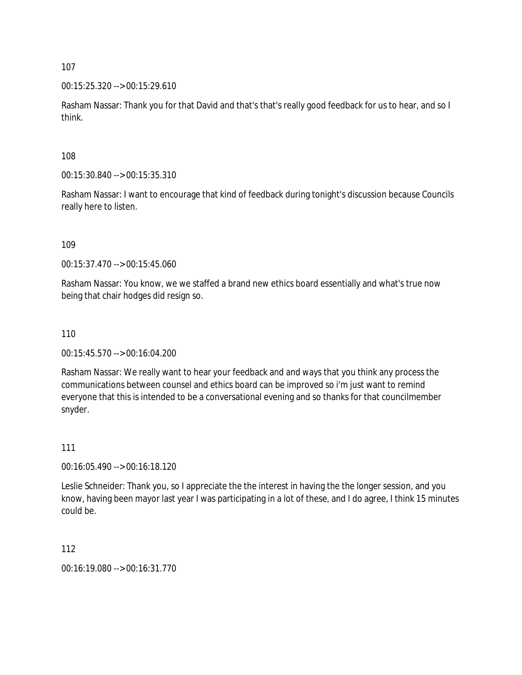00:15:25.320 --> 00:15:29.610

Rasham Nassar: Thank you for that David and that's that's really good feedback for us to hear, and so I think.

108

00:15:30.840 --> 00:15:35.310

Rasham Nassar: I want to encourage that kind of feedback during tonight's discussion because Councils really here to listen.

109

00:15:37.470 --> 00:15:45.060

Rasham Nassar: You know, we we staffed a brand new ethics board essentially and what's true now being that chair hodges did resign so.

#### 110

00:15:45.570 --> 00:16:04.200

Rasham Nassar: We really want to hear your feedback and and ways that you think any process the communications between counsel and ethics board can be improved so i'm just want to remind everyone that this is intended to be a conversational evening and so thanks for that councilmember snyder.

#### 111

00:16:05.490 --> 00:16:18.120

Leslie Schneider: Thank you, so I appreciate the the interest in having the the longer session, and you know, having been mayor last year I was participating in a lot of these, and I do agree, I think 15 minutes could be.

112

00:16:19.080 --> 00:16:31.770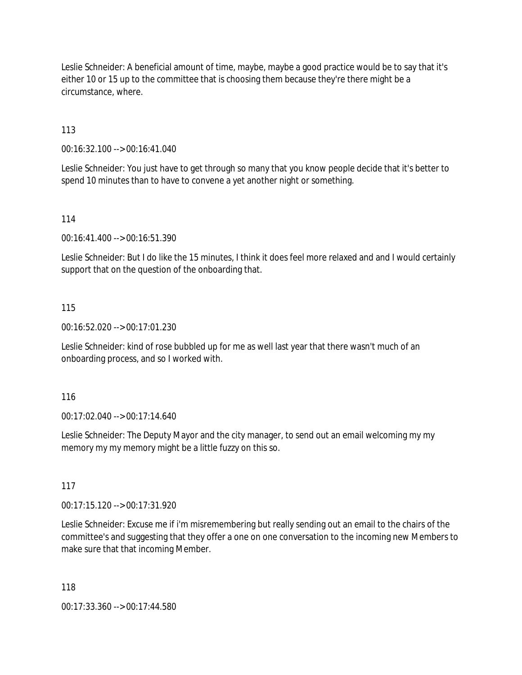Leslie Schneider: A beneficial amount of time, maybe, maybe a good practice would be to say that it's either 10 or 15 up to the committee that is choosing them because they're there might be a circumstance, where.

113

00:16:32.100 --> 00:16:41.040

Leslie Schneider: You just have to get through so many that you know people decide that it's better to spend 10 minutes than to have to convene a yet another night or something.

114

00:16:41.400 --> 00:16:51.390

Leslie Schneider: But I do like the 15 minutes, I think it does feel more relaxed and and I would certainly support that on the question of the onboarding that.

### 115

00:16:52.020 --> 00:17:01.230

Leslie Schneider: kind of rose bubbled up for me as well last year that there wasn't much of an onboarding process, and so I worked with.

116

00:17:02.040 --> 00:17:14.640

Leslie Schneider: The Deputy Mayor and the city manager, to send out an email welcoming my my memory my my memory might be a little fuzzy on this so.

117

00:17:15.120 --> 00:17:31.920

Leslie Schneider: Excuse me if i'm misremembering but really sending out an email to the chairs of the committee's and suggesting that they offer a one on one conversation to the incoming new Members to make sure that that incoming Member.

118

00:17:33.360 --> 00:17:44.580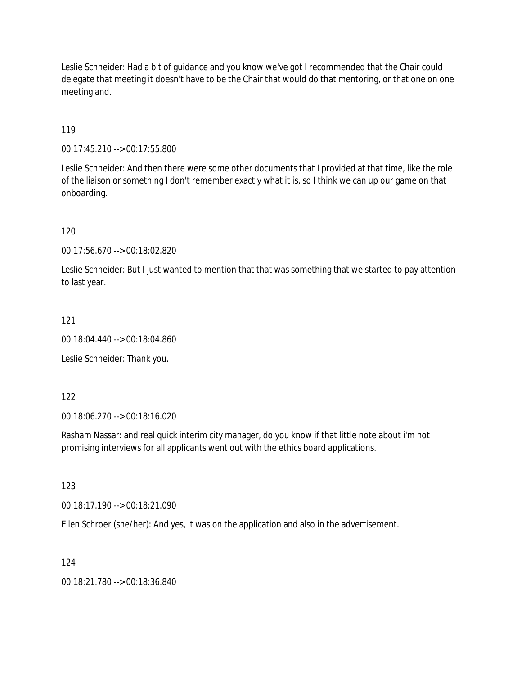Leslie Schneider: Had a bit of guidance and you know we've got I recommended that the Chair could delegate that meeting it doesn't have to be the Chair that would do that mentoring, or that one on one meeting and.

119

00:17:45.210 --> 00:17:55.800

Leslie Schneider: And then there were some other documents that I provided at that time, like the role of the liaison or something I don't remember exactly what it is, so I think we can up our game on that onboarding.

120

00:17:56.670 --> 00:18:02.820

Leslie Schneider: But I just wanted to mention that that was something that we started to pay attention to last year.

121

00:18:04.440 --> 00:18:04.860

Leslie Schneider: Thank you.

122

00:18:06.270 --> 00:18:16.020

Rasham Nassar: and real quick interim city manager, do you know if that little note about i'm not promising interviews for all applicants went out with the ethics board applications.

123

00:18:17.190 --> 00:18:21.090

Ellen Schroer (she/her): And yes, it was on the application and also in the advertisement.

124

00:18:21.780 --> 00:18:36.840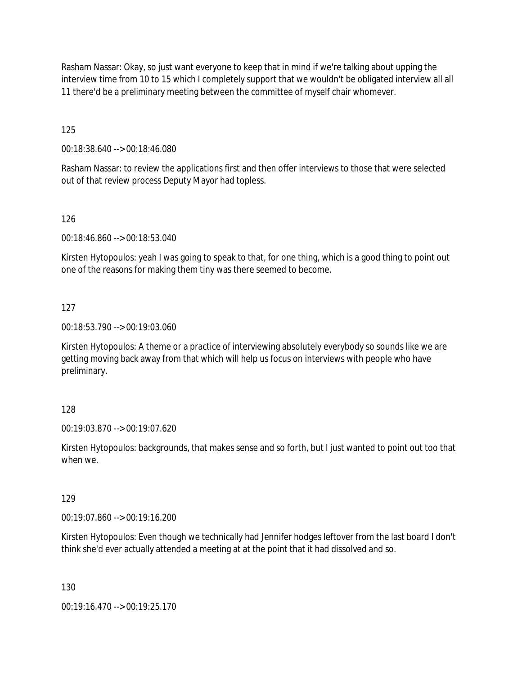Rasham Nassar: Okay, so just want everyone to keep that in mind if we're talking about upping the interview time from 10 to 15 which I completely support that we wouldn't be obligated interview all all 11 there'd be a preliminary meeting between the committee of myself chair whomever.

125

00:18:38.640 --> 00:18:46.080

Rasham Nassar: to review the applications first and then offer interviews to those that were selected out of that review process Deputy Mayor had topless.

126

00:18:46.860 --> 00:18:53.040

Kirsten Hytopoulos: yeah I was going to speak to that, for one thing, which is a good thing to point out one of the reasons for making them tiny was there seemed to become.

127

00:18:53.790 --> 00:19:03.060

Kirsten Hytopoulos: A theme or a practice of interviewing absolutely everybody so sounds like we are getting moving back away from that which will help us focus on interviews with people who have preliminary.

128

00:19:03.870 --> 00:19:07.620

Kirsten Hytopoulos: backgrounds, that makes sense and so forth, but I just wanted to point out too that when we.

129

00:19:07.860 --> 00:19:16.200

Kirsten Hytopoulos: Even though we technically had Jennifer hodges leftover from the last board I don't think she'd ever actually attended a meeting at at the point that it had dissolved and so.

130

00:19:16.470 --> 00:19:25.170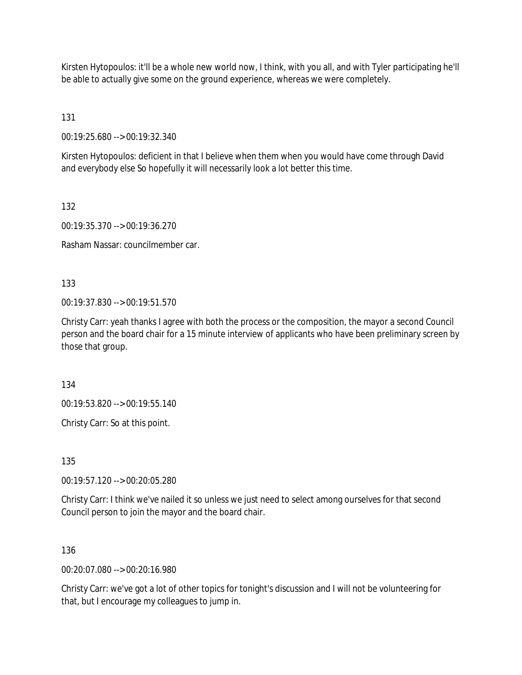Kirsten Hytopoulos: it'll be a whole new world now, I think, with you all, and with Tyler participating he'll be able to actually give some on the ground experience, whereas we were completely.

131

00:19:25.680 --> 00:19:32.340

Kirsten Hytopoulos: deficient in that I believe when them when you would have come through David and everybody else So hopefully it will necessarily look a lot better this time.

132

00:19:35.370 --> 00:19:36.270

Rasham Nassar: councilmember car.

133

00:19:37.830 --> 00:19:51.570

Christy Carr: yeah thanks I agree with both the process or the composition, the mayor a second Council person and the board chair for a 15 minute interview of applicants who have been preliminary screen by those that group.

134

00:19:53.820 --> 00:19:55.140

Christy Carr: So at this point.

135

00:19:57.120 --> 00:20:05.280

Christy Carr: I think we've nailed it so unless we just need to select among ourselves for that second Council person to join the mayor and the board chair.

136

00:20:07.080 --> 00:20:16.980

Christy Carr: we've got a lot of other topics for tonight's discussion and I will not be volunteering for that, but I encourage my colleagues to jump in.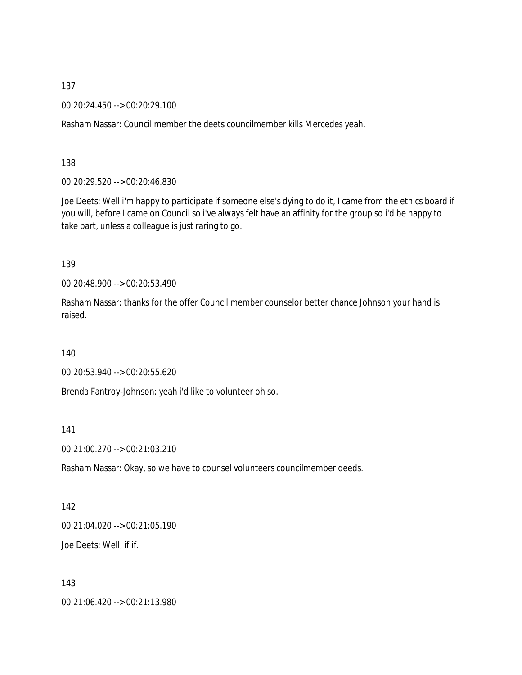00:20:24.450 --> 00:20:29.100

Rasham Nassar: Council member the deets councilmember kills Mercedes yeah.

138

00:20:29.520 --> 00:20:46.830

Joe Deets: Well i'm happy to participate if someone else's dying to do it, I came from the ethics board if you will, before I came on Council so i've always felt have an affinity for the group so i'd be happy to take part, unless a colleague is just raring to go.

139

00:20:48.900 --> 00:20:53.490

Rasham Nassar: thanks for the offer Council member counselor better chance Johnson your hand is raised.

140

00:20:53.940 --> 00:20:55.620

Brenda Fantroy-Johnson: yeah i'd like to volunteer oh so.

141

00:21:00.270 --> 00:21:03.210

Rasham Nassar: Okay, so we have to counsel volunteers councilmember deeds.

142 00:21:04.020 --> 00:21:05.190 Joe Deets: Well, if if.

143

00:21:06.420 --> 00:21:13.980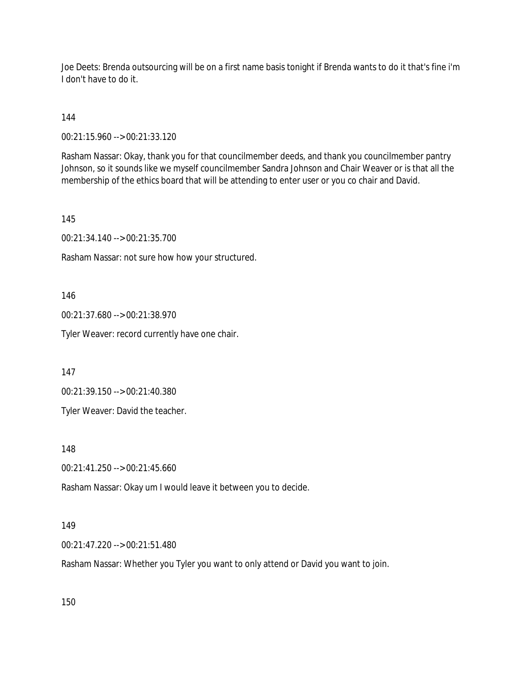Joe Deets: Brenda outsourcing will be on a first name basis tonight if Brenda wants to do it that's fine i'm I don't have to do it.

144

00:21:15.960 --> 00:21:33.120

Rasham Nassar: Okay, thank you for that councilmember deeds, and thank you councilmember pantry Johnson, so it sounds like we myself councilmember Sandra Johnson and Chair Weaver or is that all the membership of the ethics board that will be attending to enter user or you co chair and David.

145

00:21:34.140 --> 00:21:35.700

Rasham Nassar: not sure how how your structured.

146

00:21:37.680 --> 00:21:38.970

Tyler Weaver: record currently have one chair.

147

00:21:39.150 --> 00:21:40.380

Tyler Weaver: David the teacher.

148

00:21:41.250 --> 00:21:45.660

Rasham Nassar: Okay um I would leave it between you to decide.

#### 149

00:21:47.220 --> 00:21:51.480

Rasham Nassar: Whether you Tyler you want to only attend or David you want to join.

150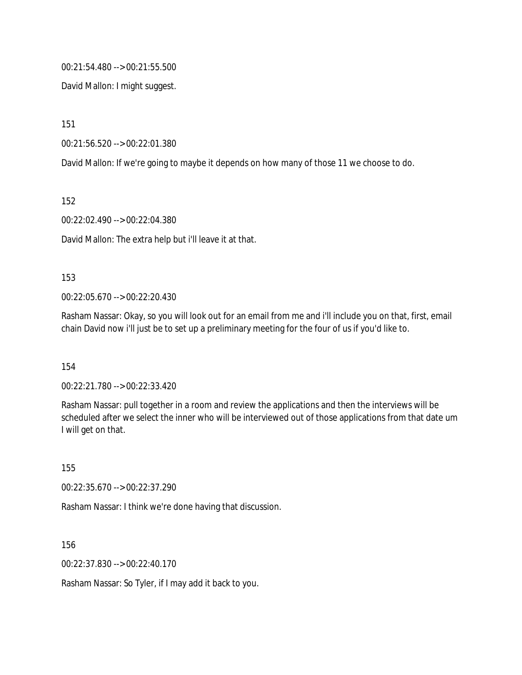00:21:54.480 --> 00:21:55.500

David Mallon: I might suggest.

151

00:21:56.520 --> 00:22:01.380

David Mallon: If we're going to maybe it depends on how many of those 11 we choose to do.

152

00:22:02.490 --> 00:22:04.380

David Mallon: The extra help but i'll leave it at that.

#### 153

00:22:05.670 --> 00:22:20.430

Rasham Nassar: Okay, so you will look out for an email from me and i'll include you on that, first, email chain David now i'll just be to set up a preliminary meeting for the four of us if you'd like to.

154

00:22:21.780 --> 00:22:33.420

Rasham Nassar: pull together in a room and review the applications and then the interviews will be scheduled after we select the inner who will be interviewed out of those applications from that date um I will get on that.

155

00:22:35.670 --> 00:22:37.290

Rasham Nassar: I think we're done having that discussion.

156

00:22:37.830 --> 00:22:40.170

Rasham Nassar: So Tyler, if I may add it back to you.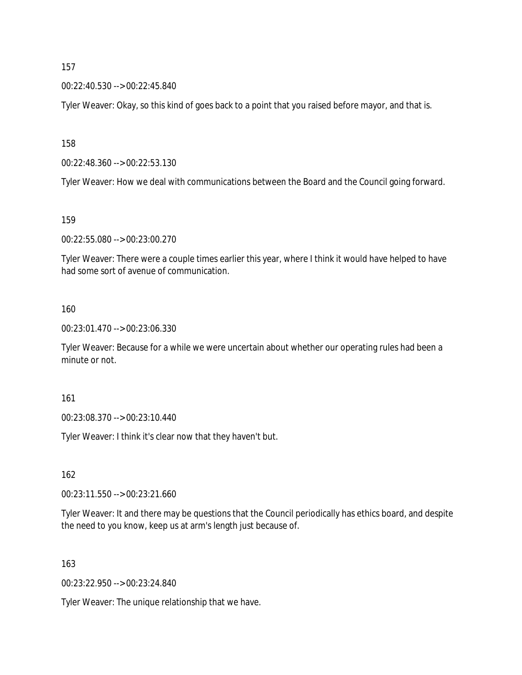00:22:40.530 --> 00:22:45.840

Tyler Weaver: Okay, so this kind of goes back to a point that you raised before mayor, and that is.

158

00:22:48.360 --> 00:22:53.130

Tyler Weaver: How we deal with communications between the Board and the Council going forward.

159

00:22:55.080 --> 00:23:00.270

Tyler Weaver: There were a couple times earlier this year, where I think it would have helped to have had some sort of avenue of communication.

160

00:23:01.470 --> 00:23:06.330

Tyler Weaver: Because for a while we were uncertain about whether our operating rules had been a minute or not.

161

00:23:08.370 --> 00:23:10.440

Tyler Weaver: I think it's clear now that they haven't but.

162

00:23:11.550 --> 00:23:21.660

Tyler Weaver: It and there may be questions that the Council periodically has ethics board, and despite the need to you know, keep us at arm's length just because of.

163

00:23:22.950 --> 00:23:24.840

Tyler Weaver: The unique relationship that we have.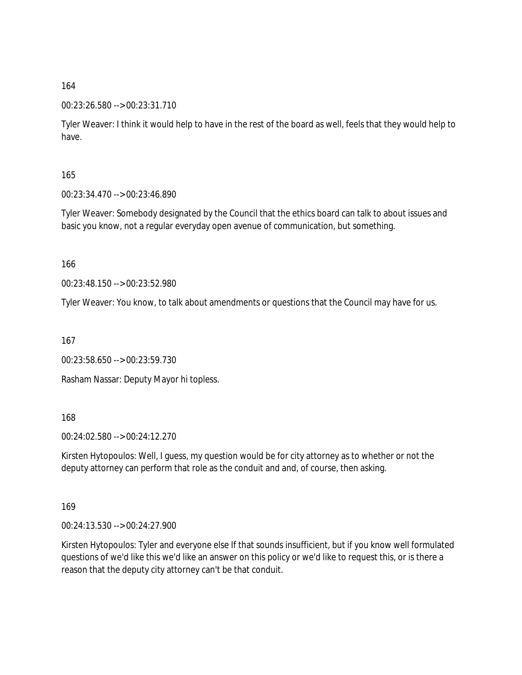#### 00:23:26.580 --> 00:23:31.710

Tyler Weaver: I think it would help to have in the rest of the board as well, feels that they would help to have.

165

00:23:34.470 --> 00:23:46.890

Tyler Weaver: Somebody designated by the Council that the ethics board can talk to about issues and basic you know, not a regular everyday open avenue of communication, but something.

166

00:23:48.150 --> 00:23:52.980

Tyler Weaver: You know, to talk about amendments or questions that the Council may have for us.

167

00:23:58.650 --> 00:23:59.730

Rasham Nassar: Deputy Mayor hi topless.

168

00:24:02.580 --> 00:24:12.270

Kirsten Hytopoulos: Well, I guess, my question would be for city attorney as to whether or not the deputy attorney can perform that role as the conduit and and, of course, then asking.

169

00:24:13.530 --> 00:24:27.900

Kirsten Hytopoulos: Tyler and everyone else If that sounds insufficient, but if you know well formulated questions of we'd like this we'd like an answer on this policy or we'd like to request this, or is there a reason that the deputy city attorney can't be that conduit.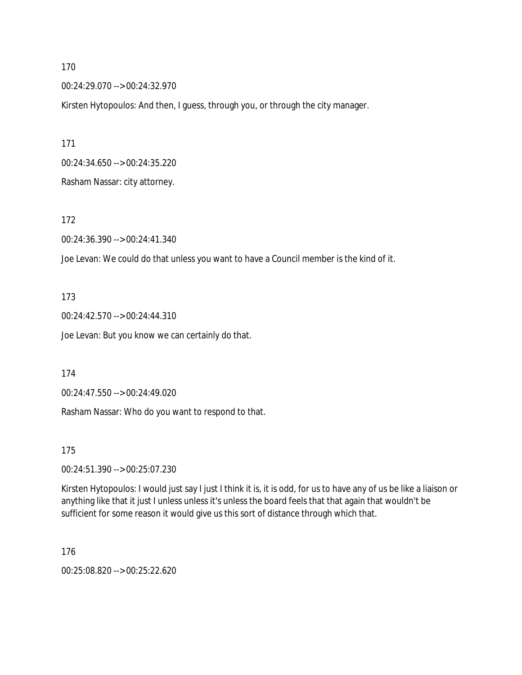00:24:29.070 --> 00:24:32.970

Kirsten Hytopoulos: And then, I guess, through you, or through the city manager.

171 00:24:34.650 --> 00:24:35.220

Rasham Nassar: city attorney.

172

00:24:36.390 --> 00:24:41.340

Joe Levan: We could do that unless you want to have a Council member is the kind of it.

173

00:24:42.570 --> 00:24:44.310

Joe Levan: But you know we can certainly do that.

174

00:24:47.550 --> 00:24:49.020

Rasham Nassar: Who do you want to respond to that.

175

00:24:51.390 --> 00:25:07.230

Kirsten Hytopoulos: I would just say I just I think it is, it is odd, for us to have any of us be like a liaison or anything like that it just I unless unless it's unless the board feels that that again that wouldn't be sufficient for some reason it would give us this sort of distance through which that.

176

00:25:08.820 --> 00:25:22.620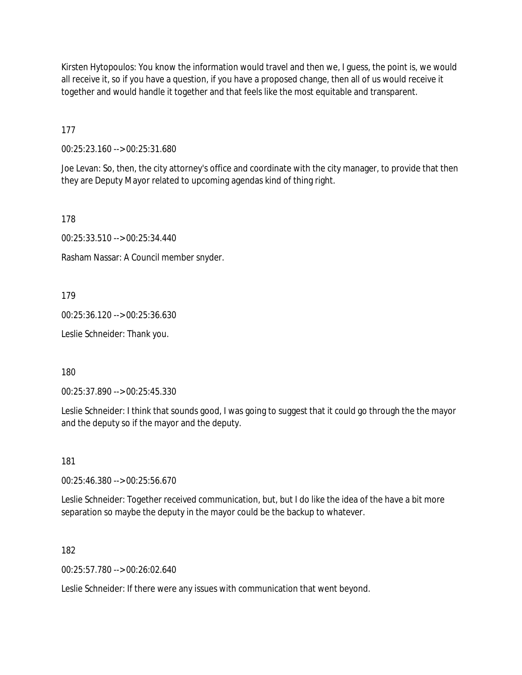Kirsten Hytopoulos: You know the information would travel and then we, I guess, the point is, we would all receive it, so if you have a question, if you have a proposed change, then all of us would receive it together and would handle it together and that feels like the most equitable and transparent.

177

00:25:23.160 --> 00:25:31.680

Joe Levan: So, then, the city attorney's office and coordinate with the city manager, to provide that then they are Deputy Mayor related to upcoming agendas kind of thing right.

178

00:25:33.510 --> 00:25:34.440

Rasham Nassar: A Council member snyder.

179

00:25:36.120 --> 00:25:36.630

Leslie Schneider: Thank you.

180

00:25:37.890 --> 00:25:45.330

Leslie Schneider: I think that sounds good, I was going to suggest that it could go through the the mayor and the deputy so if the mayor and the deputy.

181

00:25:46.380 --> 00:25:56.670

Leslie Schneider: Together received communication, but, but I do like the idea of the have a bit more separation so maybe the deputy in the mayor could be the backup to whatever.

182

00:25:57.780 --> 00:26:02.640

Leslie Schneider: If there were any issues with communication that went beyond.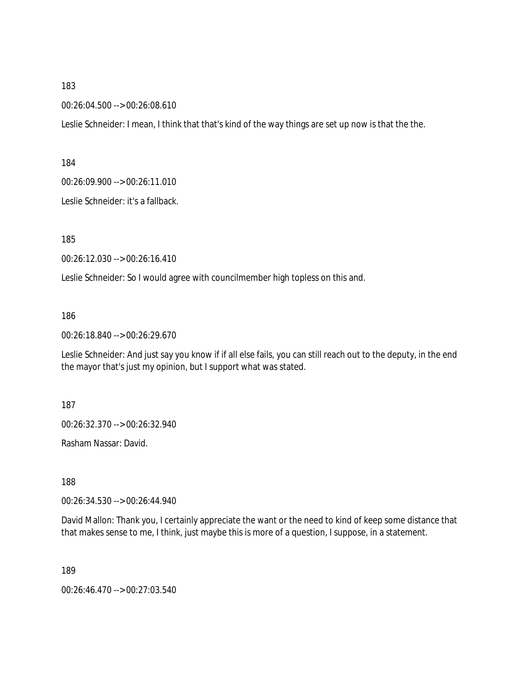00:26:04.500 --> 00:26:08.610

Leslie Schneider: I mean, I think that that's kind of the way things are set up now is that the the.

184

00:26:09.900 --> 00:26:11.010

Leslie Schneider: it's a fallback.

185

00:26:12.030 --> 00:26:16.410

Leslie Schneider: So I would agree with councilmember high topless on this and.

186

00:26:18.840 --> 00:26:29.670

Leslie Schneider: And just say you know if if all else fails, you can still reach out to the deputy, in the end the mayor that's just my opinion, but I support what was stated.

187

00:26:32.370 --> 00:26:32.940

Rasham Nassar: David.

188

00:26:34.530 --> 00:26:44.940

David Mallon: Thank you, I certainly appreciate the want or the need to kind of keep some distance that that makes sense to me, I think, just maybe this is more of a question, I suppose, in a statement.

189

00:26:46.470 --> 00:27:03.540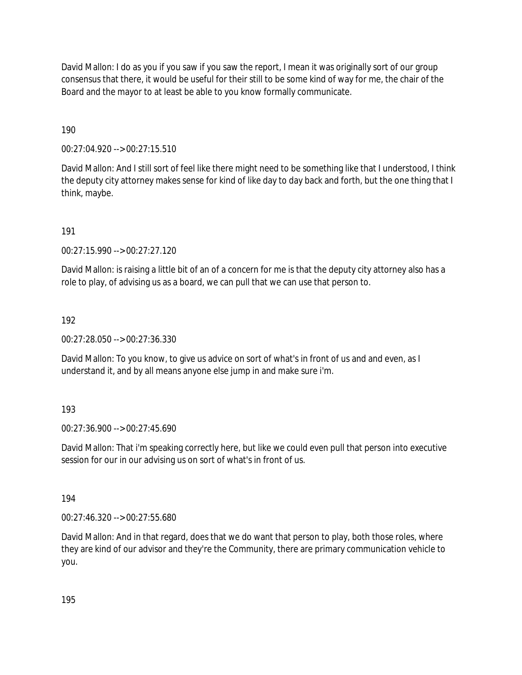David Mallon: I do as you if you saw if you saw the report, I mean it was originally sort of our group consensus that there, it would be useful for their still to be some kind of way for me, the chair of the Board and the mayor to at least be able to you know formally communicate.

190

00:27:04.920 --> 00:27:15.510

David Mallon: And I still sort of feel like there might need to be something like that I understood, I think the deputy city attorney makes sense for kind of like day to day back and forth, but the one thing that I think, maybe.

191

00:27:15.990 --> 00:27:27.120

David Mallon: is raising a little bit of an of a concern for me is that the deputy city attorney also has a role to play, of advising us as a board, we can pull that we can use that person to.

192

00:27:28.050 --> 00:27:36.330

David Mallon: To you know, to give us advice on sort of what's in front of us and and even, as I understand it, and by all means anyone else jump in and make sure i'm.

193

00:27:36.900 --> 00:27:45.690

David Mallon: That i'm speaking correctly here, but like we could even pull that person into executive session for our in our advising us on sort of what's in front of us.

194

00:27:46.320 --> 00:27:55.680

David Mallon: And in that regard, does that we do want that person to play, both those roles, where they are kind of our advisor and they're the Community, there are primary communication vehicle to you.

195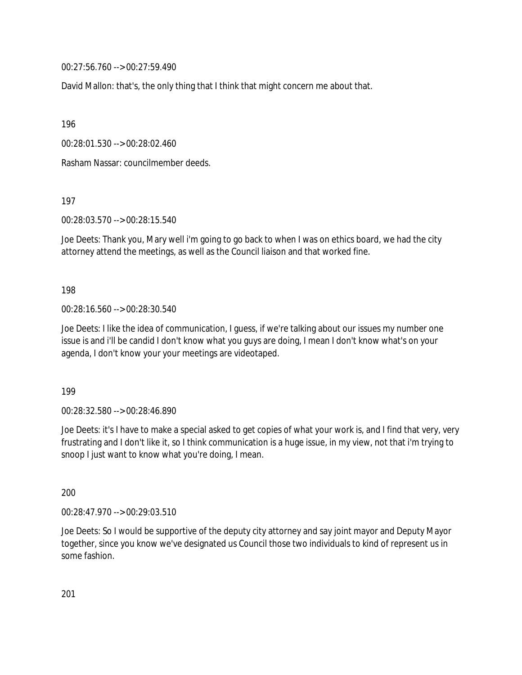00:27:56.760 --> 00:27:59.490

David Mallon: that's, the only thing that I think that might concern me about that.

196

00:28:01.530 --> 00:28:02.460

Rasham Nassar: councilmember deeds.

197

00:28:03.570 --> 00:28:15.540

Joe Deets: Thank you, Mary well i'm going to go back to when I was on ethics board, we had the city attorney attend the meetings, as well as the Council liaison and that worked fine.

198

00:28:16.560 --> 00:28:30.540

Joe Deets: I like the idea of communication, I guess, if we're talking about our issues my number one issue is and i'll be candid I don't know what you guys are doing, I mean I don't know what's on your agenda, I don't know your your meetings are videotaped.

199

00:28:32.580 --> 00:28:46.890

Joe Deets: it's I have to make a special asked to get copies of what your work is, and I find that very, very frustrating and I don't like it, so I think communication is a huge issue, in my view, not that i'm trying to snoop I just want to know what you're doing, I mean.

200

00:28:47.970 --> 00:29:03.510

Joe Deets: So I would be supportive of the deputy city attorney and say joint mayor and Deputy Mayor together, since you know we've designated us Council those two individuals to kind of represent us in some fashion.

201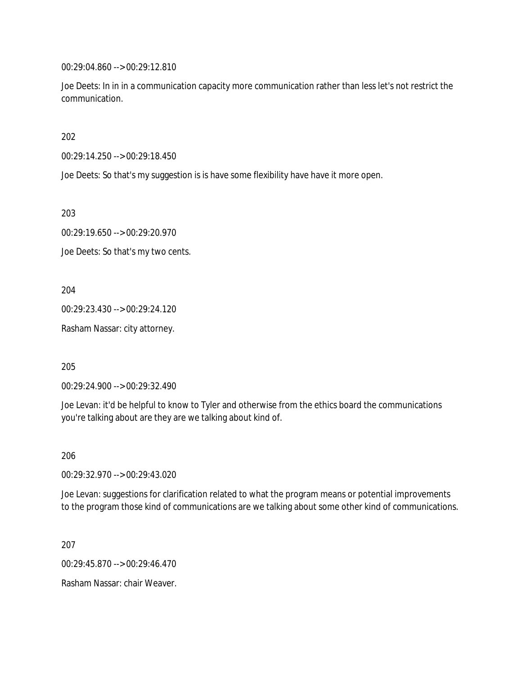00:29:04.860 --> 00:29:12.810

Joe Deets: In in in a communication capacity more communication rather than less let's not restrict the communication.

202

00:29:14.250 --> 00:29:18.450

Joe Deets: So that's my suggestion is is have some flexibility have have it more open.

203

00:29:19.650 --> 00:29:20.970

Joe Deets: So that's my two cents.

204

00:29:23.430 --> 00:29:24.120

Rasham Nassar: city attorney.

205

00:29:24.900 --> 00:29:32.490

Joe Levan: it'd be helpful to know to Tyler and otherwise from the ethics board the communications you're talking about are they are we talking about kind of.

206

00:29:32.970 --> 00:29:43.020

Joe Levan: suggestions for clarification related to what the program means or potential improvements to the program those kind of communications are we talking about some other kind of communications.

207

00:29:45.870 --> 00:29:46.470

Rasham Nassar: chair Weaver.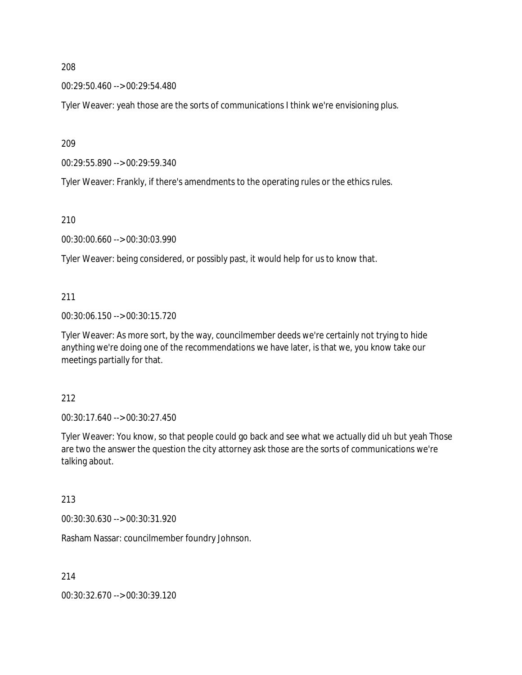00:29:50.460 --> 00:29:54.480

Tyler Weaver: yeah those are the sorts of communications I think we're envisioning plus.

209

00:29:55.890 --> 00:29:59.340

Tyler Weaver: Frankly, if there's amendments to the operating rules or the ethics rules.

210

00:30:00.660 --> 00:30:03.990

Tyler Weaver: being considered, or possibly past, it would help for us to know that.

211

00:30:06.150 --> 00:30:15.720

Tyler Weaver: As more sort, by the way, councilmember deeds we're certainly not trying to hide anything we're doing one of the recommendations we have later, is that we, you know take our meetings partially for that.

212

00:30:17.640 --> 00:30:27.450

Tyler Weaver: You know, so that people could go back and see what we actually did uh but yeah Those are two the answer the question the city attorney ask those are the sorts of communications we're talking about.

213

00:30:30.630 --> 00:30:31.920

Rasham Nassar: councilmember foundry Johnson.

214

00:30:32.670 --> 00:30:39.120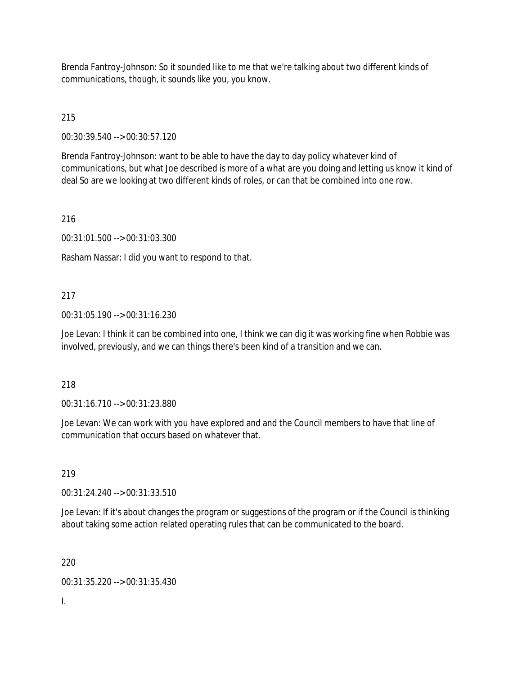Brenda Fantroy-Johnson: So it sounded like to me that we're talking about two different kinds of communications, though, it sounds like you, you know.

215

00:30:39.540 --> 00:30:57.120

Brenda Fantroy-Johnson: want to be able to have the day to day policy whatever kind of communications, but what Joe described is more of a what are you doing and letting us know it kind of deal So are we looking at two different kinds of roles, or can that be combined into one row.

216

00:31:01.500 --> 00:31:03.300

Rasham Nassar: I did you want to respond to that.

### 217

00:31:05.190 --> 00:31:16.230

Joe Levan: I think it can be combined into one, I think we can dig it was working fine when Robbie was involved, previously, and we can things there's been kind of a transition and we can.

#### 218

00:31:16.710 --> 00:31:23.880

Joe Levan: We can work with you have explored and and the Council members to have that line of communication that occurs based on whatever that.

219

00:31:24.240 --> 00:31:33.510

Joe Levan: If it's about changes the program or suggestions of the program or if the Council is thinking about taking some action related operating rules that can be communicated to the board.

220

00:31:35.220 --> 00:31:35.430

I.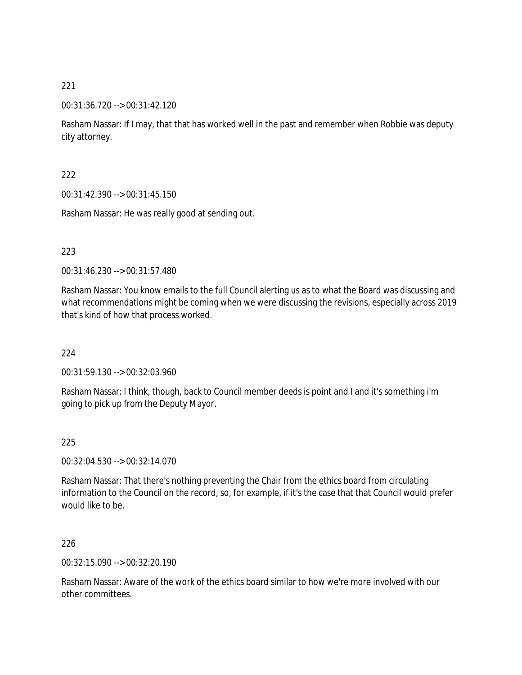### 00:31:36.720 --> 00:31:42.120

Rasham Nassar: If I may, that that has worked well in the past and remember when Robbie was deputy city attorney.

### 222

00:31:42.390 --> 00:31:45.150

Rasham Nassar: He was really good at sending out.

### 223

00:31:46.230 --> 00:31:57.480

Rasham Nassar: You know emails to the full Council alerting us as to what the Board was discussing and what recommendations might be coming when we were discussing the revisions, especially across 2019 that's kind of how that process worked.

#### 224

00:31:59.130 --> 00:32:03.960

Rasham Nassar: I think, though, back to Council member deeds is point and I and it's something i'm going to pick up from the Deputy Mayor.

#### 225

00:32:04.530 --> 00:32:14.070

Rasham Nassar: That there's nothing preventing the Chair from the ethics board from circulating information to the Council on the record, so, for example, if it's the case that that Council would prefer would like to be.

### 226

00:32:15.090 --> 00:32:20.190

Rasham Nassar: Aware of the work of the ethics board similar to how we're more involved with our other committees.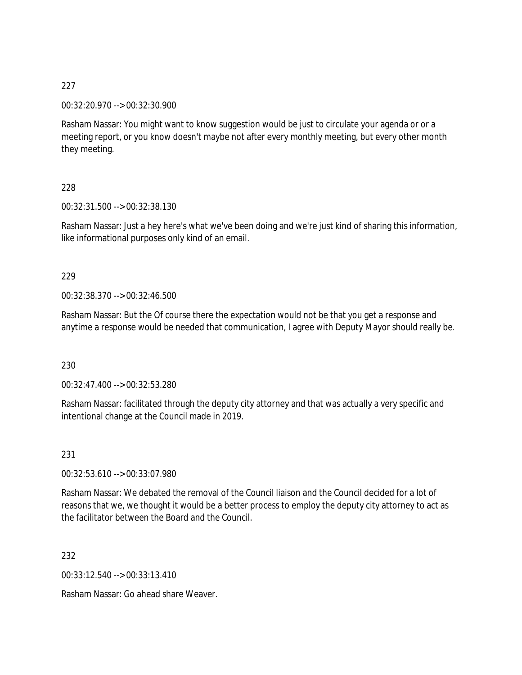00:32:20.970 --> 00:32:30.900

Rasham Nassar: You might want to know suggestion would be just to circulate your agenda or or a meeting report, or you know doesn't maybe not after every monthly meeting, but every other month they meeting.

228

00:32:31.500 --> 00:32:38.130

Rasham Nassar: Just a hey here's what we've been doing and we're just kind of sharing this information, like informational purposes only kind of an email.

#### 229

00:32:38.370 --> 00:32:46.500

Rasham Nassar: But the Of course there the expectation would not be that you get a response and anytime a response would be needed that communication, I agree with Deputy Mayor should really be.

230

00:32:47.400 --> 00:32:53.280

Rasham Nassar: facilitated through the deputy city attorney and that was actually a very specific and intentional change at the Council made in 2019.

231

00:32:53.610 --> 00:33:07.980

Rasham Nassar: We debated the removal of the Council liaison and the Council decided for a lot of reasons that we, we thought it would be a better process to employ the deputy city attorney to act as the facilitator between the Board and the Council.

232

00:33:12.540 --> 00:33:13.410

Rasham Nassar: Go ahead share Weaver.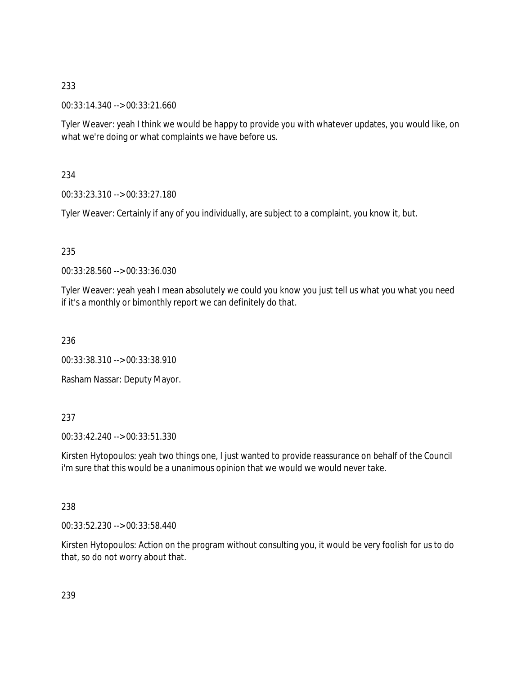00:33:14.340 --> 00:33:21.660

Tyler Weaver: yeah I think we would be happy to provide you with whatever updates, you would like, on what we're doing or what complaints we have before us.

234

00:33:23.310 --> 00:33:27.180

Tyler Weaver: Certainly if any of you individually, are subject to a complaint, you know it, but.

# 235

00:33:28.560 --> 00:33:36.030

Tyler Weaver: yeah yeah I mean absolutely we could you know you just tell us what you what you need if it's a monthly or bimonthly report we can definitely do that.

236

00:33:38.310 --> 00:33:38.910

Rasham Nassar: Deputy Mayor.

# 237

00:33:42.240 --> 00:33:51.330

Kirsten Hytopoulos: yeah two things one, I just wanted to provide reassurance on behalf of the Council i'm sure that this would be a unanimous opinion that we would we would never take.

# 238

00:33:52.230 --> 00:33:58.440

Kirsten Hytopoulos: Action on the program without consulting you, it would be very foolish for us to do that, so do not worry about that.

239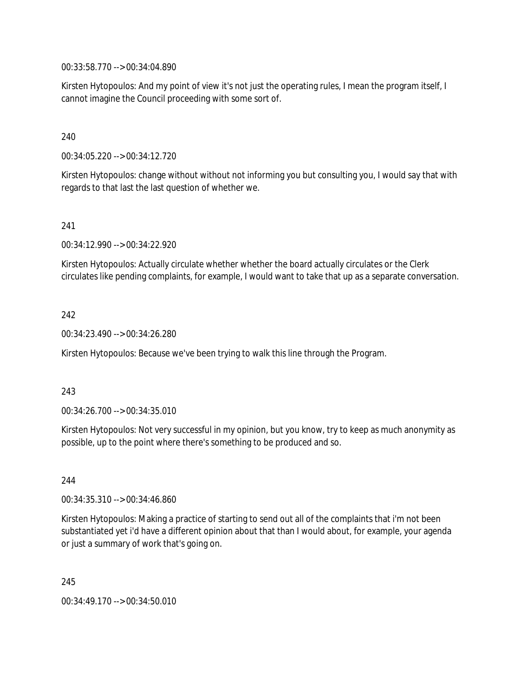00:33:58.770 --> 00:34:04.890

Kirsten Hytopoulos: And my point of view it's not just the operating rules, I mean the program itself, I cannot imagine the Council proceeding with some sort of.

240

00:34:05.220 --> 00:34:12.720

Kirsten Hytopoulos: change without without not informing you but consulting you, I would say that with regards to that last the last question of whether we.

241

00:34:12.990 --> 00:34:22.920

Kirsten Hytopoulos: Actually circulate whether whether the board actually circulates or the Clerk circulates like pending complaints, for example, I would want to take that up as a separate conversation.

242

00:34:23.490 --> 00:34:26.280

Kirsten Hytopoulos: Because we've been trying to walk this line through the Program.

243

00:34:26.700 --> 00:34:35.010

Kirsten Hytopoulos: Not very successful in my opinion, but you know, try to keep as much anonymity as possible, up to the point where there's something to be produced and so.

244

00:34:35.310 --> 00:34:46.860

Kirsten Hytopoulos: Making a practice of starting to send out all of the complaints that i'm not been substantiated yet i'd have a different opinion about that than I would about, for example, your agenda or just a summary of work that's going on.

245

00:34:49.170 --> 00:34:50.010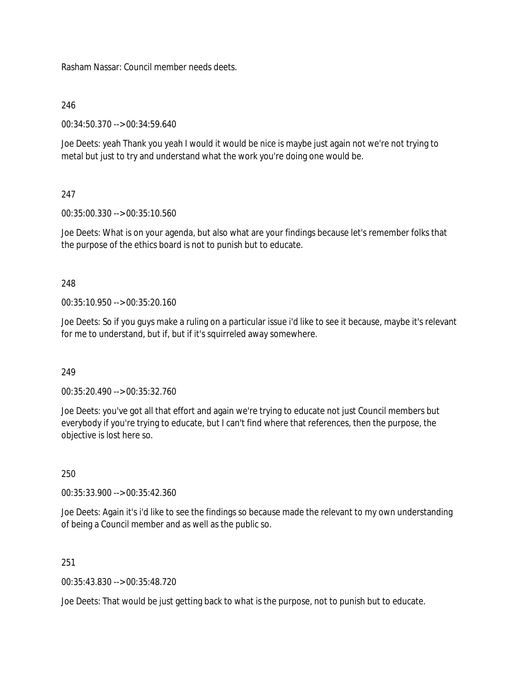Rasham Nassar: Council member needs deets.

246

00:34:50.370 --> 00:34:59.640

Joe Deets: yeah Thank you yeah I would it would be nice is maybe just again not we're not trying to metal but just to try and understand what the work you're doing one would be.

# 247

00:35:00.330 --> 00:35:10.560

Joe Deets: What is on your agenda, but also what are your findings because let's remember folks that the purpose of the ethics board is not to punish but to educate.

248

00:35:10.950 --> 00:35:20.160

Joe Deets: So if you guys make a ruling on a particular issue i'd like to see it because, maybe it's relevant for me to understand, but if, but if it's squirreled away somewhere.

249

00:35:20.490 --> 00:35:32.760

Joe Deets: you've got all that effort and again we're trying to educate not just Council members but everybody if you're trying to educate, but I can't find where that references, then the purpose, the objective is lost here so.

250

00:35:33.900 --> 00:35:42.360

Joe Deets: Again it's i'd like to see the findings so because made the relevant to my own understanding of being a Council member and as well as the public so.

251

00:35:43.830 --> 00:35:48.720

Joe Deets: That would be just getting back to what is the purpose, not to punish but to educate.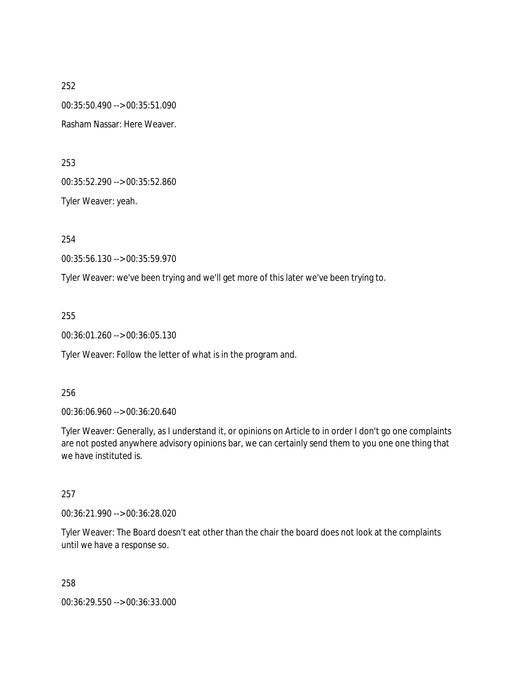252 00:35:50.490 --> 00:35:51.090 Rasham Nassar: Here Weaver.

253

00:35:52.290 --> 00:35:52.860

Tyler Weaver: yeah.

254

00:35:56.130 --> 00:35:59.970

Tyler Weaver: we've been trying and we'll get more of this later we've been trying to.

255

00:36:01.260 --> 00:36:05.130

Tyler Weaver: Follow the letter of what is in the program and.

256

00:36:06.960 --> 00:36:20.640

Tyler Weaver: Generally, as I understand it, or opinions on Article to in order I don't go one complaints are not posted anywhere advisory opinions bar, we can certainly send them to you one one thing that we have instituted is.

257

00:36:21.990 --> 00:36:28.020

Tyler Weaver: The Board doesn't eat other than the chair the board does not look at the complaints until we have a response so.

258

00:36:29.550 --> 00:36:33.000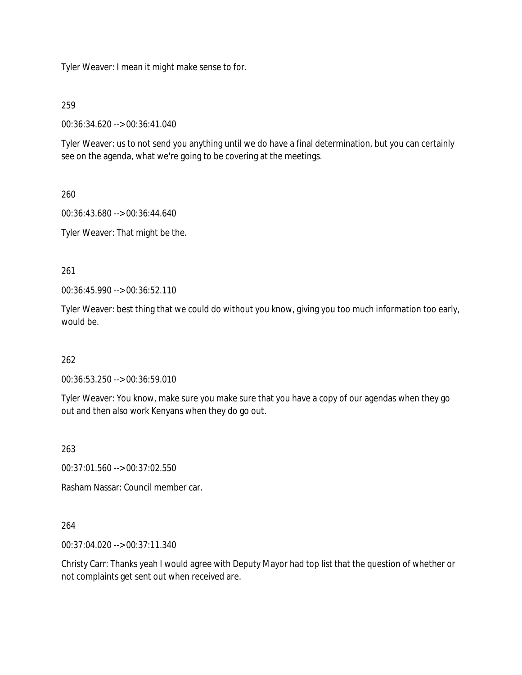Tyler Weaver: I mean it might make sense to for.

## 259

00:36:34.620 --> 00:36:41.040

Tyler Weaver: us to not send you anything until we do have a final determination, but you can certainly see on the agenda, what we're going to be covering at the meetings.

260

00:36:43.680 --> 00:36:44.640

Tyler Weaver: That might be the.

261

00:36:45.990 --> 00:36:52.110

Tyler Weaver: best thing that we could do without you know, giving you too much information too early, would be.

# 262

00:36:53.250 --> 00:36:59.010

Tyler Weaver: You know, make sure you make sure that you have a copy of our agendas when they go out and then also work Kenyans when they do go out.

263

00:37:01.560 --> 00:37:02.550

Rasham Nassar: Council member car.

264

00:37:04.020 --> 00:37:11.340

Christy Carr: Thanks yeah I would agree with Deputy Mayor had top list that the question of whether or not complaints get sent out when received are.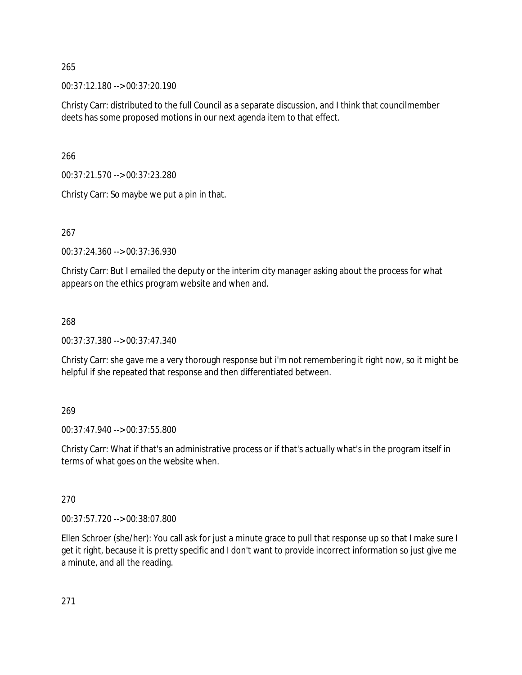00:37:12.180 --> 00:37:20.190

Christy Carr: distributed to the full Council as a separate discussion, and I think that councilmember deets has some proposed motions in our next agenda item to that effect.

266

00:37:21.570 --> 00:37:23.280

Christy Carr: So maybe we put a pin in that.

267

00:37:24.360 --> 00:37:36.930

Christy Carr: But I emailed the deputy or the interim city manager asking about the process for what appears on the ethics program website and when and.

268

00:37:37.380 --> 00:37:47.340

Christy Carr: she gave me a very thorough response but i'm not remembering it right now, so it might be helpful if she repeated that response and then differentiated between.

269

00:37:47.940 --> 00:37:55.800

Christy Carr: What if that's an administrative process or if that's actually what's in the program itself in terms of what goes on the website when.

270

00:37:57.720 --> 00:38:07.800

Ellen Schroer (she/her): You call ask for just a minute grace to pull that response up so that I make sure I get it right, because it is pretty specific and I don't want to provide incorrect information so just give me a minute, and all the reading.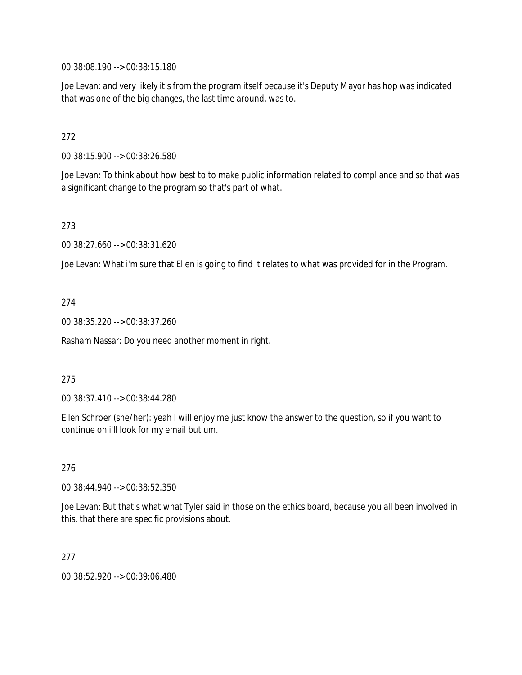00:38:08.190 --> 00:38:15.180

Joe Levan: and very likely it's from the program itself because it's Deputy Mayor has hop was indicated that was one of the big changes, the last time around, was to.

## 272

00:38:15.900 --> 00:38:26.580

Joe Levan: To think about how best to to make public information related to compliance and so that was a significant change to the program so that's part of what.

## 273

00:38:27.660 --> 00:38:31.620

Joe Levan: What i'm sure that Ellen is going to find it relates to what was provided for in the Program.

## 274

00:38:35.220 --> 00:38:37.260

Rasham Nassar: Do you need another moment in right.

#### 275

00:38:37.410 --> 00:38:44.280

Ellen Schroer (she/her): yeah I will enjoy me just know the answer to the question, so if you want to continue on i'll look for my email but um.

#### 276

00:38:44.940 --> 00:38:52.350

Joe Levan: But that's what what Tyler said in those on the ethics board, because you all been involved in this, that there are specific provisions about.

#### 277

00:38:52.920 --> 00:39:06.480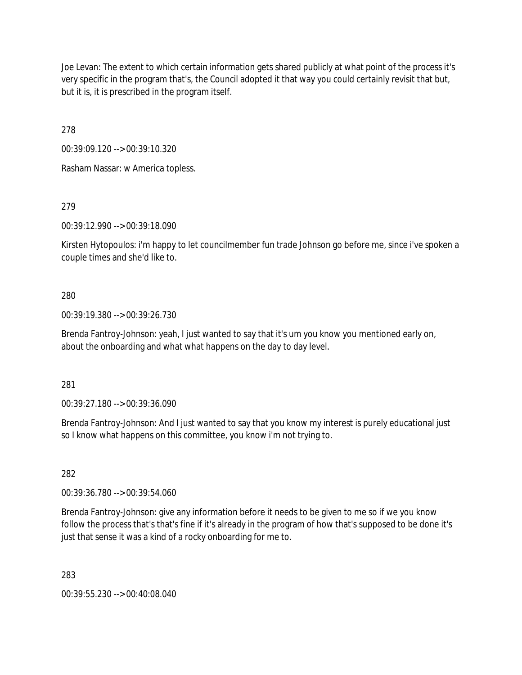Joe Levan: The extent to which certain information gets shared publicly at what point of the process it's very specific in the program that's, the Council adopted it that way you could certainly revisit that but, but it is, it is prescribed in the program itself.

278

00:39:09.120 --> 00:39:10.320

Rasham Nassar: w America topless.

279

00:39:12.990 --> 00:39:18.090

Kirsten Hytopoulos: i'm happy to let councilmember fun trade Johnson go before me, since i've spoken a couple times and she'd like to.

## 280

00:39:19.380 --> 00:39:26.730

Brenda Fantroy-Johnson: yeah, I just wanted to say that it's um you know you mentioned early on, about the onboarding and what what happens on the day to day level.

281

00:39:27.180 --> 00:39:36.090

Brenda Fantroy-Johnson: And I just wanted to say that you know my interest is purely educational just so I know what happens on this committee, you know i'm not trying to.

282

00:39:36.780 --> 00:39:54.060

Brenda Fantroy-Johnson: give any information before it needs to be given to me so if we you know follow the process that's that's fine if it's already in the program of how that's supposed to be done it's just that sense it was a kind of a rocky onboarding for me to.

283

00:39:55.230 --> 00:40:08.040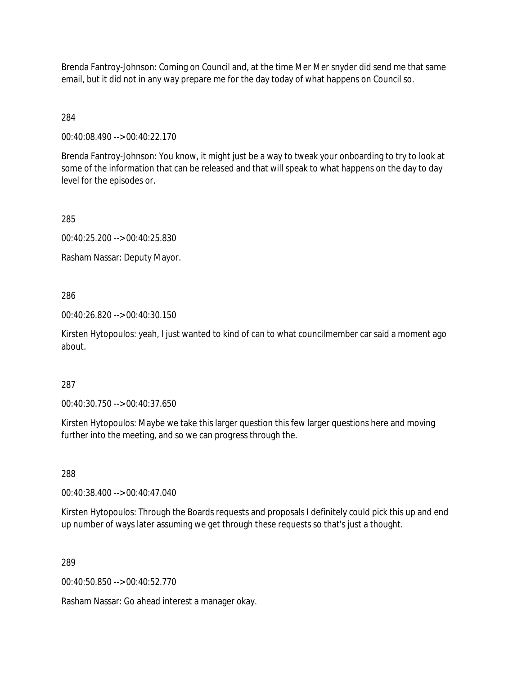Brenda Fantroy-Johnson: Coming on Council and, at the time Mer Mer snyder did send me that same email, but it did not in any way prepare me for the day today of what happens on Council so.

284

00:40:08.490 --> 00:40:22.170

Brenda Fantroy-Johnson: You know, it might just be a way to tweak your onboarding to try to look at some of the information that can be released and that will speak to what happens on the day to day level for the episodes or.

285

00:40:25.200 --> 00:40:25.830

Rasham Nassar: Deputy Mayor.

286

00:40:26.820 --> 00:40:30.150

Kirsten Hytopoulos: yeah, I just wanted to kind of can to what councilmember car said a moment ago about.

287

00:40:30.750 --> 00:40:37.650

Kirsten Hytopoulos: Maybe we take this larger question this few larger questions here and moving further into the meeting, and so we can progress through the.

288

00:40:38.400 --> 00:40:47.040

Kirsten Hytopoulos: Through the Boards requests and proposals I definitely could pick this up and end up number of ways later assuming we get through these requests so that's just a thought.

289

00:40:50.850 --> 00:40:52.770

Rasham Nassar: Go ahead interest a manager okay.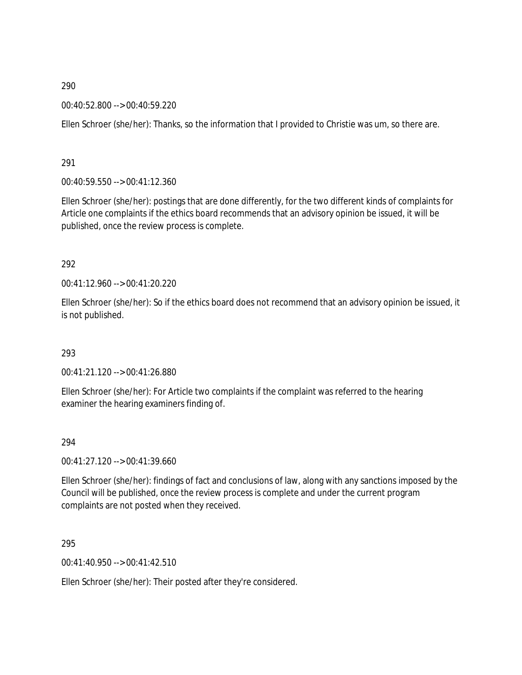00:40:52.800 --> 00:40:59.220

Ellen Schroer (she/her): Thanks, so the information that I provided to Christie was um, so there are.

291

00:40:59.550 --> 00:41:12.360

Ellen Schroer (she/her): postings that are done differently, for the two different kinds of complaints for Article one complaints if the ethics board recommends that an advisory opinion be issued, it will be published, once the review process is complete.

#### 292

 $0.41:12.960 \rightarrow 0.01:41:20.220$ 

Ellen Schroer (she/her): So if the ethics board does not recommend that an advisory opinion be issued, it is not published.

#### 293

00:41:21.120 --> 00:41:26.880

Ellen Schroer (she/her): For Article two complaints if the complaint was referred to the hearing examiner the hearing examiners finding of.

#### 294

00:41:27.120 --> 00:41:39.660

Ellen Schroer (she/her): findings of fact and conclusions of law, along with any sanctions imposed by the Council will be published, once the review process is complete and under the current program complaints are not posted when they received.

295

00:41:40.950 --> 00:41:42.510

Ellen Schroer (she/her): Their posted after they're considered.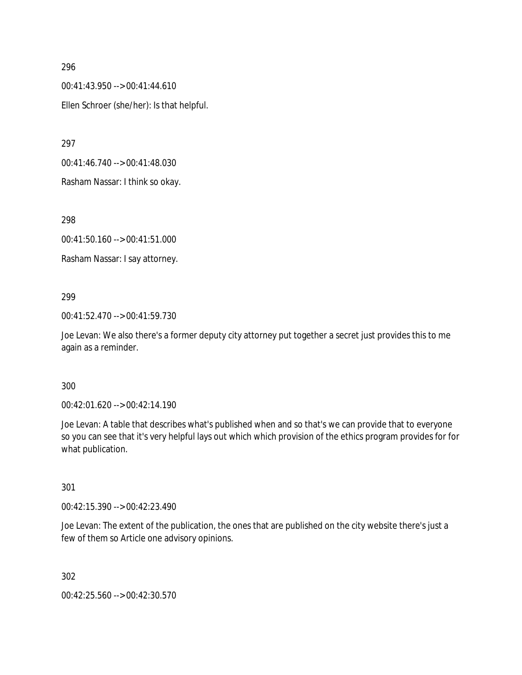00:41:43.950 --> 00:41:44.610 Ellen Schroer (she/her): Is that helpful.

297

00:41:46.740 --> 00:41:48.030

Rasham Nassar: I think so okay.

298

00:41:50.160 --> 00:41:51.000

Rasham Nassar: I say attorney.

#### 299

00:41:52.470 --> 00:41:59.730

Joe Levan: We also there's a former deputy city attorney put together a secret just provides this to me again as a reminder.

#### 300

00:42:01.620 --> 00:42:14.190

Joe Levan: A table that describes what's published when and so that's we can provide that to everyone so you can see that it's very helpful lays out which which provision of the ethics program provides for for what publication.

## 301

00:42:15.390 --> 00:42:23.490

Joe Levan: The extent of the publication, the ones that are published on the city website there's just a few of them so Article one advisory opinions.

302

00:42:25.560 --> 00:42:30.570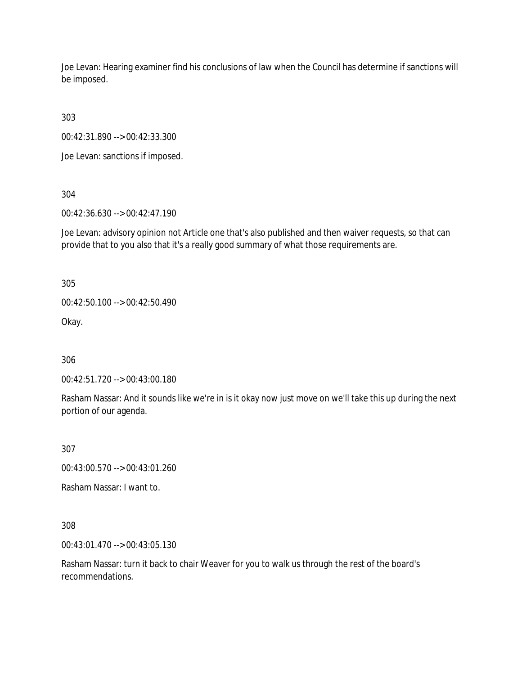Joe Levan: Hearing examiner find his conclusions of law when the Council has determine if sanctions will be imposed.

303

00:42:31.890 --> 00:42:33.300

Joe Levan: sanctions if imposed.

304

00:42:36.630 --> 00:42:47.190

Joe Levan: advisory opinion not Article one that's also published and then waiver requests, so that can provide that to you also that it's a really good summary of what those requirements are.

305

00:42:50.100 --> 00:42:50.490

Okay.

306

00:42:51.720 --> 00:43:00.180

Rasham Nassar: And it sounds like we're in is it okay now just move on we'll take this up during the next portion of our agenda.

307

00:43:00.570 --> 00:43:01.260

Rasham Nassar: I want to.

308

00:43:01.470 --> 00:43:05.130

Rasham Nassar: turn it back to chair Weaver for you to walk us through the rest of the board's recommendations.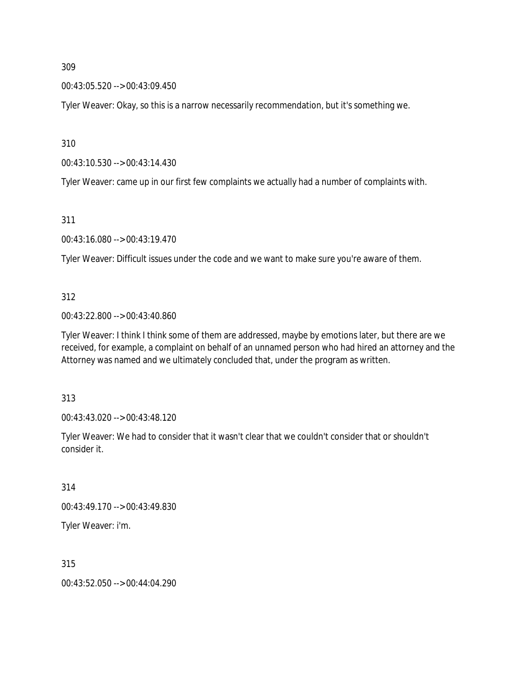00:43:05.520 --> 00:43:09.450

Tyler Weaver: Okay, so this is a narrow necessarily recommendation, but it's something we.

310

00:43:10.530 --> 00:43:14.430

Tyler Weaver: came up in our first few complaints we actually had a number of complaints with.

311

00:43:16.080 --> 00:43:19.470

Tyler Weaver: Difficult issues under the code and we want to make sure you're aware of them.

#### 312

00:43:22.800 --> 00:43:40.860

Tyler Weaver: I think I think some of them are addressed, maybe by emotions later, but there are we received, for example, a complaint on behalf of an unnamed person who had hired an attorney and the Attorney was named and we ultimately concluded that, under the program as written.

313

00:43:43.020 --> 00:43:48.120

Tyler Weaver: We had to consider that it wasn't clear that we couldn't consider that or shouldn't consider it.

314

00:43:49.170 --> 00:43:49.830

Tyler Weaver: i'm.

315

00:43:52.050 --> 00:44:04.290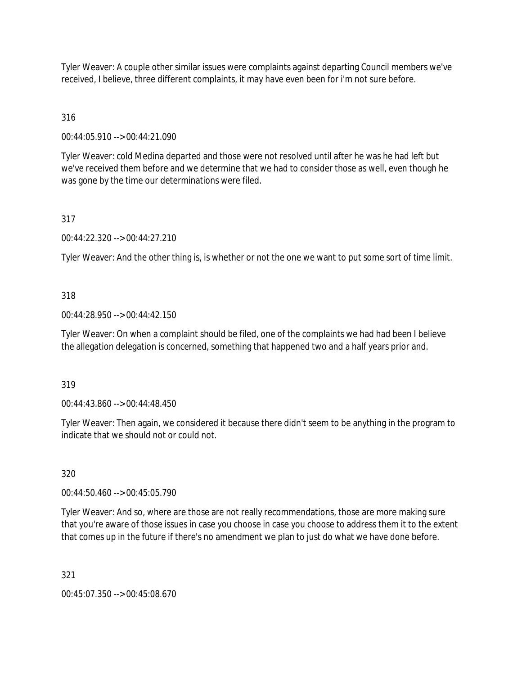Tyler Weaver: A couple other similar issues were complaints against departing Council members we've received, I believe, three different complaints, it may have even been for i'm not sure before.

# 316

00:44:05.910 --> 00:44:21.090

Tyler Weaver: cold Medina departed and those were not resolved until after he was he had left but we've received them before and we determine that we had to consider those as well, even though he was gone by the time our determinations were filed.

# 317

00:44:22.320 --> 00:44:27.210

Tyler Weaver: And the other thing is, is whether or not the one we want to put some sort of time limit.

# 318

00:44:28.950 --> 00:44:42.150

Tyler Weaver: On when a complaint should be filed, one of the complaints we had had been I believe the allegation delegation is concerned, something that happened two and a half years prior and.

# 319

00:44:43.860 --> 00:44:48.450

Tyler Weaver: Then again, we considered it because there didn't seem to be anything in the program to indicate that we should not or could not.

# 320

00:44:50.460 --> 00:45:05.790

Tyler Weaver: And so, where are those are not really recommendations, those are more making sure that you're aware of those issues in case you choose in case you choose to address them it to the extent that comes up in the future if there's no amendment we plan to just do what we have done before.

321

00:45:07.350 --> 00:45:08.670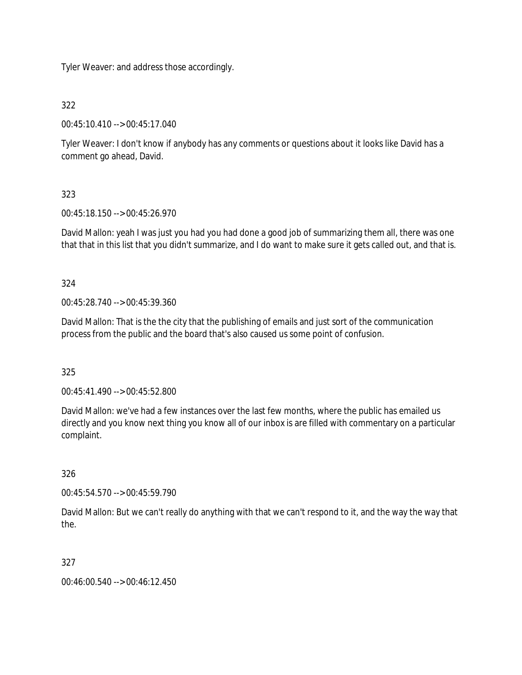Tyler Weaver: and address those accordingly.

322

00:45:10.410 --> 00:45:17.040

Tyler Weaver: I don't know if anybody has any comments or questions about it looks like David has a comment go ahead, David.

# 323

00:45:18.150 --> 00:45:26.970

David Mallon: yeah I was just you had you had done a good job of summarizing them all, there was one that that in this list that you didn't summarize, and I do want to make sure it gets called out, and that is.

324

00:45:28.740 --> 00:45:39.360

David Mallon: That is the the city that the publishing of emails and just sort of the communication process from the public and the board that's also caused us some point of confusion.

325

00:45:41.490 --> 00:45:52.800

David Mallon: we've had a few instances over the last few months, where the public has emailed us directly and you know next thing you know all of our inbox is are filled with commentary on a particular complaint.

326

00:45:54.570 --> 00:45:59.790

David Mallon: But we can't really do anything with that we can't respond to it, and the way the way that the.

327

00:46:00.540 --> 00:46:12.450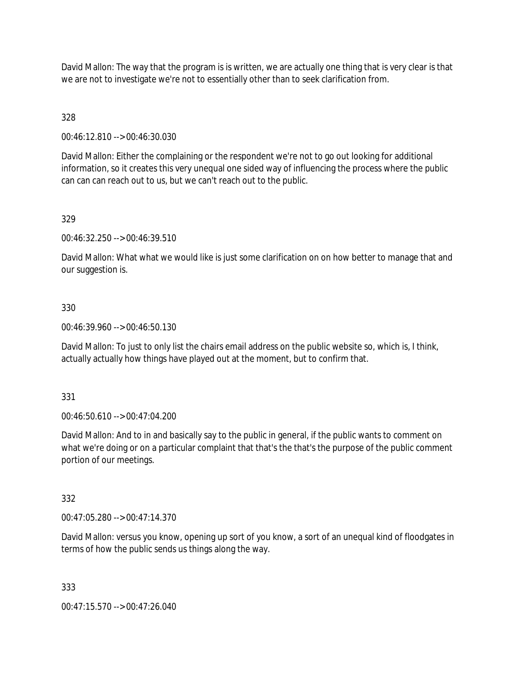David Mallon: The way that the program is is written, we are actually one thing that is very clear is that we are not to investigate we're not to essentially other than to seek clarification from.

# 328

00:46:12.810 --> 00:46:30.030

David Mallon: Either the complaining or the respondent we're not to go out looking for additional information, so it creates this very unequal one sided way of influencing the process where the public can can can reach out to us, but we can't reach out to the public.

#### 329

00:46:32.250 --> 00:46:39.510

David Mallon: What what we would like is just some clarification on on how better to manage that and our suggestion is.

#### 330

00:46:39.960 --> 00:46:50.130

David Mallon: To just to only list the chairs email address on the public website so, which is, I think, actually actually how things have played out at the moment, but to confirm that.

#### 331

00:46:50.610 --> 00:47:04.200

David Mallon: And to in and basically say to the public in general, if the public wants to comment on what we're doing or on a particular complaint that that's the that's the purpose of the public comment portion of our meetings.

#### 332

00:47:05.280 --> 00:47:14.370

David Mallon: versus you know, opening up sort of you know, a sort of an unequal kind of floodgates in terms of how the public sends us things along the way.

#### 333

00:47:15.570 --> 00:47:26.040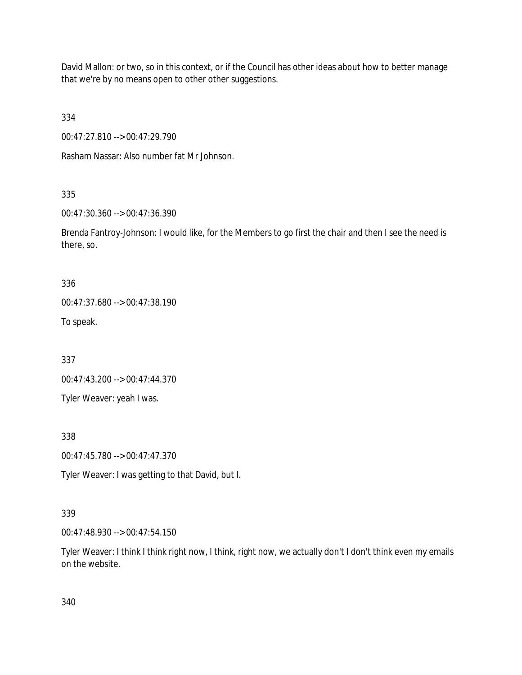David Mallon: or two, so in this context, or if the Council has other ideas about how to better manage that we're by no means open to other other suggestions.

334

00:47:27.810 --> 00:47:29.790

Rasham Nassar: Also number fat Mr Johnson.

# 335

00:47:30.360 --> 00:47:36.390

Brenda Fantroy-Johnson: I would like, for the Members to go first the chair and then I see the need is there, so.

336

00:47:37.680 --> 00:47:38.190

To speak.

337

00:47:43.200 --> 00:47:44.370

Tyler Weaver: yeah I was.

338

00:47:45.780 --> 00:47:47.370

Tyler Weaver: I was getting to that David, but I.

# 339

00:47:48.930 --> 00:47:54.150

Tyler Weaver: I think I think right now, I think, right now, we actually don't I don't think even my emails on the website.

340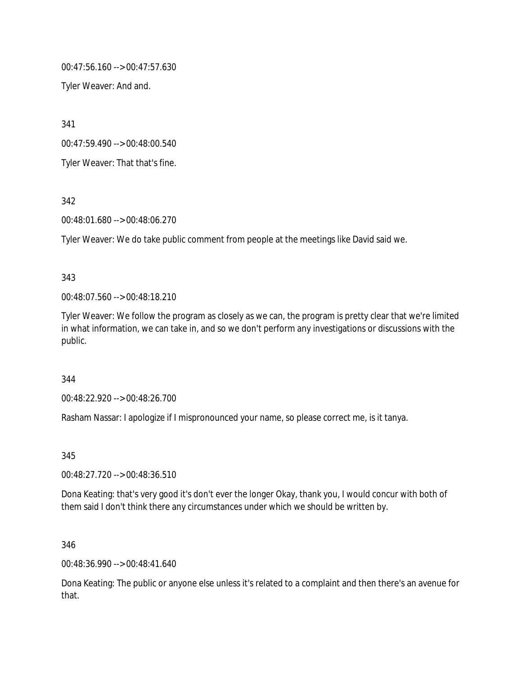00:47:56.160 --> 00:47:57.630

Tyler Weaver: And and.

341

00:47:59.490 --> 00:48:00.540

Tyler Weaver: That that's fine.

342

00:48:01.680 --> 00:48:06.270

Tyler Weaver: We do take public comment from people at the meetings like David said we.

#### 343

00:48:07.560 --> 00:48:18.210

Tyler Weaver: We follow the program as closely as we can, the program is pretty clear that we're limited in what information, we can take in, and so we don't perform any investigations or discussions with the public.

#### 344

00:48:22.920 --> 00:48:26.700

Rasham Nassar: I apologize if I mispronounced your name, so please correct me, is it tanya.

345

00:48:27.720 --> 00:48:36.510

Dona Keating: that's very good it's don't ever the longer Okay, thank you, I would concur with both of them said I don't think there any circumstances under which we should be written by.

346

00:48:36.990 --> 00:48:41.640

Dona Keating: The public or anyone else unless it's related to a complaint and then there's an avenue for that.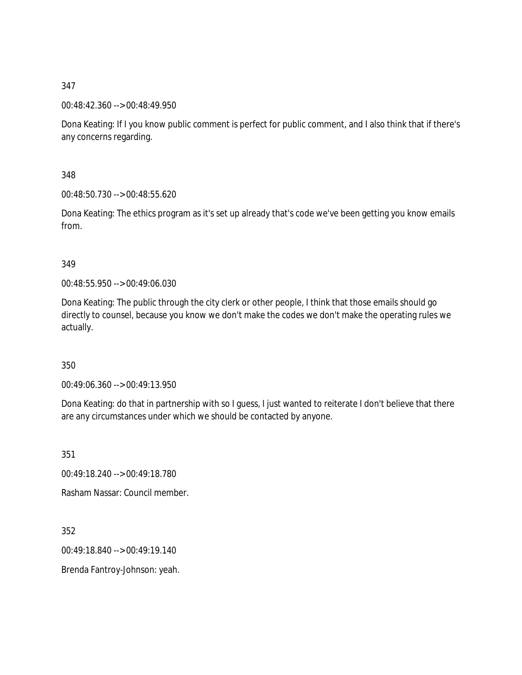00:48:42.360 --> 00:48:49.950

Dona Keating: If I you know public comment is perfect for public comment, and I also think that if there's any concerns regarding.

348

00:48:50.730 --> 00:48:55.620

Dona Keating: The ethics program as it's set up already that's code we've been getting you know emails from.

349

00:48:55.950 --> 00:49:06.030

Dona Keating: The public through the city clerk or other people, I think that those emails should go directly to counsel, because you know we don't make the codes we don't make the operating rules we actually.

350

00:49:06.360 --> 00:49:13.950

Dona Keating: do that in partnership with so I guess, I just wanted to reiterate I don't believe that there are any circumstances under which we should be contacted by anyone.

351

00:49:18.240 --> 00:49:18.780

Rasham Nassar: Council member.

352

00:49:18.840 --> 00:49:19.140

Brenda Fantroy-Johnson: yeah.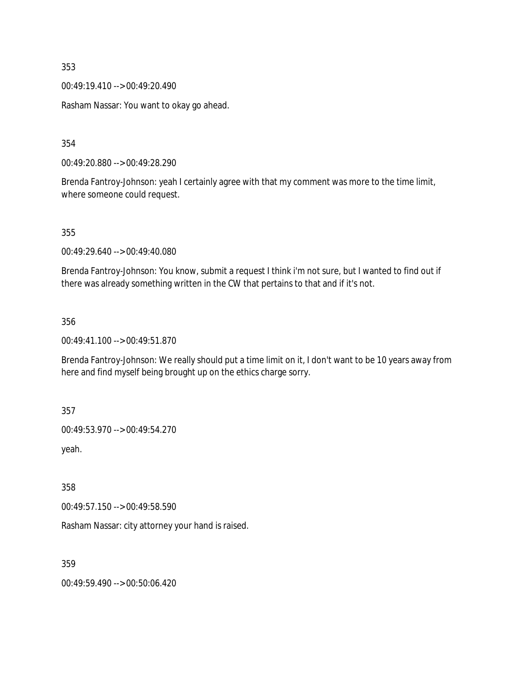00:49:19.410 --> 00:49:20.490

Rasham Nassar: You want to okay go ahead.

354

00:49:20.880 --> 00:49:28.290

Brenda Fantroy-Johnson: yeah I certainly agree with that my comment was more to the time limit, where someone could request.

355

00:49:29.640 --> 00:49:40.080

Brenda Fantroy-Johnson: You know, submit a request I think i'm not sure, but I wanted to find out if there was already something written in the CW that pertains to that and if it's not.

356

00:49:41.100 --> 00:49:51.870

Brenda Fantroy-Johnson: We really should put a time limit on it, I don't want to be 10 years away from here and find myself being brought up on the ethics charge sorry.

357

00:49:53.970 --> 00:49:54.270

yeah.

358

00:49:57.150 --> 00:49:58.590

Rasham Nassar: city attorney your hand is raised.

359

00:49:59.490 --> 00:50:06.420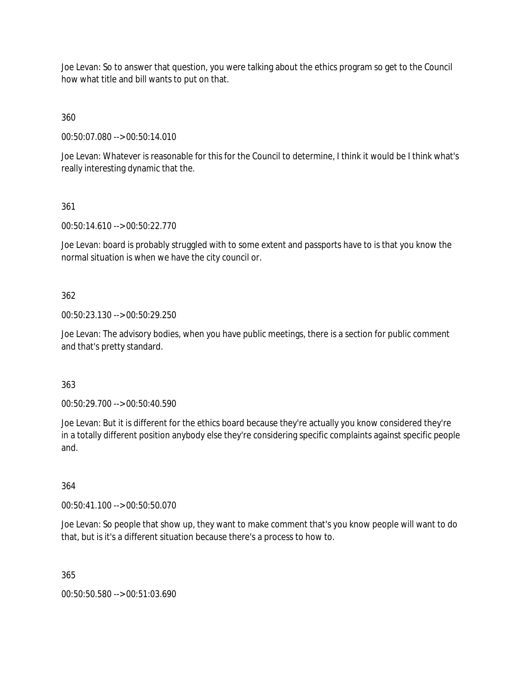Joe Levan: So to answer that question, you were talking about the ethics program so get to the Council how what title and bill wants to put on that.

360

00:50:07.080 --> 00:50:14.010

Joe Levan: Whatever is reasonable for this for the Council to determine, I think it would be I think what's really interesting dynamic that the.

361

00:50:14.610 --> 00:50:22.770

Joe Levan: board is probably struggled with to some extent and passports have to is that you know the normal situation is when we have the city council or.

362

00:50:23.130 --> 00:50:29.250

Joe Levan: The advisory bodies, when you have public meetings, there is a section for public comment and that's pretty standard.

363

00:50:29.700 --> 00:50:40.590

Joe Levan: But it is different for the ethics board because they're actually you know considered they're in a totally different position anybody else they're considering specific complaints against specific people and.

364

00:50:41.100 --> 00:50:50.070

Joe Levan: So people that show up, they want to make comment that's you know people will want to do that, but is it's a different situation because there's a process to how to.

365

00:50:50.580 --> 00:51:03.690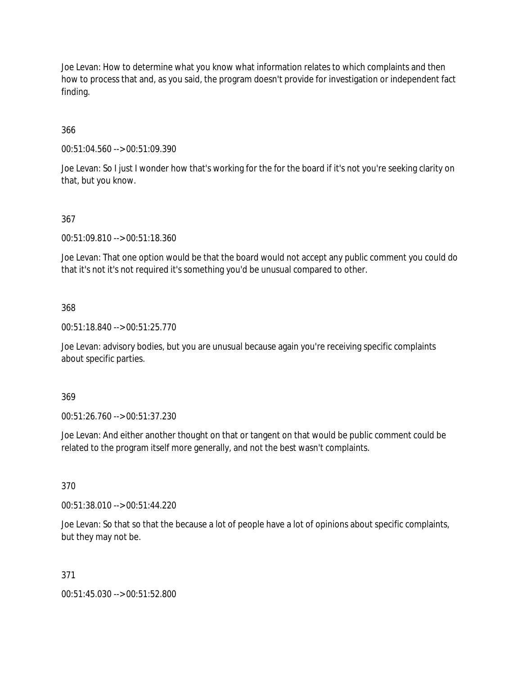Joe Levan: How to determine what you know what information relates to which complaints and then how to process that and, as you said, the program doesn't provide for investigation or independent fact finding.

# 366

00:51:04.560 --> 00:51:09.390

Joe Levan: So I just I wonder how that's working for the for the board if it's not you're seeking clarity on that, but you know.

## 367

00:51:09.810 --> 00:51:18.360

Joe Levan: That one option would be that the board would not accept any public comment you could do that it's not it's not required it's something you'd be unusual compared to other.

#### 368

00:51:18.840 --> 00:51:25.770

Joe Levan: advisory bodies, but you are unusual because again you're receiving specific complaints about specific parties.

#### 369

00:51:26.760 --> 00:51:37.230

Joe Levan: And either another thought on that or tangent on that would be public comment could be related to the program itself more generally, and not the best wasn't complaints.

# 370

00:51:38.010 --> 00:51:44.220

Joe Levan: So that so that the because a lot of people have a lot of opinions about specific complaints, but they may not be.

#### 371

00:51:45.030 --> 00:51:52.800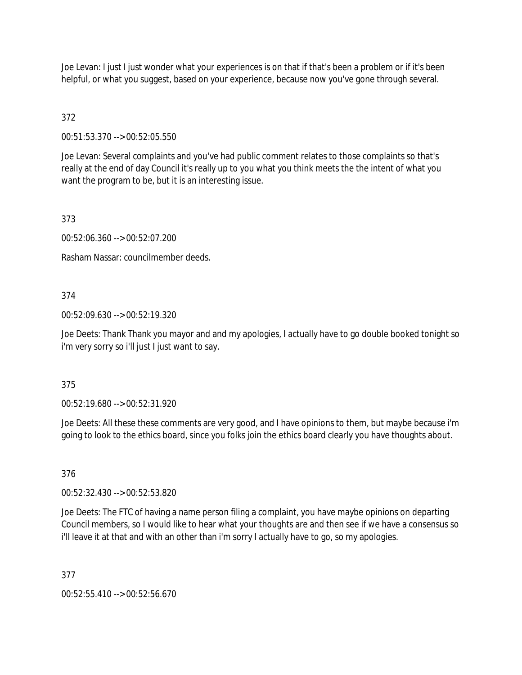Joe Levan: I just I just wonder what your experiences is on that if that's been a problem or if it's been helpful, or what you suggest, based on your experience, because now you've gone through several.

# 372

00:51:53.370 --> 00:52:05.550

Joe Levan: Several complaints and you've had public comment relates to those complaints so that's really at the end of day Council it's really up to you what you think meets the the intent of what you want the program to be, but it is an interesting issue.

# 373

00:52:06.360 --> 00:52:07.200

Rasham Nassar: councilmember deeds.

# 374

00:52:09.630 --> 00:52:19.320

Joe Deets: Thank Thank you mayor and and my apologies, I actually have to go double booked tonight so i'm very sorry so i'll just I just want to say.

# 375

00:52:19.680 --> 00:52:31.920

Joe Deets: All these these comments are very good, and I have opinions to them, but maybe because i'm going to look to the ethics board, since you folks join the ethics board clearly you have thoughts about.

# 376

00:52:32.430 --> 00:52:53.820

Joe Deets: The FTC of having a name person filing a complaint, you have maybe opinions on departing Council members, so I would like to hear what your thoughts are and then see if we have a consensus so i'll leave it at that and with an other than i'm sorry I actually have to go, so my apologies.

# 377

00:52:55.410 --> 00:52:56.670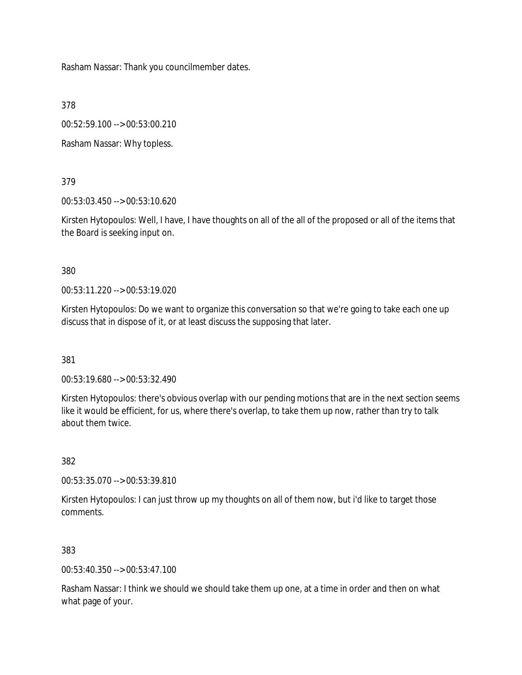Rasham Nassar: Thank you councilmember dates.

378

00:52:59.100 --> 00:53:00.210

Rasham Nassar: Why topless.

379

00:53:03.450 --> 00:53:10.620

Kirsten Hytopoulos: Well, I have, I have thoughts on all of the all of the proposed or all of the items that the Board is seeking input on.

380

00:53:11.220 --> 00:53:19.020

Kirsten Hytopoulos: Do we want to organize this conversation so that we're going to take each one up discuss that in dispose of it, or at least discuss the supposing that later.

381

00:53:19.680 --> 00:53:32.490

Kirsten Hytopoulos: there's obvious overlap with our pending motions that are in the next section seems like it would be efficient, for us, where there's overlap, to take them up now, rather than try to talk about them twice.

382

00:53:35.070 --> 00:53:39.810

Kirsten Hytopoulos: I can just throw up my thoughts on all of them now, but i'd like to target those comments.

383

00:53:40.350 --> 00:53:47.100

Rasham Nassar: I think we should we should take them up one, at a time in order and then on what what page of your.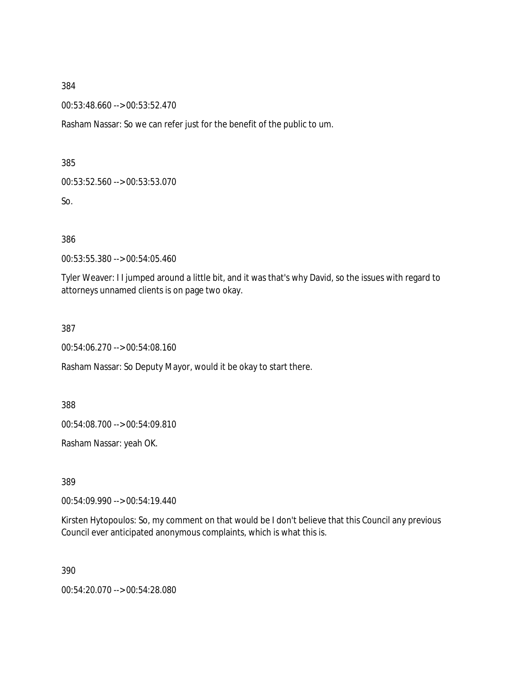00:53:48.660 --> 00:53:52.470

Rasham Nassar: So we can refer just for the benefit of the public to um.

385

00:53:52.560 --> 00:53:53.070

So.

386

00:53:55.380 --> 00:54:05.460

Tyler Weaver: I I jumped around a little bit, and it was that's why David, so the issues with regard to attorneys unnamed clients is on page two okay.

387

00:54:06.270 --> 00:54:08.160

Rasham Nassar: So Deputy Mayor, would it be okay to start there.

388

00:54:08.700 --> 00:54:09.810

Rasham Nassar: yeah OK.

389

00:54:09.990 --> 00:54:19.440

Kirsten Hytopoulos: So, my comment on that would be I don't believe that this Council any previous Council ever anticipated anonymous complaints, which is what this is.

390

00:54:20.070 --> 00:54:28.080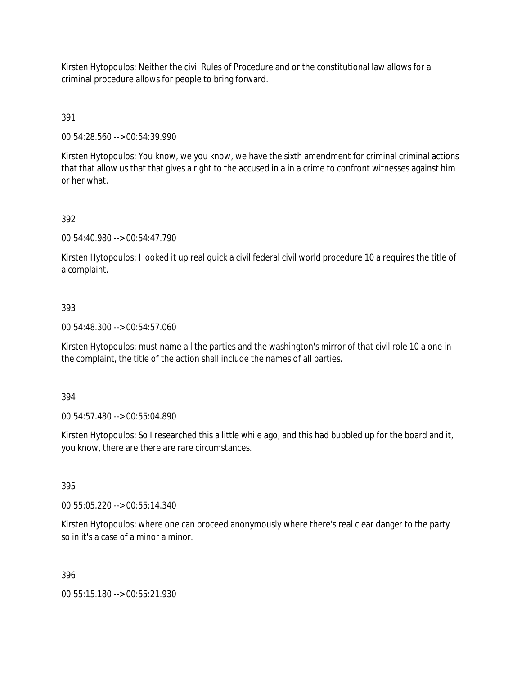Kirsten Hytopoulos: Neither the civil Rules of Procedure and or the constitutional law allows for a criminal procedure allows for people to bring forward.

391

00:54:28.560 --> 00:54:39.990

Kirsten Hytopoulos: You know, we you know, we have the sixth amendment for criminal criminal actions that that allow us that that gives a right to the accused in a in a crime to confront witnesses against him or her what.

#### 392

00:54:40.980 --> 00:54:47.790

Kirsten Hytopoulos: I looked it up real quick a civil federal civil world procedure 10 a requires the title of a complaint.

#### 393

00:54:48.300 --> 00:54:57.060

Kirsten Hytopoulos: must name all the parties and the washington's mirror of that civil role 10 a one in the complaint, the title of the action shall include the names of all parties.

394

00:54:57.480 --> 00:55:04.890

Kirsten Hytopoulos: So I researched this a little while ago, and this had bubbled up for the board and it, you know, there are there are rare circumstances.

395

00:55:05.220 --> 00:55:14.340

Kirsten Hytopoulos: where one can proceed anonymously where there's real clear danger to the party so in it's a case of a minor a minor.

396

00:55:15.180 --> 00:55:21.930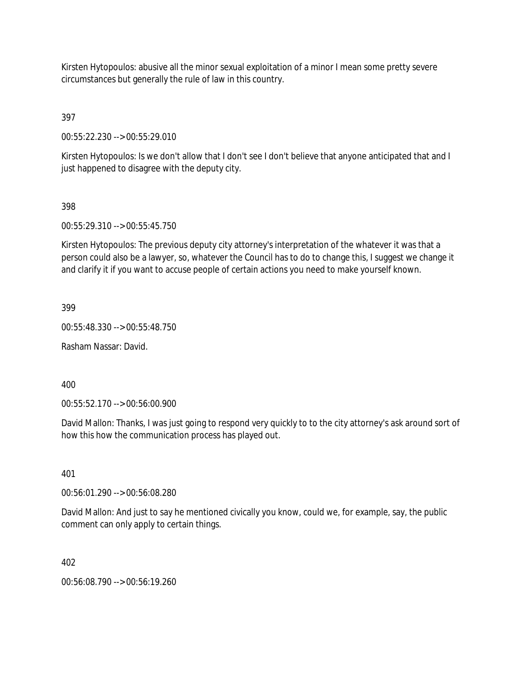Kirsten Hytopoulos: abusive all the minor sexual exploitation of a minor I mean some pretty severe circumstances but generally the rule of law in this country.

397

00:55:22.230 --> 00:55:29.010

Kirsten Hytopoulos: Is we don't allow that I don't see I don't believe that anyone anticipated that and I just happened to disagree with the deputy city.

## 398

00:55:29.310 --> 00:55:45.750

Kirsten Hytopoulos: The previous deputy city attorney's interpretation of the whatever it was that a person could also be a lawyer, so, whatever the Council has to do to change this, I suggest we change it and clarify it if you want to accuse people of certain actions you need to make yourself known.

399

00:55:48.330 --> 00:55:48.750

Rasham Nassar: David.

400

00:55:52.170 --> 00:56:00.900

David Mallon: Thanks, I was just going to respond very quickly to to the city attorney's ask around sort of how this how the communication process has played out.

401

00:56:01.290 --> 00:56:08.280

David Mallon: And just to say he mentioned civically you know, could we, for example, say, the public comment can only apply to certain things.

402

00:56:08.790 --> 00:56:19.260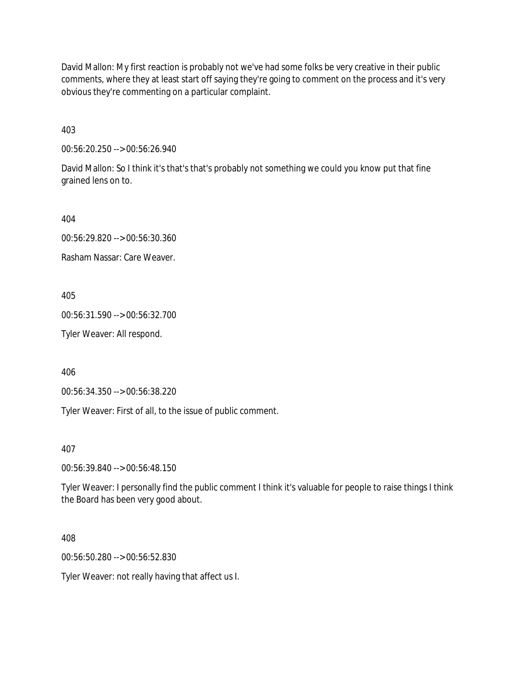David Mallon: My first reaction is probably not we've had some folks be very creative in their public comments, where they at least start off saying they're going to comment on the process and it's very obvious they're commenting on a particular complaint.

403

00:56:20.250 --> 00:56:26.940

David Mallon: So I think it's that's that's probably not something we could you know put that fine grained lens on to.

404

00:56:29.820 --> 00:56:30.360

Rasham Nassar: Care Weaver.

405

00:56:31.590 --> 00:56:32.700

Tyler Weaver: All respond.

406

00:56:34.350 --> 00:56:38.220

Tyler Weaver: First of all, to the issue of public comment.

407

00:56:39.840 --> 00:56:48.150

Tyler Weaver: I personally find the public comment I think it's valuable for people to raise things I think the Board has been very good about.

408

00:56:50.280 --> 00:56:52.830

Tyler Weaver: not really having that affect us I.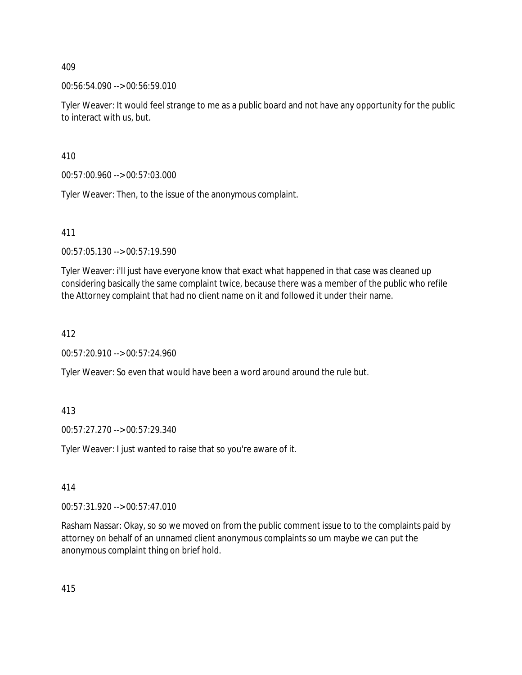## 00:56:54.090 --> 00:56:59.010

Tyler Weaver: It would feel strange to me as a public board and not have any opportunity for the public to interact with us, but.

410

00:57:00.960 --> 00:57:03.000

Tyler Weaver: Then, to the issue of the anonymous complaint.

411

00:57:05.130 --> 00:57:19.590

Tyler Weaver: i'll just have everyone know that exact what happened in that case was cleaned up considering basically the same complaint twice, because there was a member of the public who refile the Attorney complaint that had no client name on it and followed it under their name.

412

00:57:20.910 --> 00:57:24.960

Tyler Weaver: So even that would have been a word around around the rule but.

413

00:57:27.270 --> 00:57:29.340

Tyler Weaver: I just wanted to raise that so you're aware of it.

414

00:57:31.920 --> 00:57:47.010

Rasham Nassar: Okay, so so we moved on from the public comment issue to to the complaints paid by attorney on behalf of an unnamed client anonymous complaints so um maybe we can put the anonymous complaint thing on brief hold.

415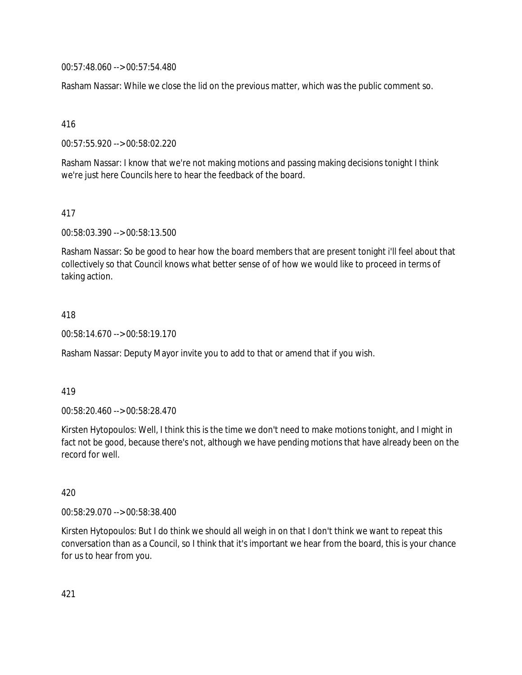00:57:48.060 --> 00:57:54.480

Rasham Nassar: While we close the lid on the previous matter, which was the public comment so.

416

00:57:55.920 --> 00:58:02.220

Rasham Nassar: I know that we're not making motions and passing making decisions tonight I think we're just here Councils here to hear the feedback of the board.

417

00:58:03.390 --> 00:58:13.500

Rasham Nassar: So be good to hear how the board members that are present tonight i'll feel about that collectively so that Council knows what better sense of of how we would like to proceed in terms of taking action.

418

00:58:14.670 --> 00:58:19.170

Rasham Nassar: Deputy Mayor invite you to add to that or amend that if you wish.

419

00:58:20.460 --> 00:58:28.470

Kirsten Hytopoulos: Well, I think this is the time we don't need to make motions tonight, and I might in fact not be good, because there's not, although we have pending motions that have already been on the record for well.

420

00:58:29.070 --> 00:58:38.400

Kirsten Hytopoulos: But I do think we should all weigh in on that I don't think we want to repeat this conversation than as a Council, so I think that it's important we hear from the board, this is your chance for us to hear from you.

421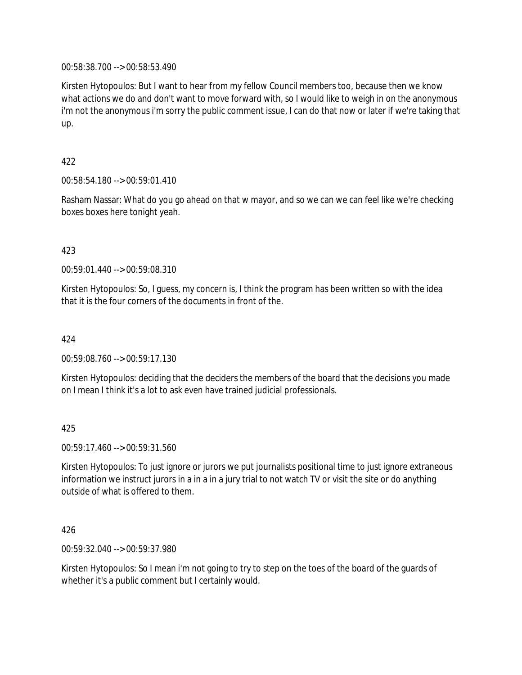00:58:38.700 --> 00:58:53.490

Kirsten Hytopoulos: But I want to hear from my fellow Council members too, because then we know what actions we do and don't want to move forward with, so I would like to weigh in on the anonymous i'm not the anonymous i'm sorry the public comment issue, I can do that now or later if we're taking that up.

## 422

00:58:54.180 --> 00:59:01.410

Rasham Nassar: What do you go ahead on that w mayor, and so we can we can feel like we're checking boxes boxes here tonight yeah.

## 423

00:59:01.440 --> 00:59:08.310

Kirsten Hytopoulos: So, I guess, my concern is, I think the program has been written so with the idea that it is the four corners of the documents in front of the.

### 424

00:59:08.760 --> 00:59:17.130

Kirsten Hytopoulos: deciding that the deciders the members of the board that the decisions you made on I mean I think it's a lot to ask even have trained judicial professionals.

#### 425

00:59:17.460 --> 00:59:31.560

Kirsten Hytopoulos: To just ignore or jurors we put journalists positional time to just ignore extraneous information we instruct jurors in a in a in a jury trial to not watch TV or visit the site or do anything outside of what is offered to them.

## 426

00:59:32.040 --> 00:59:37.980

Kirsten Hytopoulos: So I mean i'm not going to try to step on the toes of the board of the guards of whether it's a public comment but I certainly would.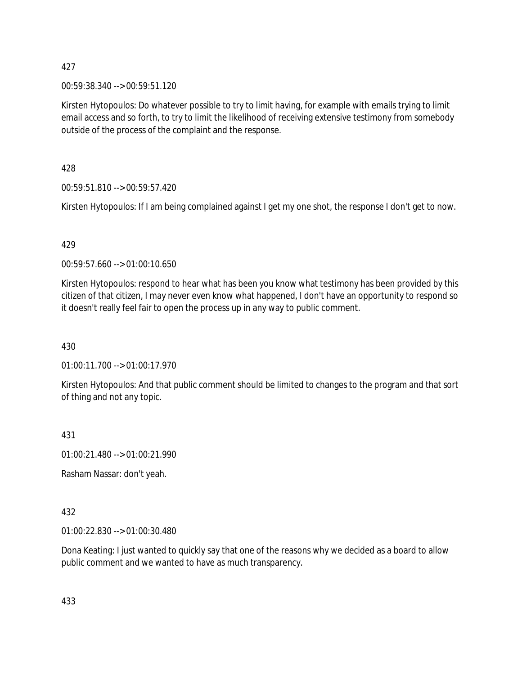00:59:38.340 --> 00:59:51.120

Kirsten Hytopoulos: Do whatever possible to try to limit having, for example with emails trying to limit email access and so forth, to try to limit the likelihood of receiving extensive testimony from somebody outside of the process of the complaint and the response.

428

00:59:51.810 --> 00:59:57.420

Kirsten Hytopoulos: If I am being complained against I get my one shot, the response I don't get to now.

#### 429

00:59:57.660 --> 01:00:10.650

Kirsten Hytopoulos: respond to hear what has been you know what testimony has been provided by this citizen of that citizen, I may never even know what happened, I don't have an opportunity to respond so it doesn't really feel fair to open the process up in any way to public comment.

430

01:00:11.700 --> 01:00:17.970

Kirsten Hytopoulos: And that public comment should be limited to changes to the program and that sort of thing and not any topic.

431

01:00:21.480 --> 01:00:21.990

Rasham Nassar: don't yeah.

## 432

01:00:22.830 --> 01:00:30.480

Dona Keating: I just wanted to quickly say that one of the reasons why we decided as a board to allow public comment and we wanted to have as much transparency.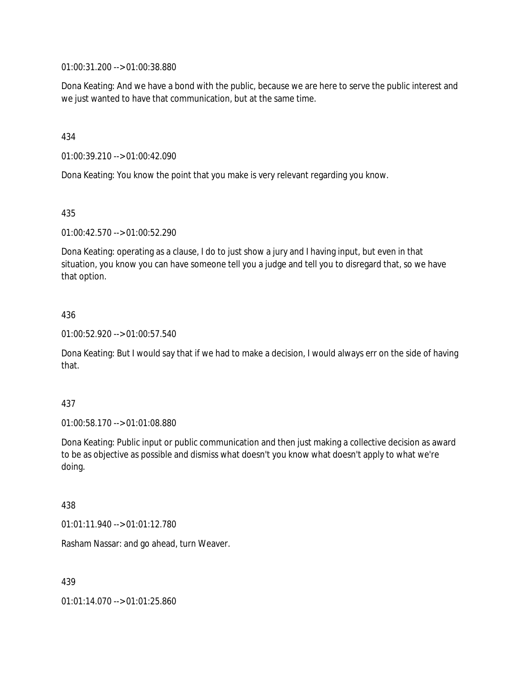01:00:31.200 --> 01:00:38.880

Dona Keating: And we have a bond with the public, because we are here to serve the public interest and we just wanted to have that communication, but at the same time.

434

01:00:39.210 --> 01:00:42.090

Dona Keating: You know the point that you make is very relevant regarding you know.

435

01:00:42.570 --> 01:00:52.290

Dona Keating: operating as a clause, I do to just show a jury and I having input, but even in that situation, you know you can have someone tell you a judge and tell you to disregard that, so we have that option.

436

01:00:52.920 --> 01:00:57.540

Dona Keating: But I would say that if we had to make a decision, I would always err on the side of having that.

437

01:00:58.170 --> 01:01:08.880

Dona Keating: Public input or public communication and then just making a collective decision as award to be as objective as possible and dismiss what doesn't you know what doesn't apply to what we're doing.

438

01:01:11.940 --> 01:01:12.780

Rasham Nassar: and go ahead, turn Weaver.

439

01:01:14.070 --> 01:01:25.860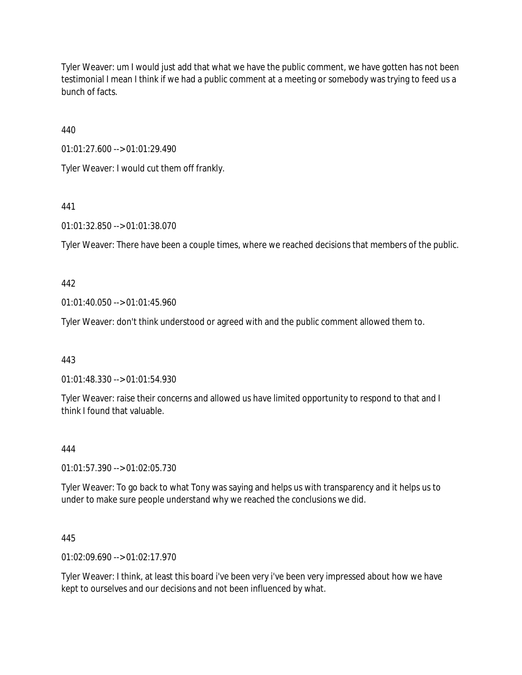Tyler Weaver: um I would just add that what we have the public comment, we have gotten has not been testimonial I mean I think if we had a public comment at a meeting or somebody was trying to feed us a bunch of facts.

440

01:01:27.600 --> 01:01:29.490

Tyler Weaver: I would cut them off frankly.

441

01:01:32.850 --> 01:01:38.070

Tyler Weaver: There have been a couple times, where we reached decisions that members of the public.

442

01:01:40.050 --> 01:01:45.960

Tyler Weaver: don't think understood or agreed with and the public comment allowed them to.

443

01:01:48.330 --> 01:01:54.930

Tyler Weaver: raise their concerns and allowed us have limited opportunity to respond to that and I think I found that valuable.

444

01:01:57.390 --> 01:02:05.730

Tyler Weaver: To go back to what Tony was saying and helps us with transparency and it helps us to under to make sure people understand why we reached the conclusions we did.

445

01:02:09.690 --> 01:02:17.970

Tyler Weaver: I think, at least this board i've been very i've been very impressed about how we have kept to ourselves and our decisions and not been influenced by what.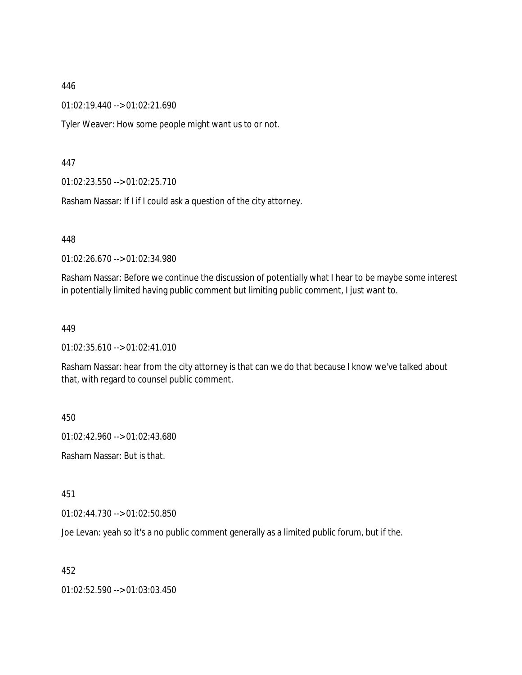01:02:19.440 --> 01:02:21.690

Tyler Weaver: How some people might want us to or not.

447

01:02:23.550 --> 01:02:25.710

Rasham Nassar: If I if I could ask a question of the city attorney.

448

01:02:26.670 --> 01:02:34.980

Rasham Nassar: Before we continue the discussion of potentially what I hear to be maybe some interest in potentially limited having public comment but limiting public comment, I just want to.

449

01:02:35.610 --> 01:02:41.010

Rasham Nassar: hear from the city attorney is that can we do that because I know we've talked about that, with regard to counsel public comment.

450

01:02:42.960 --> 01:02:43.680

Rasham Nassar: But is that.

451

01:02:44.730 --> 01:02:50.850

Joe Levan: yeah so it's a no public comment generally as a limited public forum, but if the.

452

01:02:52.590 --> 01:03:03.450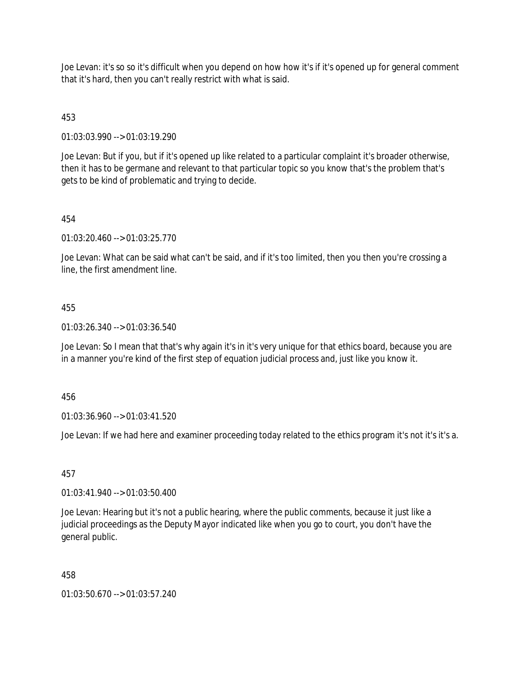Joe Levan: it's so so it's difficult when you depend on how how it's if it's opened up for general comment that it's hard, then you can't really restrict with what is said.

# 453

01:03:03.990 --> 01:03:19.290

Joe Levan: But if you, but if it's opened up like related to a particular complaint it's broader otherwise, then it has to be germane and relevant to that particular topic so you know that's the problem that's gets to be kind of problematic and trying to decide.

# 454

01:03:20.460 --> 01:03:25.770

Joe Levan: What can be said what can't be said, and if it's too limited, then you then you're crossing a line, the first amendment line.

# 455

01:03:26.340 --> 01:03:36.540

Joe Levan: So I mean that that's why again it's in it's very unique for that ethics board, because you are in a manner you're kind of the first step of equation judicial process and, just like you know it.

## 456

01:03:36.960 --> 01:03:41.520

Joe Levan: If we had here and examiner proceeding today related to the ethics program it's not it's it's a.

## 457

01:03:41.940 --> 01:03:50.400

Joe Levan: Hearing but it's not a public hearing, where the public comments, because it just like a judicial proceedings as the Deputy Mayor indicated like when you go to court, you don't have the general public.

## 458

01:03:50.670 --> 01:03:57.240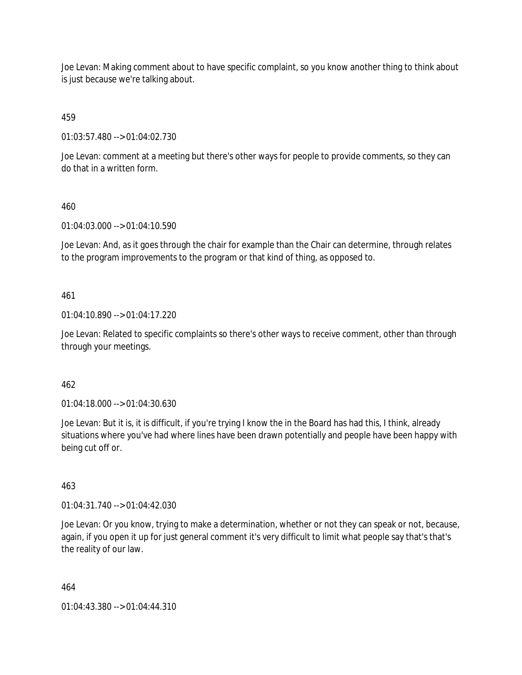Joe Levan: Making comment about to have specific complaint, so you know another thing to think about is just because we're talking about.

459

01:03:57.480 --> 01:04:02.730

Joe Levan: comment at a meeting but there's other ways for people to provide comments, so they can do that in a written form.

# 460

01:04:03.000 --> 01:04:10.590

Joe Levan: And, as it goes through the chair for example than the Chair can determine, through relates to the program improvements to the program or that kind of thing, as opposed to.

# 461

01:04:10.890 --> 01:04:17.220

Joe Levan: Related to specific complaints so there's other ways to receive comment, other than through through your meetings.

## 462

01:04:18.000 --> 01:04:30.630

Joe Levan: But it is, it is difficult, if you're trying I know the in the Board has had this, I think, already situations where you've had where lines have been drawn potentially and people have been happy with being cut off or.

## 463

01:04:31.740 --> 01:04:42.030

Joe Levan: Or you know, trying to make a determination, whether or not they can speak or not, because, again, if you open it up for just general comment it's very difficult to limit what people say that's that's the reality of our law.

464

01:04:43.380 --> 01:04:44.310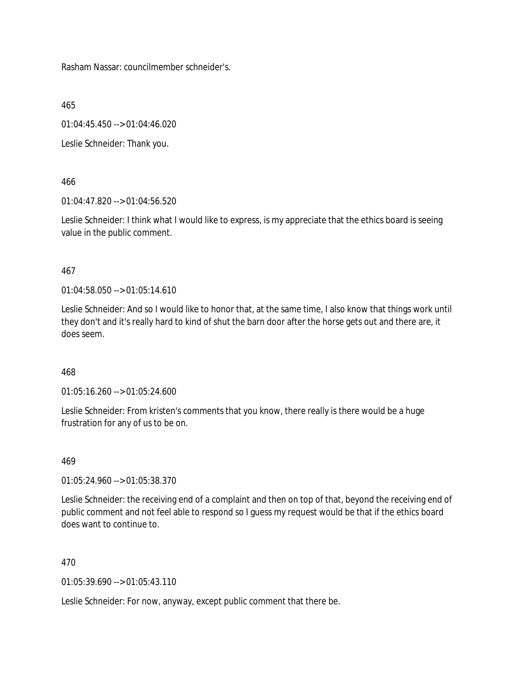Rasham Nassar: councilmember schneider's.

465

01:04:45.450 --> 01:04:46.020

Leslie Schneider: Thank you.

# 466

01:04:47.820 --> 01:04:56.520

Leslie Schneider: I think what I would like to express, is my appreciate that the ethics board is seeing value in the public comment.

# 467

01:04:58.050 --> 01:05:14.610

Leslie Schneider: And so I would like to honor that, at the same time, I also know that things work until they don't and it's really hard to kind of shut the barn door after the horse gets out and there are, it does seem.

# 468

01:05:16.260 --> 01:05:24.600

Leslie Schneider: From kristen's comments that you know, there really is there would be a huge frustration for any of us to be on.

## 469

01:05:24.960 --> 01:05:38.370

Leslie Schneider: the receiving end of a complaint and then on top of that, beyond the receiving end of public comment and not feel able to respond so I guess my request would be that if the ethics board does want to continue to.

# 470

01:05:39.690 --> 01:05:43.110

Leslie Schneider: For now, anyway, except public comment that there be.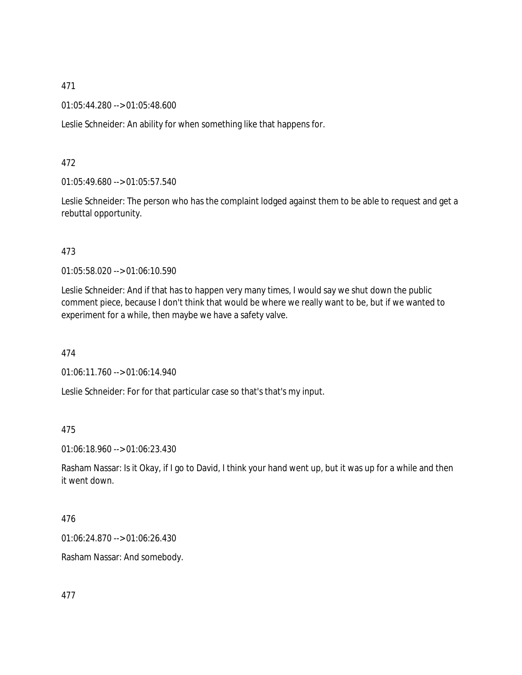01:05:44.280 --> 01:05:48.600

Leslie Schneider: An ability for when something like that happens for.

## 472

01:05:49.680 --> 01:05:57.540

Leslie Schneider: The person who has the complaint lodged against them to be able to request and get a rebuttal opportunity.

# 473

01:05:58.020 --> 01:06:10.590

Leslie Schneider: And if that has to happen very many times, I would say we shut down the public comment piece, because I don't think that would be where we really want to be, but if we wanted to experiment for a while, then maybe we have a safety valve.

## 474

01:06:11.760 --> 01:06:14.940

Leslie Schneider: For for that particular case so that's that's my input.

## 475

01:06:18.960 --> 01:06:23.430

Rasham Nassar: Is it Okay, if I go to David, I think your hand went up, but it was up for a while and then it went down.

#### 476

01:06:24.870 --> 01:06:26.430

Rasham Nassar: And somebody.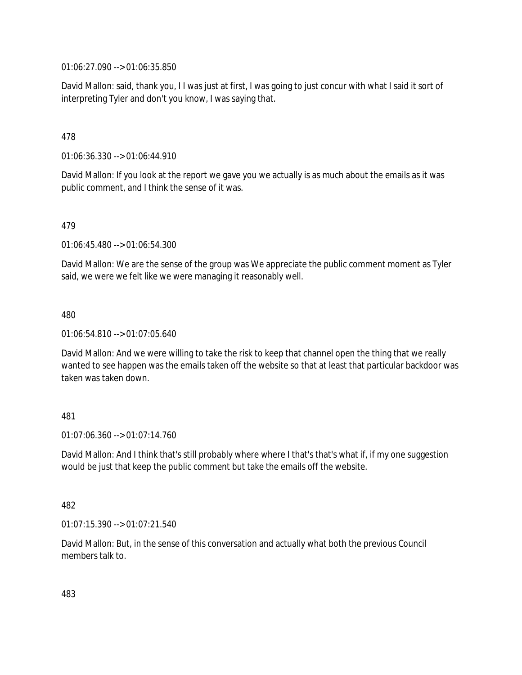01:06:27.090 --> 01:06:35.850

David Mallon: said, thank you, I I was just at first, I was going to just concur with what I said it sort of interpreting Tyler and don't you know, I was saying that.

# 478

01:06:36.330 --> 01:06:44.910

David Mallon: If you look at the report we gave you we actually is as much about the emails as it was public comment, and I think the sense of it was.

## 479

01:06:45.480 --> 01:06:54.300

David Mallon: We are the sense of the group was We appreciate the public comment moment as Tyler said, we were we felt like we were managing it reasonably well.

#### 480

01:06:54.810 --> 01:07:05.640

David Mallon: And we were willing to take the risk to keep that channel open the thing that we really wanted to see happen was the emails taken off the website so that at least that particular backdoor was taken was taken down.

## 481

01:07:06.360 --> 01:07:14.760

David Mallon: And I think that's still probably where where I that's that's what if, if my one suggestion would be just that keep the public comment but take the emails off the website.

## 482

01:07:15.390 --> 01:07:21.540

David Mallon: But, in the sense of this conversation and actually what both the previous Council members talk to.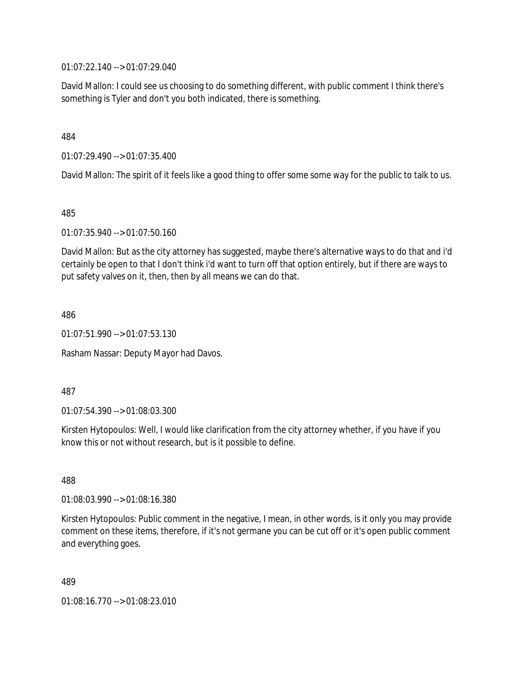01:07:22.140 --> 01:07:29.040

David Mallon: I could see us choosing to do something different, with public comment I think there's something is Tyler and don't you both indicated, there is something.

## 484

01:07:29.490 --> 01:07:35.400

David Mallon: The spirit of it feels like a good thing to offer some some way for the public to talk to us.

#### 485

01:07:35.940 --> 01:07:50.160

David Mallon: But as the city attorney has suggested, maybe there's alternative ways to do that and i'd certainly be open to that I don't think i'd want to turn off that option entirely, but if there are ways to put safety valves on it, then, then by all means we can do that.

#### 486

01:07:51.990 --> 01:07:53.130

Rasham Nassar: Deputy Mayor had Davos.

#### 487

01:07:54.390 --> 01:08:03.300

Kirsten Hytopoulos: Well, I would like clarification from the city attorney whether, if you have if you know this or not without research, but is it possible to define.

# 488

01:08:03.990 --> 01:08:16.380

Kirsten Hytopoulos: Public comment in the negative, I mean, in other words, is it only you may provide comment on these items, therefore, if it's not germane you can be cut off or it's open public comment and everything goes.

#### 489

01:08:16.770 --> 01:08:23.010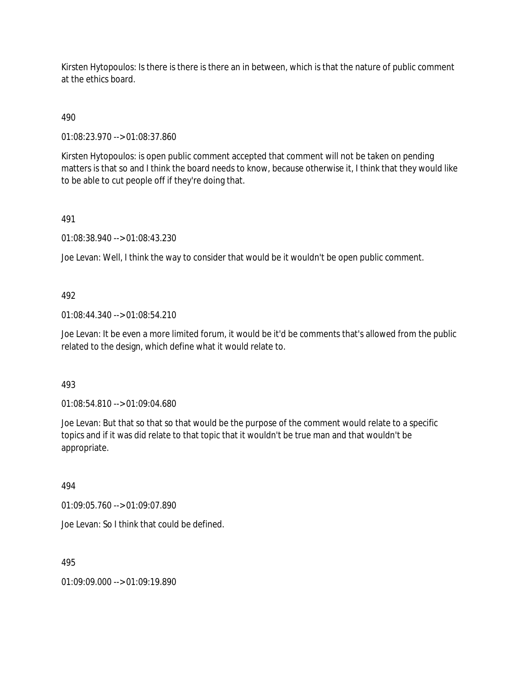Kirsten Hytopoulos: Is there is there is there an in between, which is that the nature of public comment at the ethics board.

# 490

01:08:23.970 --> 01:08:37.860

Kirsten Hytopoulos: is open public comment accepted that comment will not be taken on pending matters is that so and I think the board needs to know, because otherwise it, I think that they would like to be able to cut people off if they're doing that.

# 491

01:08:38.940 --> 01:08:43.230

Joe Levan: Well, I think the way to consider that would be it wouldn't be open public comment.

# 492

01:08:44.340 --> 01:08:54.210

Joe Levan: It be even a more limited forum, it would be it'd be comments that's allowed from the public related to the design, which define what it would relate to.

## 493

01:08:54.810 --> 01:09:04.680

Joe Levan: But that so that so that would be the purpose of the comment would relate to a specific topics and if it was did relate to that topic that it wouldn't be true man and that wouldn't be appropriate.

## 494

01:09:05.760 --> 01:09:07.890

Joe Levan: So I think that could be defined.

495

01:09:09.000 --> 01:09:19.890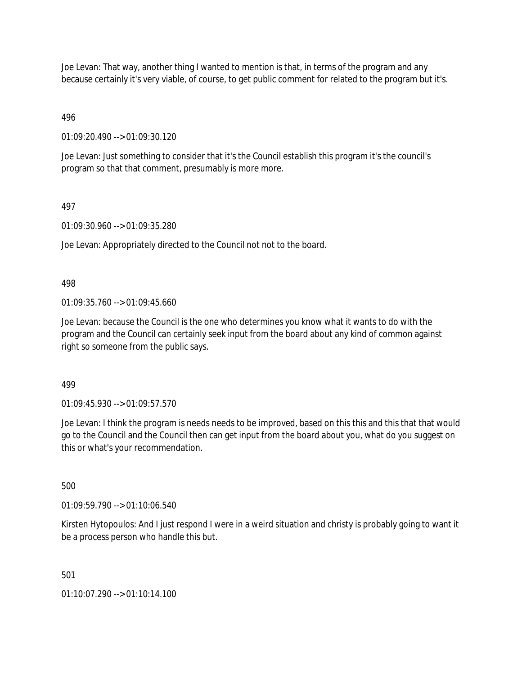Joe Levan: That way, another thing I wanted to mention is that, in terms of the program and any because certainly it's very viable, of course, to get public comment for related to the program but it's.

496

01:09:20.490 --> 01:09:30.120

Joe Levan: Just something to consider that it's the Council establish this program it's the council's program so that that comment, presumably is more more.

# 497

01:09:30.960 --> 01:09:35.280

Joe Levan: Appropriately directed to the Council not not to the board.

498

01:09:35.760 --> 01:09:45.660

Joe Levan: because the Council is the one who determines you know what it wants to do with the program and the Council can certainly seek input from the board about any kind of common against right so someone from the public says.

499

01:09:45.930 --> 01:09:57.570

Joe Levan: I think the program is needs needs to be improved, based on this this and this that that would go to the Council and the Council then can get input from the board about you, what do you suggest on this or what's your recommendation.

500

01:09:59.790 --> 01:10:06.540

Kirsten Hytopoulos: And I just respond I were in a weird situation and christy is probably going to want it be a process person who handle this but.

501

01:10:07.290 --> 01:10:14.100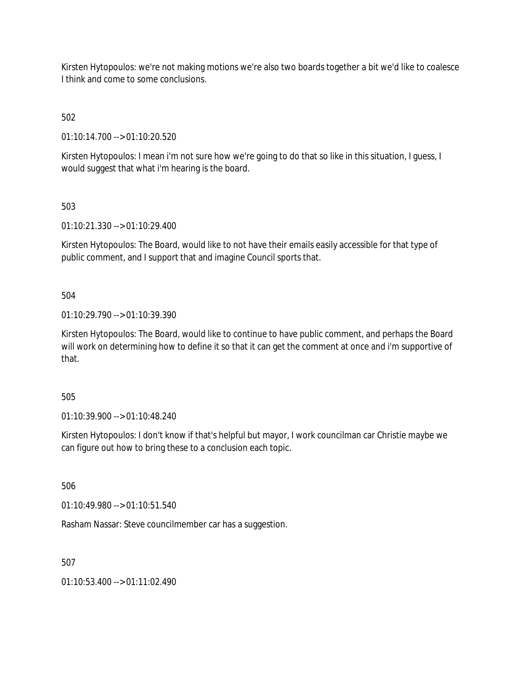Kirsten Hytopoulos: we're not making motions we're also two boards together a bit we'd like to coalesce I think and come to some conclusions.

502

01:10:14.700 --> 01:10:20.520

Kirsten Hytopoulos: I mean i'm not sure how we're going to do that so like in this situation, I guess, I would suggest that what i'm hearing is the board.

503

01:10:21.330 --> 01:10:29.400

Kirsten Hytopoulos: The Board, would like to not have their emails easily accessible for that type of public comment, and I support that and imagine Council sports that.

504

01:10:29.790 --> 01:10:39.390

Kirsten Hytopoulos: The Board, would like to continue to have public comment, and perhaps the Board will work on determining how to define it so that it can get the comment at once and i'm supportive of that.

505

01:10:39.900 --> 01:10:48.240

Kirsten Hytopoulos: I don't know if that's helpful but mayor, I work councilman car Christie maybe we can figure out how to bring these to a conclusion each topic.

506

01:10:49.980 --> 01:10:51.540

Rasham Nassar: Steve councilmember car has a suggestion.

507

01:10:53.400 --> 01:11:02.490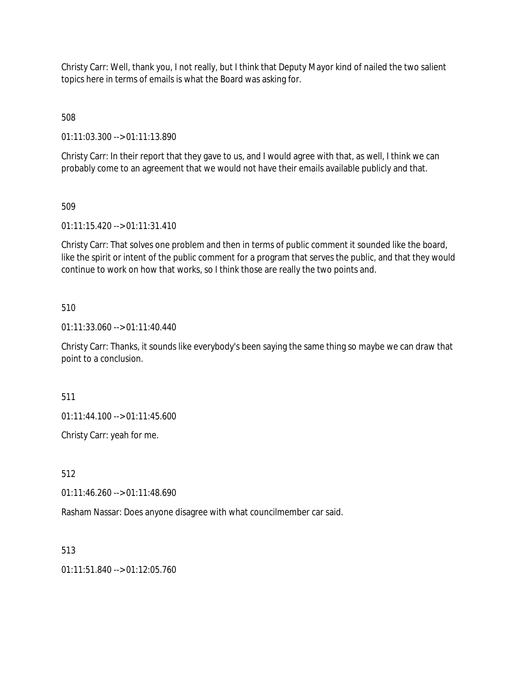Christy Carr: Well, thank you, I not really, but I think that Deputy Mayor kind of nailed the two salient topics here in terms of emails is what the Board was asking for.

508

01:11:03.300 --> 01:11:13.890

Christy Carr: In their report that they gave to us, and I would agree with that, as well, I think we can probably come to an agreement that we would not have their emails available publicly and that.

509

01:11:15.420 --> 01:11:31.410

Christy Carr: That solves one problem and then in terms of public comment it sounded like the board, like the spirit or intent of the public comment for a program that serves the public, and that they would continue to work on how that works, so I think those are really the two points and.

## 510

01:11:33.060 --> 01:11:40.440

Christy Carr: Thanks, it sounds like everybody's been saying the same thing so maybe we can draw that point to a conclusion.

511

01:11:44.100 --> 01:11:45.600

Christy Carr: yeah for me.

512

01:11:46.260 --> 01:11:48.690

Rasham Nassar: Does anyone disagree with what councilmember car said.

513

 $01:11:51.840 \rightarrow 01:12:05.760$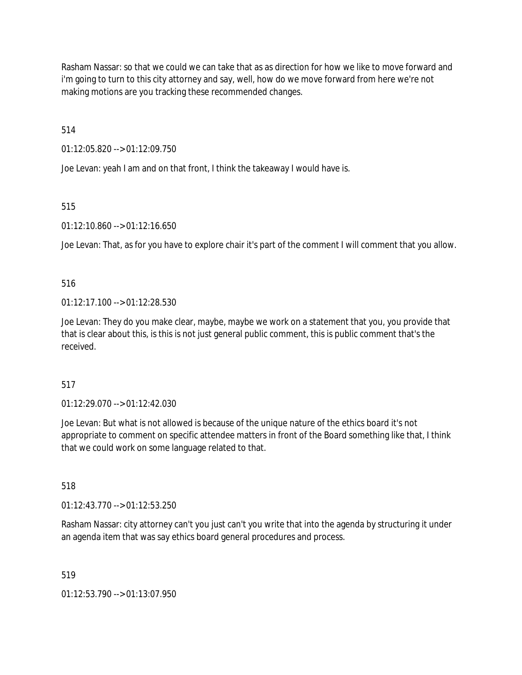Rasham Nassar: so that we could we can take that as as direction for how we like to move forward and i'm going to turn to this city attorney and say, well, how do we move forward from here we're not making motions are you tracking these recommended changes.

514

01:12:05.820 --> 01:12:09.750

Joe Levan: yeah I am and on that front, I think the takeaway I would have is.

515

01:12:10.860 --> 01:12:16.650

Joe Levan: That, as for you have to explore chair it's part of the comment I will comment that you allow.

516

 $01:12:17.100 \rightarrow 01:12:28.530$ 

Joe Levan: They do you make clear, maybe, maybe we work on a statement that you, you provide that that is clear about this, is this is not just general public comment, this is public comment that's the received.

517

01:12:29.070 --> 01:12:42.030

Joe Levan: But what is not allowed is because of the unique nature of the ethics board it's not appropriate to comment on specific attendee matters in front of the Board something like that, I think that we could work on some language related to that.

518

01:12:43.770 --> 01:12:53.250

Rasham Nassar: city attorney can't you just can't you write that into the agenda by structuring it under an agenda item that was say ethics board general procedures and process.

519

01:12:53.790 --> 01:13:07.950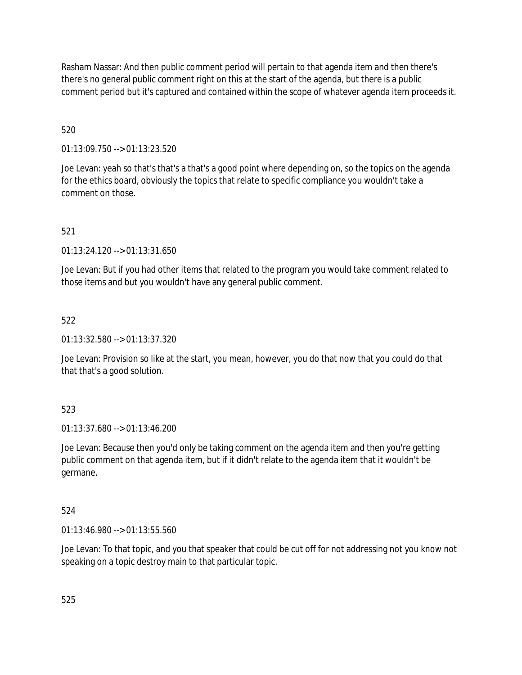Rasham Nassar: And then public comment period will pertain to that agenda item and then there's there's no general public comment right on this at the start of the agenda, but there is a public comment period but it's captured and contained within the scope of whatever agenda item proceeds it.

# 520

01:13:09.750 --> 01:13:23.520

Joe Levan: yeah so that's that's a that's a good point where depending on, so the topics on the agenda for the ethics board, obviously the topics that relate to specific compliance you wouldn't take a comment on those.

# 521

01:13:24.120 --> 01:13:31.650

Joe Levan: But if you had other items that related to the program you would take comment related to those items and but you wouldn't have any general public comment.

# 522

01:13:32.580 --> 01:13:37.320

Joe Levan: Provision so like at the start, you mean, however, you do that now that you could do that that that's a good solution.

# 523

01:13:37.680 --> 01:13:46.200

Joe Levan: Because then you'd only be taking comment on the agenda item and then you're getting public comment on that agenda item, but if it didn't relate to the agenda item that it wouldn't be germane.

# 524

01:13:46.980 --> 01:13:55.560

Joe Levan: To that topic, and you that speaker that could be cut off for not addressing not you know not speaking on a topic destroy main to that particular topic.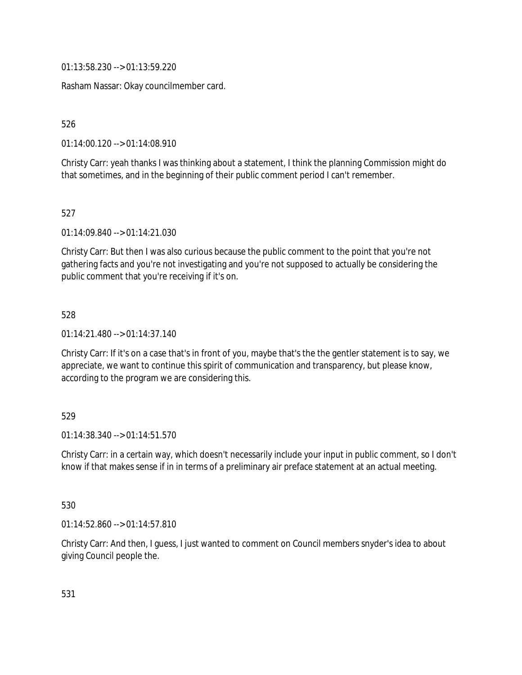01:13:58.230 --> 01:13:59.220

Rasham Nassar: Okay councilmember card.

526

01:14:00.120 --> 01:14:08.910

Christy Carr: yeah thanks I was thinking about a statement, I think the planning Commission might do that sometimes, and in the beginning of their public comment period I can't remember.

527

01:14:09.840 --> 01:14:21.030

Christy Carr: But then I was also curious because the public comment to the point that you're not gathering facts and you're not investigating and you're not supposed to actually be considering the public comment that you're receiving if it's on.

528

01:14:21.480 --> 01:14:37.140

Christy Carr: If it's on a case that's in front of you, maybe that's the the gentler statement is to say, we appreciate, we want to continue this spirit of communication and transparency, but please know, according to the program we are considering this.

## 529

01:14:38.340 --> 01:14:51.570

Christy Carr: in a certain way, which doesn't necessarily include your input in public comment, so I don't know if that makes sense if in in terms of a preliminary air preface statement at an actual meeting.

530

01:14:52.860 --> 01:14:57.810

Christy Carr: And then, I guess, I just wanted to comment on Council members snyder's idea to about giving Council people the.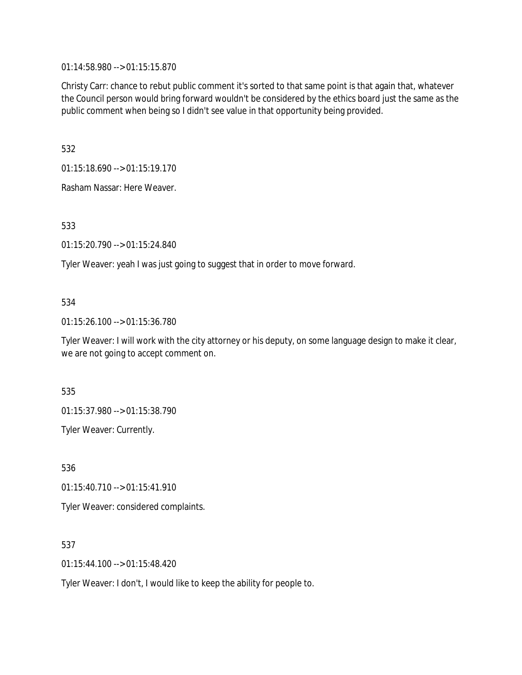01:14:58.980 --> 01:15:15.870

Christy Carr: chance to rebut public comment it's sorted to that same point is that again that, whatever the Council person would bring forward wouldn't be considered by the ethics board just the same as the public comment when being so I didn't see value in that opportunity being provided.

532

01:15:18.690 --> 01:15:19.170

Rasham Nassar: Here Weaver.

533

01:15:20.790 --> 01:15:24.840

Tyler Weaver: yeah I was just going to suggest that in order to move forward.

# 534

01:15:26.100 --> 01:15:36.780

Tyler Weaver: I will work with the city attorney or his deputy, on some language design to make it clear, we are not going to accept comment on.

535

01:15:37.980 --> 01:15:38.790

Tyler Weaver: Currently.

536 01:15:40.710 --> 01:15:41.910 Tyler Weaver: considered complaints.

537

01:15:44.100 --> 01:15:48.420

Tyler Weaver: I don't, I would like to keep the ability for people to.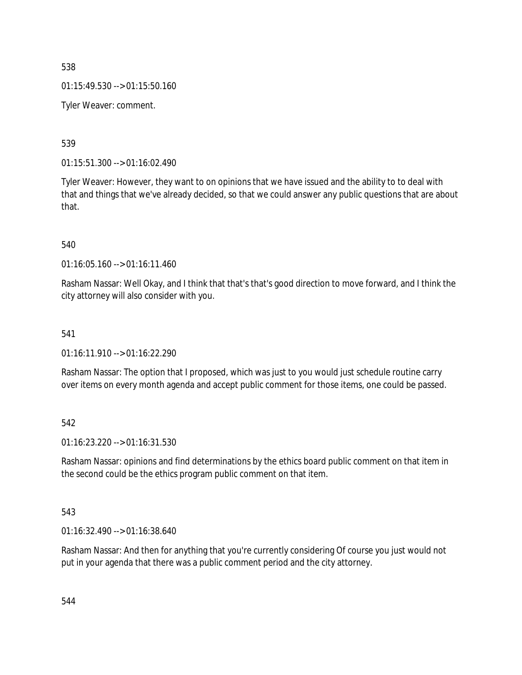$01:15:49.530 \rightarrow 01:15:50.160$ 

Tyler Weaver: comment.

539

01:15:51.300 --> 01:16:02.490

Tyler Weaver: However, they want to on opinions that we have issued and the ability to to deal with that and things that we've already decided, so that we could answer any public questions that are about that.

540

01:16:05.160 --> 01:16:11.460

Rasham Nassar: Well Okay, and I think that that's that's good direction to move forward, and I think the city attorney will also consider with you.

# 541

01:16:11.910 --> 01:16:22.290

Rasham Nassar: The option that I proposed, which was just to you would just schedule routine carry over items on every month agenda and accept public comment for those items, one could be passed.

542

01:16:23.220 --> 01:16:31.530

Rasham Nassar: opinions and find determinations by the ethics board public comment on that item in the second could be the ethics program public comment on that item.

543

01:16:32.490 --> 01:16:38.640

Rasham Nassar: And then for anything that you're currently considering Of course you just would not put in your agenda that there was a public comment period and the city attorney.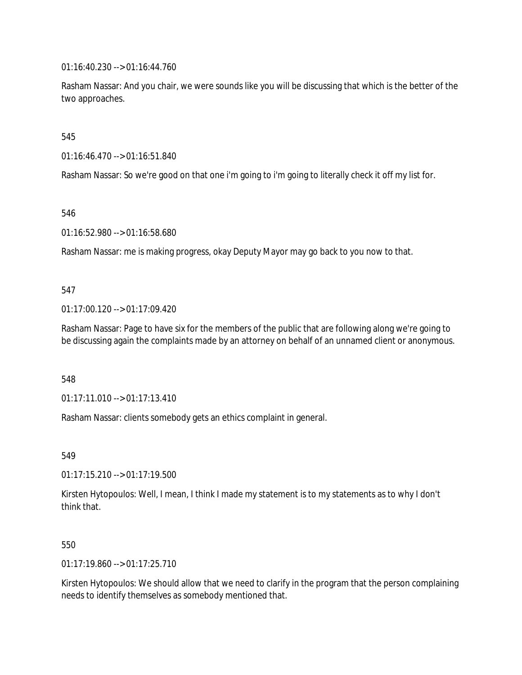01:16:40.230 --> 01:16:44.760

Rasham Nassar: And you chair, we were sounds like you will be discussing that which is the better of the two approaches.

545

01:16:46.470 --> 01:16:51.840

Rasham Nassar: So we're good on that one i'm going to i'm going to literally check it off my list for.

546

01:16:52.980 --> 01:16:58.680

Rasham Nassar: me is making progress, okay Deputy Mayor may go back to you now to that.

#### 547

01:17:00.120 --> 01:17:09.420

Rasham Nassar: Page to have six for the members of the public that are following along we're going to be discussing again the complaints made by an attorney on behalf of an unnamed client or anonymous.

548

01:17:11.010 --> 01:17:13.410

Rasham Nassar: clients somebody gets an ethics complaint in general.

549

01:17:15.210 --> 01:17:19.500

Kirsten Hytopoulos: Well, I mean, I think I made my statement is to my statements as to why I don't think that.

## 550

01:17:19.860 --> 01:17:25.710

Kirsten Hytopoulos: We should allow that we need to clarify in the program that the person complaining needs to identify themselves as somebody mentioned that.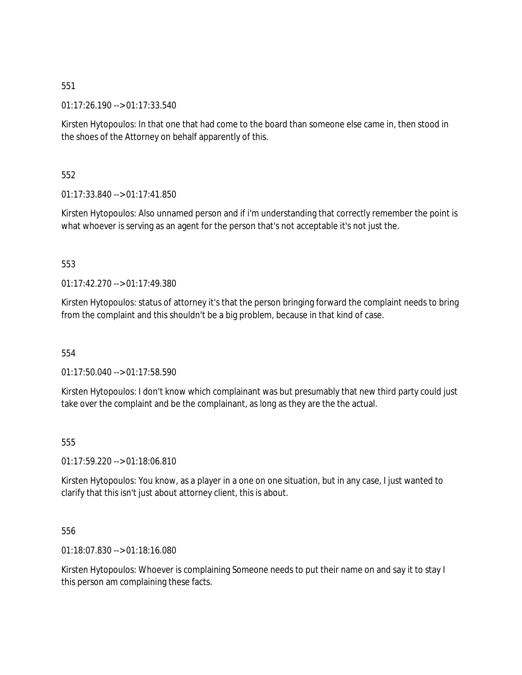01:17:26.190 --> 01:17:33.540

Kirsten Hytopoulos: In that one that had come to the board than someone else came in, then stood in the shoes of the Attorney on behalf apparently of this.

552

01:17:33.840 --> 01:17:41.850

Kirsten Hytopoulos: Also unnamed person and if i'm understanding that correctly remember the point is what whoever is serving as an agent for the person that's not acceptable it's not just the.

553

 $01:17:42.270 \rightarrow 01:17:49.380$ 

Kirsten Hytopoulos: status of attorney it's that the person bringing forward the complaint needs to bring from the complaint and this shouldn't be a big problem, because in that kind of case.

554

01:17:50.040 --> 01:17:58.590

Kirsten Hytopoulos: I don't know which complainant was but presumably that new third party could just take over the complaint and be the complainant, as long as they are the the actual.

555

01:17:59.220 --> 01:18:06.810

Kirsten Hytopoulos: You know, as a player in a one on one situation, but in any case, I just wanted to clarify that this isn't just about attorney client, this is about.

556

01:18:07.830 --> 01:18:16.080

Kirsten Hytopoulos: Whoever is complaining Someone needs to put their name on and say it to stay I this person am complaining these facts.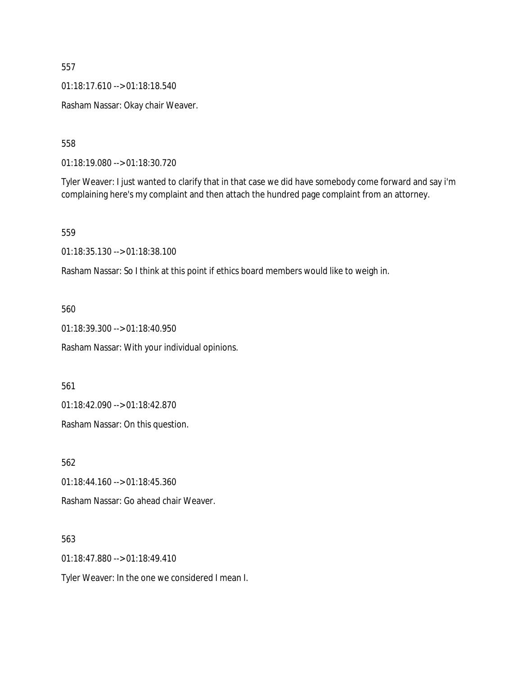01:18:17.610 --> 01:18:18.540

Rasham Nassar: Okay chair Weaver.

558

01:18:19.080 --> 01:18:30.720

Tyler Weaver: I just wanted to clarify that in that case we did have somebody come forward and say i'm complaining here's my complaint and then attach the hundred page complaint from an attorney.

559

01:18:35.130 --> 01:18:38.100

Rasham Nassar: So I think at this point if ethics board members would like to weigh in.

560

01:18:39.300 --> 01:18:40.950

Rasham Nassar: With your individual opinions.

561

01:18:42.090 --> 01:18:42.870

Rasham Nassar: On this question.

562

01:18:44.160 --> 01:18:45.360

Rasham Nassar: Go ahead chair Weaver.

563

01:18:47.880 --> 01:18:49.410

Tyler Weaver: In the one we considered I mean I.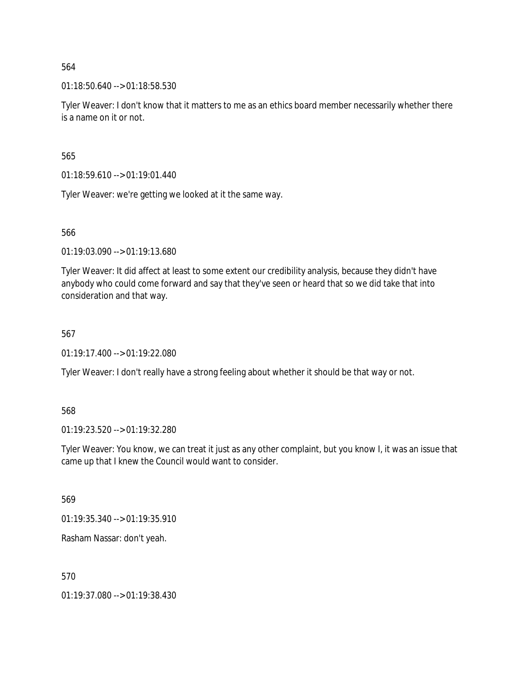01:18:50.640 --> 01:18:58.530

Tyler Weaver: I don't know that it matters to me as an ethics board member necessarily whether there is a name on it or not.

565

01:18:59.610 --> 01:19:01.440

Tyler Weaver: we're getting we looked at it the same way.

566

01:19:03.090 --> 01:19:13.680

Tyler Weaver: It did affect at least to some extent our credibility analysis, because they didn't have anybody who could come forward and say that they've seen or heard that so we did take that into consideration and that way.

### 567

01:19:17.400 --> 01:19:22.080

Tyler Weaver: I don't really have a strong feeling about whether it should be that way or not.

## 568

01:19:23.520 --> 01:19:32.280

Tyler Weaver: You know, we can treat it just as any other complaint, but you know I, it was an issue that came up that I knew the Council would want to consider.

569

01:19:35.340 --> 01:19:35.910

Rasham Nassar: don't yeah.

570

01:19:37.080 --> 01:19:38.430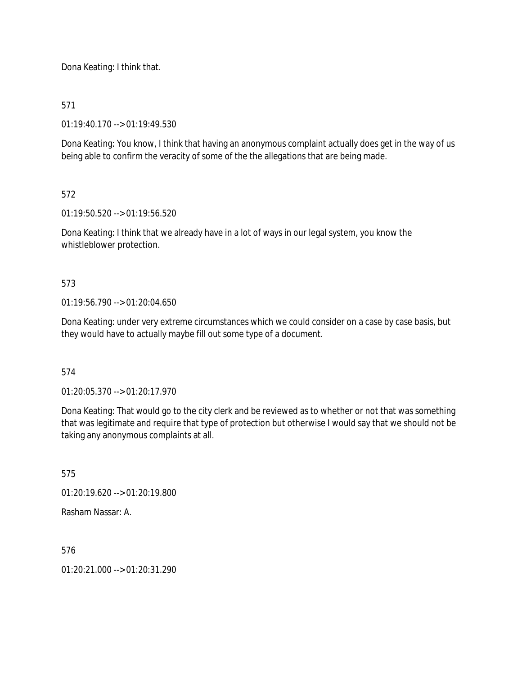Dona Keating: I think that.

# 571

01:19:40.170 --> 01:19:49.530

Dona Keating: You know, I think that having an anonymous complaint actually does get in the way of us being able to confirm the veracity of some of the the allegations that are being made.

# 572

01:19:50.520 --> 01:19:56.520

Dona Keating: I think that we already have in a lot of ways in our legal system, you know the whistleblower protection.

# 573

01:19:56.790 --> 01:20:04.650

Dona Keating: under very extreme circumstances which we could consider on a case by case basis, but they would have to actually maybe fill out some type of a document.

## 574

01:20:05.370 --> 01:20:17.970

Dona Keating: That would go to the city clerk and be reviewed as to whether or not that was something that was legitimate and require that type of protection but otherwise I would say that we should not be taking any anonymous complaints at all.

575

01:20:19.620 --> 01:20:19.800

Rasham Nassar: A.

576

 $01:20:21.000 \rightarrow 01:20:31.290$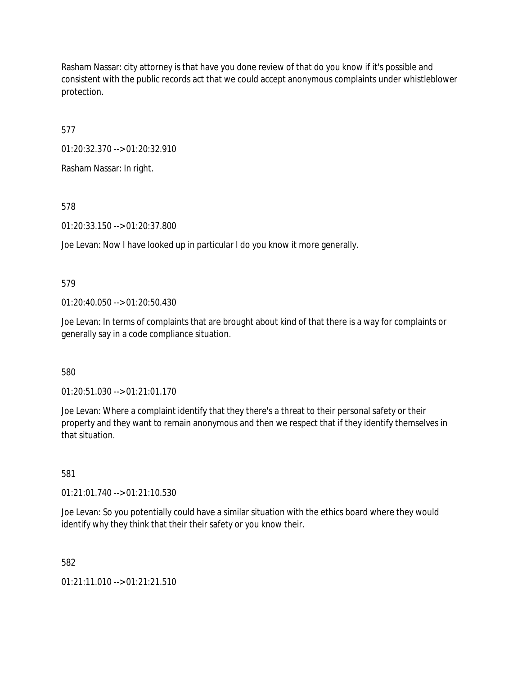Rasham Nassar: city attorney is that have you done review of that do you know if it's possible and consistent with the public records act that we could accept anonymous complaints under whistleblower protection.

577

01:20:32.370 --> 01:20:32.910

Rasham Nassar: In right.

578

01:20:33.150 --> 01:20:37.800

Joe Levan: Now I have looked up in particular I do you know it more generally.

579

01:20:40.050 --> 01:20:50.430

Joe Levan: In terms of complaints that are brought about kind of that there is a way for complaints or generally say in a code compliance situation.

580

01:20:51.030 --> 01:21:01.170

Joe Levan: Where a complaint identify that they there's a threat to their personal safety or their property and they want to remain anonymous and then we respect that if they identify themselves in that situation.

581

01:21:01.740 --> 01:21:10.530

Joe Levan: So you potentially could have a similar situation with the ethics board where they would identify why they think that their their safety or you know their.

582

01:21:11.010 --> 01:21:21.510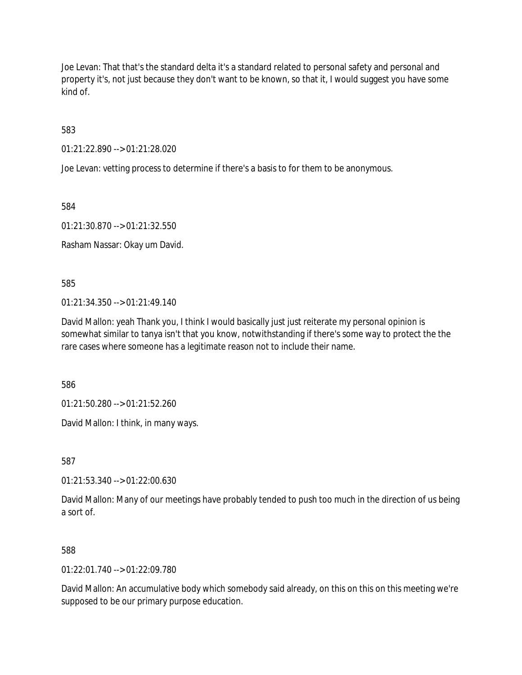Joe Levan: That that's the standard delta it's a standard related to personal safety and personal and property it's, not just because they don't want to be known, so that it, I would suggest you have some kind of.

583

01:21:22.890 --> 01:21:28.020

Joe Levan: vetting process to determine if there's a basis to for them to be anonymous.

584

01:21:30.870 --> 01:21:32.550

Rasham Nassar: Okay um David.

585

01:21:34.350 --> 01:21:49.140

David Mallon: yeah Thank you, I think I would basically just just reiterate my personal opinion is somewhat similar to tanya isn't that you know, notwithstanding if there's some way to protect the the rare cases where someone has a legitimate reason not to include their name.

586

01:21:50.280 --> 01:21:52.260

David Mallon: I think, in many ways.

587

01:21:53.340 --> 01:22:00.630

David Mallon: Many of our meetings have probably tended to push too much in the direction of us being a sort of.

588

 $01:22:01.740 \rightarrow 01:22:09.780$ 

David Mallon: An accumulative body which somebody said already, on this on this on this meeting we're supposed to be our primary purpose education.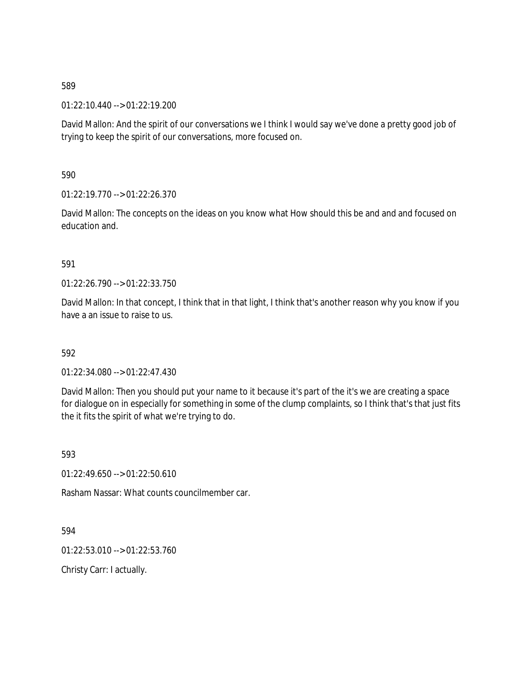01:22:10.440 --> 01:22:19.200

David Mallon: And the spirit of our conversations we I think I would say we've done a pretty good job of trying to keep the spirit of our conversations, more focused on.

590

01:22:19.770 --> 01:22:26.370

David Mallon: The concepts on the ideas on you know what How should this be and and and focused on education and.

591

01:22:26.790 --> 01:22:33.750

David Mallon: In that concept, I think that in that light, I think that's another reason why you know if you have a an issue to raise to us.

592

01:22:34.080 --> 01:22:47.430

David Mallon: Then you should put your name to it because it's part of the it's we are creating a space for dialogue on in especially for something in some of the clump complaints, so I think that's that just fits the it fits the spirit of what we're trying to do.

593

01:22:49.650 --> 01:22:50.610

Rasham Nassar: What counts councilmember car.

594

01:22:53.010 --> 01:22:53.760

Christy Carr: I actually.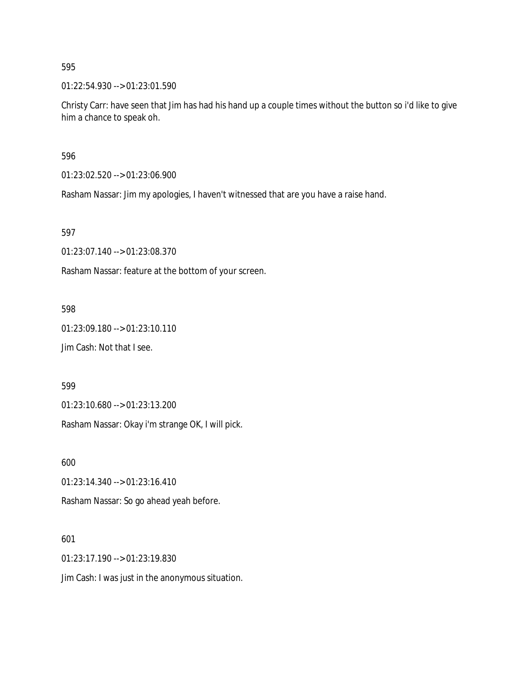01:22:54.930 --> 01:23:01.590

Christy Carr: have seen that Jim has had his hand up a couple times without the button so i'd like to give him a chance to speak oh.

596

01:23:02.520 --> 01:23:06.900

Rasham Nassar: Jim my apologies, I haven't witnessed that are you have a raise hand.

597

01:23:07.140 --> 01:23:08.370

Rasham Nassar: feature at the bottom of your screen.

598

01:23:09.180 --> 01:23:10.110

Jim Cash: Not that I see.

599

01:23:10.680 --> 01:23:13.200

Rasham Nassar: Okay i'm strange OK, I will pick.

600

01:23:14.340 --> 01:23:16.410

Rasham Nassar: So go ahead yeah before.

601

01:23:17.190 --> 01:23:19.830

Jim Cash: I was just in the anonymous situation.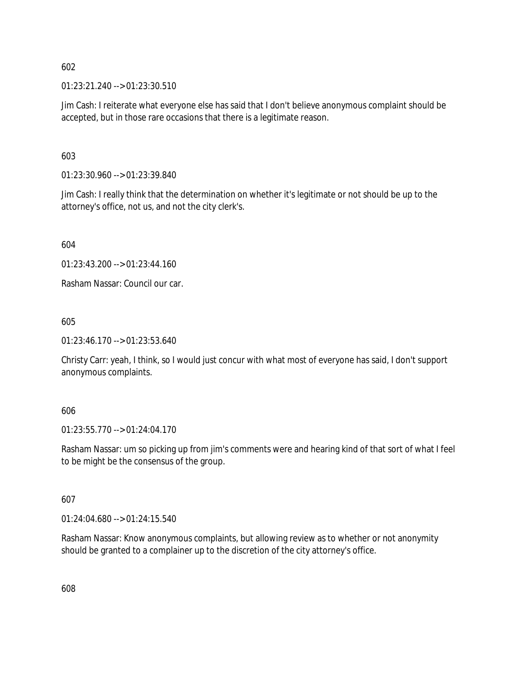01:23:21.240 --> 01:23:30.510

Jim Cash: I reiterate what everyone else has said that I don't believe anonymous complaint should be accepted, but in those rare occasions that there is a legitimate reason.

603

01:23:30.960 --> 01:23:39.840

Jim Cash: I really think that the determination on whether it's legitimate or not should be up to the attorney's office, not us, and not the city clerk's.

604

01:23:43.200 --> 01:23:44.160

Rasham Nassar: Council our car.

605

01:23:46.170 --> 01:23:53.640

Christy Carr: yeah, I think, so I would just concur with what most of everyone has said, I don't support anonymous complaints.

#### 606

01:23:55.770 --> 01:24:04.170

Rasham Nassar: um so picking up from jim's comments were and hearing kind of that sort of what I feel to be might be the consensus of the group.

## 607

01:24:04.680 --> 01:24:15.540

Rasham Nassar: Know anonymous complaints, but allowing review as to whether or not anonymity should be granted to a complainer up to the discretion of the city attorney's office.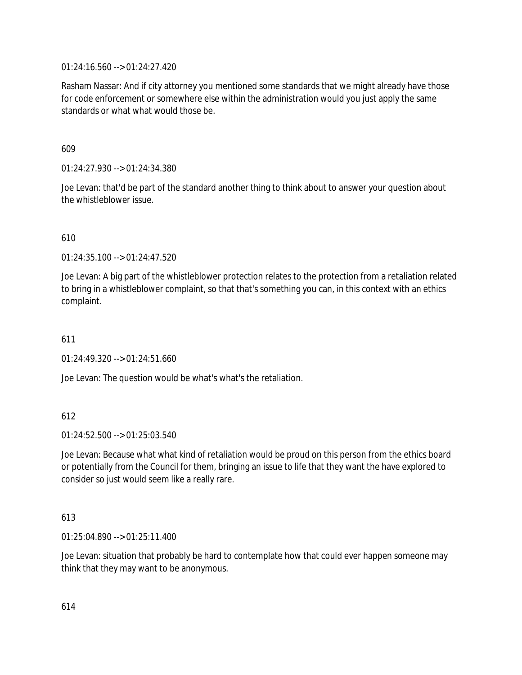01:24:16.560 --> 01:24:27.420

Rasham Nassar: And if city attorney you mentioned some standards that we might already have those for code enforcement or somewhere else within the administration would you just apply the same standards or what what would those be.

609

01:24:27.930 --> 01:24:34.380

Joe Levan: that'd be part of the standard another thing to think about to answer your question about the whistleblower issue.

610

01:24:35.100 --> 01:24:47.520

Joe Levan: A big part of the whistleblower protection relates to the protection from a retaliation related to bring in a whistleblower complaint, so that that's something you can, in this context with an ethics complaint.

611

 $01:24:49.320 \rightarrow 01:24:51.660$ 

Joe Levan: The question would be what's what's the retaliation.

612

 $01:24:52.500 \rightarrow 01:25:03.540$ 

Joe Levan: Because what what kind of retaliation would be proud on this person from the ethics board or potentially from the Council for them, bringing an issue to life that they want the have explored to consider so just would seem like a really rare.

## 613

01:25:04.890 --> 01:25:11.400

Joe Levan: situation that probably be hard to contemplate how that could ever happen someone may think that they may want to be anonymous.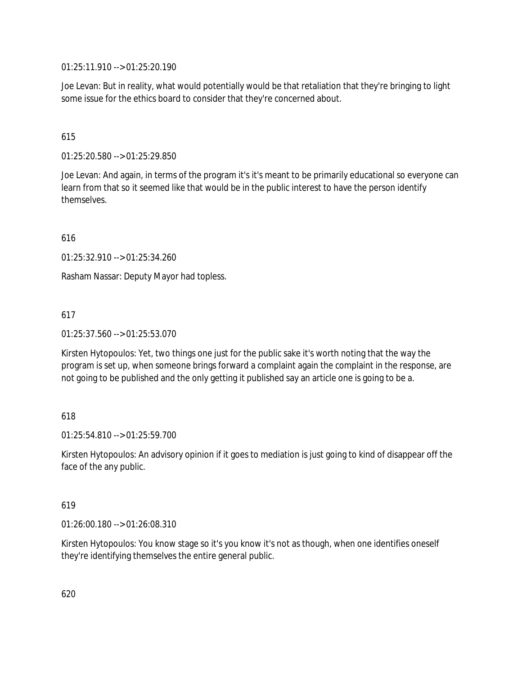01:25:11.910 --> 01:25:20.190

Joe Levan: But in reality, what would potentially would be that retaliation that they're bringing to light some issue for the ethics board to consider that they're concerned about.

# 615

01:25:20.580 --> 01:25:29.850

Joe Levan: And again, in terms of the program it's it's meant to be primarily educational so everyone can learn from that so it seemed like that would be in the public interest to have the person identify themselves.

616

01:25:32.910 --> 01:25:34.260

Rasham Nassar: Deputy Mayor had topless.

# 617

01:25:37.560 --> 01:25:53.070

Kirsten Hytopoulos: Yet, two things one just for the public sake it's worth noting that the way the program is set up, when someone brings forward a complaint again the complaint in the response, are not going to be published and the only getting it published say an article one is going to be a.

## 618

01:25:54.810 --> 01:25:59.700

Kirsten Hytopoulos: An advisory opinion if it goes to mediation is just going to kind of disappear off the face of the any public.

## 619

01:26:00.180 --> 01:26:08.310

Kirsten Hytopoulos: You know stage so it's you know it's not as though, when one identifies oneself they're identifying themselves the entire general public.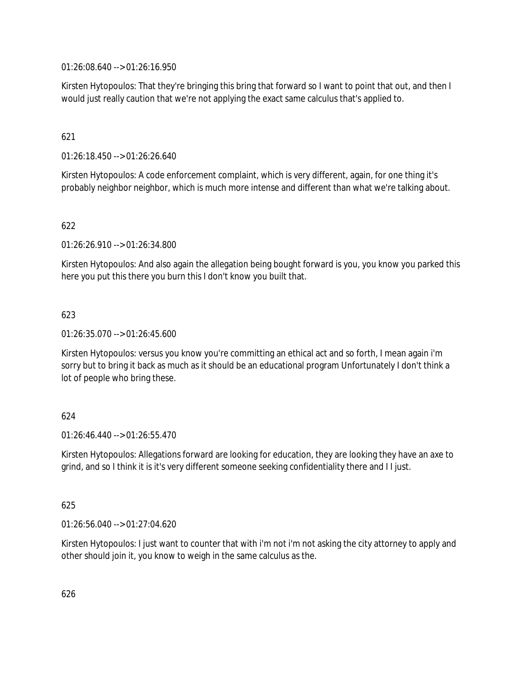01:26:08.640 --> 01:26:16.950

Kirsten Hytopoulos: That they're bringing this bring that forward so I want to point that out, and then I would just really caution that we're not applying the exact same calculus that's applied to.

# 621

01:26:18.450 --> 01:26:26.640

Kirsten Hytopoulos: A code enforcement complaint, which is very different, again, for one thing it's probably neighbor neighbor, which is much more intense and different than what we're talking about.

# 622

01:26:26.910 --> 01:26:34.800

Kirsten Hytopoulos: And also again the allegation being bought forward is you, you know you parked this here you put this there you burn this I don't know you built that.

# 623

01:26:35.070 --> 01:26:45.600

Kirsten Hytopoulos: versus you know you're committing an ethical act and so forth, I mean again i'm sorry but to bring it back as much as it should be an educational program Unfortunately I don't think a lot of people who bring these.

## 624

01:26:46.440 --> 01:26:55.470

Kirsten Hytopoulos: Allegations forward are looking for education, they are looking they have an axe to grind, and so I think it is it's very different someone seeking confidentiality there and I I just.

## 625

01:26:56.040 --> 01:27:04.620

Kirsten Hytopoulos: I just want to counter that with i'm not i'm not asking the city attorney to apply and other should join it, you know to weigh in the same calculus as the.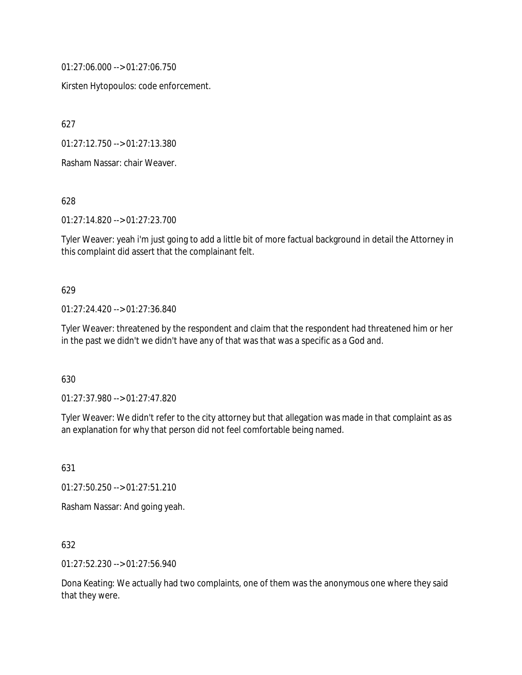01:27:06.000 --> 01:27:06.750

Kirsten Hytopoulos: code enforcement.

627

01:27:12.750 --> 01:27:13.380

Rasham Nassar: chair Weaver.

628

01:27:14.820 --> 01:27:23.700

Tyler Weaver: yeah i'm just going to add a little bit of more factual background in detail the Attorney in this complaint did assert that the complainant felt.

#### 629

01:27:24.420 --> 01:27:36.840

Tyler Weaver: threatened by the respondent and claim that the respondent had threatened him or her in the past we didn't we didn't have any of that was that was a specific as a God and.

630

01:27:37.980 --> 01:27:47.820

Tyler Weaver: We didn't refer to the city attorney but that allegation was made in that complaint as as an explanation for why that person did not feel comfortable being named.

631

01:27:50.250 --> 01:27:51.210

Rasham Nassar: And going yeah.

632

01:27:52.230 --> 01:27:56.940

Dona Keating: We actually had two complaints, one of them was the anonymous one where they said that they were.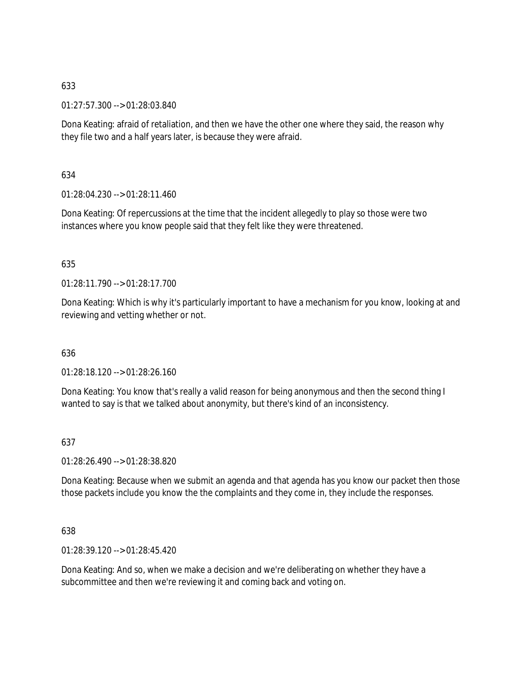01:27:57.300 --> 01:28:03.840

Dona Keating: afraid of retaliation, and then we have the other one where they said, the reason why they file two and a half years later, is because they were afraid.

634

01:28:04.230 --> 01:28:11.460

Dona Keating: Of repercussions at the time that the incident allegedly to play so those were two instances where you know people said that they felt like they were threatened.

## 635

01:28:11.790 --> 01:28:17.700

Dona Keating: Which is why it's particularly important to have a mechanism for you know, looking at and reviewing and vetting whether or not.

636

01:28:18.120 --> 01:28:26.160

Dona Keating: You know that's really a valid reason for being anonymous and then the second thing I wanted to say is that we talked about anonymity, but there's kind of an inconsistency.

637

01:28:26.490 --> 01:28:38.820

Dona Keating: Because when we submit an agenda and that agenda has you know our packet then those those packets include you know the the complaints and they come in, they include the responses.

638

01:28:39.120 --> 01:28:45.420

Dona Keating: And so, when we make a decision and we're deliberating on whether they have a subcommittee and then we're reviewing it and coming back and voting on.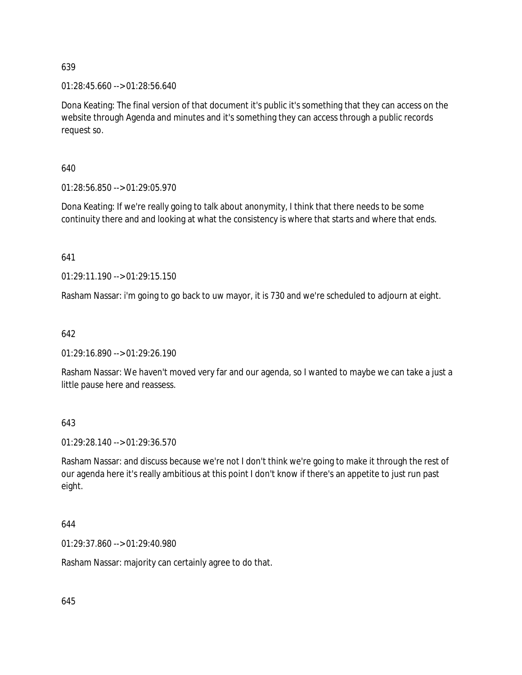01:28:45.660 --> 01:28:56.640

Dona Keating: The final version of that document it's public it's something that they can access on the website through Agenda and minutes and it's something they can access through a public records request so.

640

01:28:56.850 --> 01:29:05.970

Dona Keating: If we're really going to talk about anonymity, I think that there needs to be some continuity there and and looking at what the consistency is where that starts and where that ends.

641

01:29:11.190 --> 01:29:15.150

Rasham Nassar: i'm going to go back to uw mayor, it is 730 and we're scheduled to adjourn at eight.

642

01:29:16.890 --> 01:29:26.190

Rasham Nassar: We haven't moved very far and our agenda, so I wanted to maybe we can take a just a little pause here and reassess.

643

01:29:28.140 --> 01:29:36.570

Rasham Nassar: and discuss because we're not I don't think we're going to make it through the rest of our agenda here it's really ambitious at this point I don't know if there's an appetite to just run past eight.

644

01:29:37.860 --> 01:29:40.980

Rasham Nassar: majority can certainly agree to do that.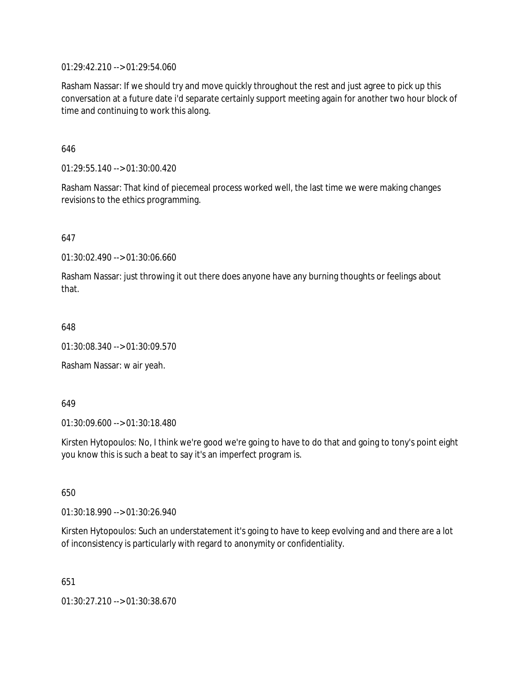01:29:42.210 --> 01:29:54.060

Rasham Nassar: If we should try and move quickly throughout the rest and just agree to pick up this conversation at a future date i'd separate certainly support meeting again for another two hour block of time and continuing to work this along.

646

01:29:55.140 --> 01:30:00.420

Rasham Nassar: That kind of piecemeal process worked well, the last time we were making changes revisions to the ethics programming.

647

01:30:02.490 --> 01:30:06.660

Rasham Nassar: just throwing it out there does anyone have any burning thoughts or feelings about that.

648

01:30:08.340 --> 01:30:09.570

Rasham Nassar: w air yeah.

649

01:30:09.600 --> 01:30:18.480

Kirsten Hytopoulos: No, I think we're good we're going to have to do that and going to tony's point eight you know this is such a beat to say it's an imperfect program is.

650

01:30:18.990 --> 01:30:26.940

Kirsten Hytopoulos: Such an understatement it's going to have to keep evolving and and there are a lot of inconsistency is particularly with regard to anonymity or confidentiality.

651

01:30:27.210 --> 01:30:38.670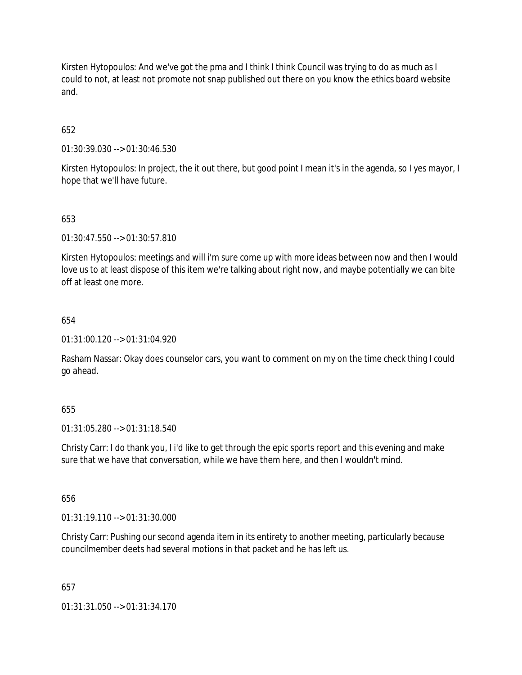Kirsten Hytopoulos: And we've got the pma and I think I think Council was trying to do as much as I could to not, at least not promote not snap published out there on you know the ethics board website and.

# 652

01:30:39.030 --> 01:30:46.530

Kirsten Hytopoulos: In project, the it out there, but good point I mean it's in the agenda, so I yes mayor, I hope that we'll have future.

# 653

01:30:47.550 --> 01:30:57.810

Kirsten Hytopoulos: meetings and will i'm sure come up with more ideas between now and then I would love us to at least dispose of this item we're talking about right now, and maybe potentially we can bite off at least one more.

## 654

01:31:00.120 --> 01:31:04.920

Rasham Nassar: Okay does counselor cars, you want to comment on my on the time check thing I could go ahead.

## 655

01:31:05.280 --> 01:31:18.540

Christy Carr: I do thank you, I i'd like to get through the epic sports report and this evening and make sure that we have that conversation, while we have them here, and then I wouldn't mind.

## 656

01:31:19.110 --> 01:31:30.000

Christy Carr: Pushing our second agenda item in its entirety to another meeting, particularly because councilmember deets had several motions in that packet and he has left us.

## 657

01:31:31.050 --> 01:31:34.170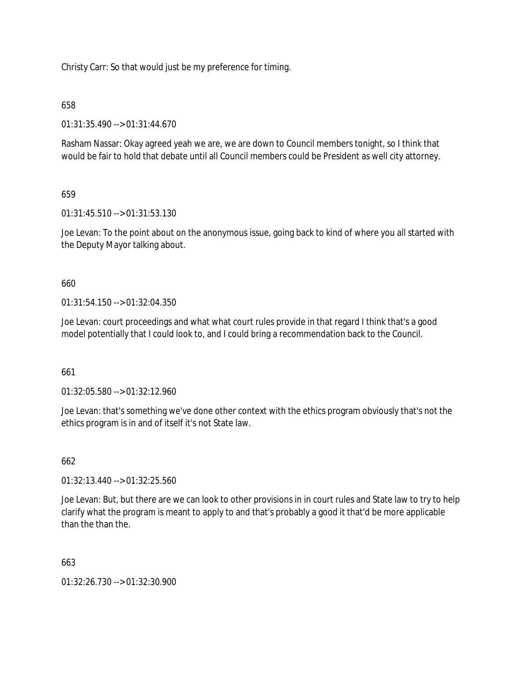Christy Carr: So that would just be my preference for timing.

# 658

01:31:35.490 --> 01:31:44.670

Rasham Nassar: Okay agreed yeah we are, we are down to Council members tonight, so I think that would be fair to hold that debate until all Council members could be President as well city attorney.

# 659

01:31:45.510 --> 01:31:53.130

Joe Levan: To the point about on the anonymous issue, going back to kind of where you all started with the Deputy Mayor talking about.

## 660

01:31:54.150 --> 01:32:04.350

Joe Levan: court proceedings and what what court rules provide in that regard I think that's a good model potentially that I could look to, and I could bring a recommendation back to the Council.

## 661

01:32:05.580 --> 01:32:12.960

Joe Levan: that's something we've done other context with the ethics program obviously that's not the ethics program is in and of itself it's not State law.

## 662

01:32:13.440 --> 01:32:25.560

Joe Levan: But, but there are we can look to other provisions in in court rules and State law to try to help clarify what the program is meant to apply to and that's probably a good it that'd be more applicable than the than the.

## 663

01:32:26.730 --> 01:32:30.900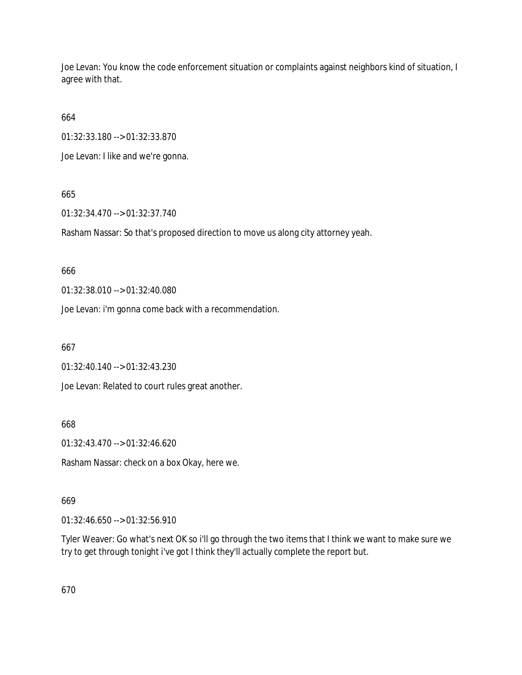Joe Levan: You know the code enforcement situation or complaints against neighbors kind of situation, I agree with that.

664

01:32:33.180 --> 01:32:33.870

Joe Levan: I like and we're gonna.

# 665

01:32:34.470 --> 01:32:37.740

Rasham Nassar: So that's proposed direction to move us along city attorney yeah.

# 666

01:32:38.010 --> 01:32:40.080

Joe Levan: i'm gonna come back with a recommendation.

# 667

01:32:40.140 --> 01:32:43.230

Joe Levan: Related to court rules great another.

668

01:32:43.470 --> 01:32:46.620

Rasham Nassar: check on a box Okay, here we.

# 669

01:32:46.650 --> 01:32:56.910

Tyler Weaver: Go what's next OK so i'll go through the two items that I think we want to make sure we try to get through tonight i've got I think they'll actually complete the report but.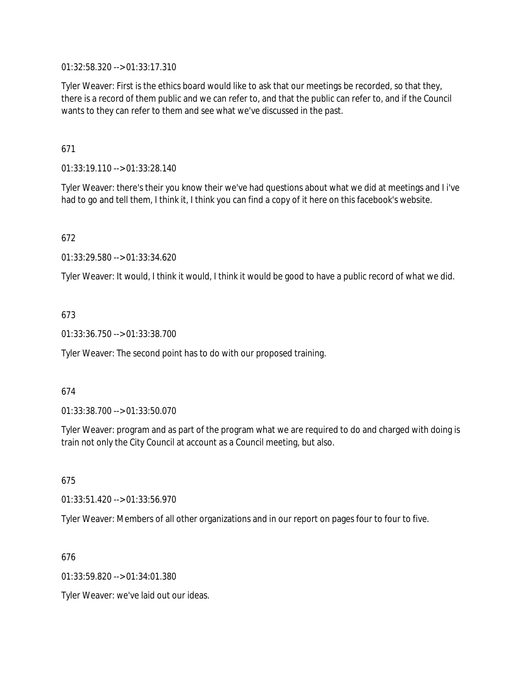01:32:58.320 --> 01:33:17.310

Tyler Weaver: First is the ethics board would like to ask that our meetings be recorded, so that they, there is a record of them public and we can refer to, and that the public can refer to, and if the Council wants to they can refer to them and see what we've discussed in the past.

# 671

01:33:19.110 --> 01:33:28.140

Tyler Weaver: there's their you know their we've had questions about what we did at meetings and I i've had to go and tell them, I think it, I think you can find a copy of it here on this facebook's website.

# 672

01:33:29.580 --> 01:33:34.620

Tyler Weaver: It would, I think it would, I think it would be good to have a public record of what we did.

# 673

01:33:36.750 --> 01:33:38.700

Tyler Weaver: The second point has to do with our proposed training.

## 674

01:33:38.700 --> 01:33:50.070

Tyler Weaver: program and as part of the program what we are required to do and charged with doing is train not only the City Council at account as a Council meeting, but also.

## 675

01:33:51.420 --> 01:33:56.970

Tyler Weaver: Members of all other organizations and in our report on pages four to four to five.

## 676

01:33:59.820 --> 01:34:01.380

Tyler Weaver: we've laid out our ideas.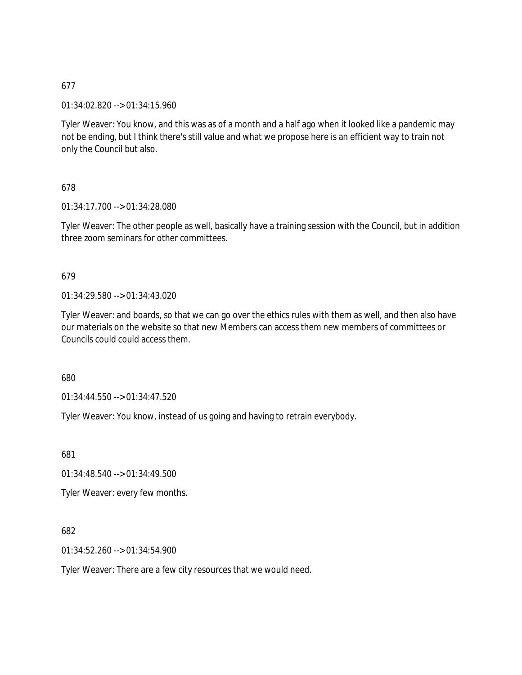01:34:02.820 --> 01:34:15.960

Tyler Weaver: You know, and this was as of a month and a half ago when it looked like a pandemic may not be ending, but I think there's still value and what we propose here is an efficient way to train not only the Council but also.

## 678

01:34:17.700 --> 01:34:28.080

Tyler Weaver: The other people as well, basically have a training session with the Council, but in addition three zoom seminars for other committees.

### 679

01:34:29.580 --> 01:34:43.020

Tyler Weaver: and boards, so that we can go over the ethics rules with them as well, and then also have our materials on the website so that new Members can access them new members of committees or Councils could could access them.

680

01:34:44.550 --> 01:34:47.520

Tyler Weaver: You know, instead of us going and having to retrain everybody.

681

01:34:48.540 --> 01:34:49.500

Tyler Weaver: every few months.

### 682

01:34:52.260 --> 01:34:54.900

Tyler Weaver: There are a few city resources that we would need.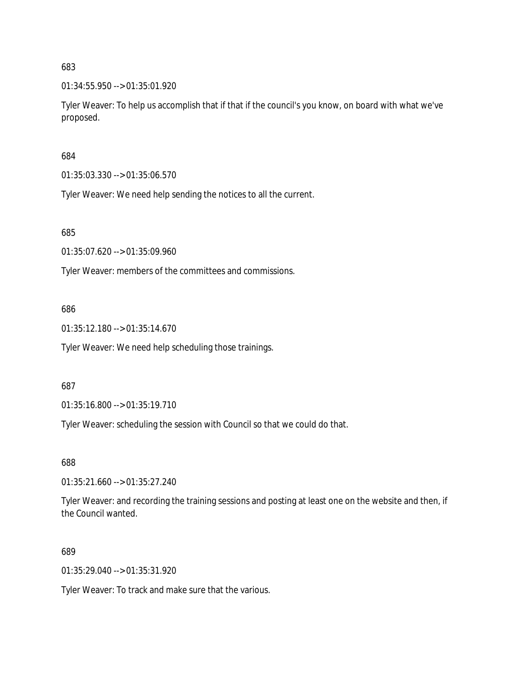01:34:55.950 --> 01:35:01.920

Tyler Weaver: To help us accomplish that if that if the council's you know, on board with what we've proposed.

684

01:35:03.330 --> 01:35:06.570

Tyler Weaver: We need help sending the notices to all the current.

685

01:35:07.620 --> 01:35:09.960

Tyler Weaver: members of the committees and commissions.

686

01:35:12.180 --> 01:35:14.670

Tyler Weaver: We need help scheduling those trainings.

687

01:35:16.800 --> 01:35:19.710

Tyler Weaver: scheduling the session with Council so that we could do that.

688

01:35:21.660 --> 01:35:27.240

Tyler Weaver: and recording the training sessions and posting at least one on the website and then, if the Council wanted.

689

01:35:29.040 --> 01:35:31.920

Tyler Weaver: To track and make sure that the various.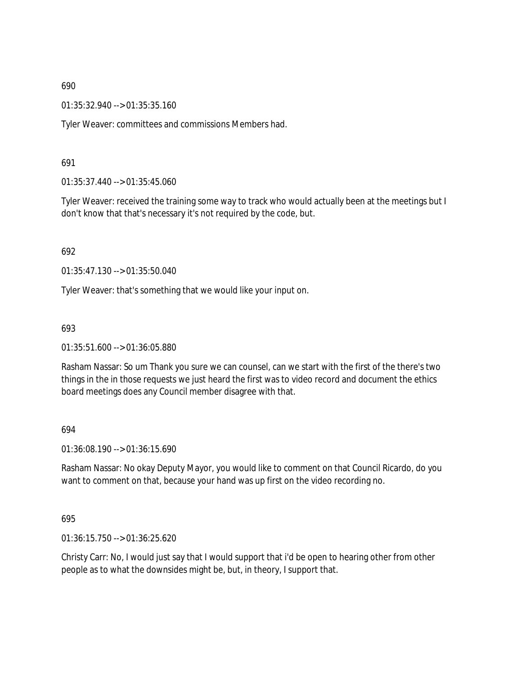01:35:32.940 --> 01:35:35.160

Tyler Weaver: committees and commissions Members had.

691

01:35:37.440 --> 01:35:45.060

Tyler Weaver: received the training some way to track who would actually been at the meetings but I don't know that that's necessary it's not required by the code, but.

692

01:35:47.130 --> 01:35:50.040

Tyler Weaver: that's something that we would like your input on.

693

01:35:51.600 --> 01:36:05.880

Rasham Nassar: So um Thank you sure we can counsel, can we start with the first of the there's two things in the in those requests we just heard the first was to video record and document the ethics board meetings does any Council member disagree with that.

694

01:36:08.190 --> 01:36:15.690

Rasham Nassar: No okay Deputy Mayor, you would like to comment on that Council Ricardo, do you want to comment on that, because your hand was up first on the video recording no.

695

01:36:15.750 --> 01:36:25.620

Christy Carr: No, I would just say that I would support that i'd be open to hearing other from other people as to what the downsides might be, but, in theory, I support that.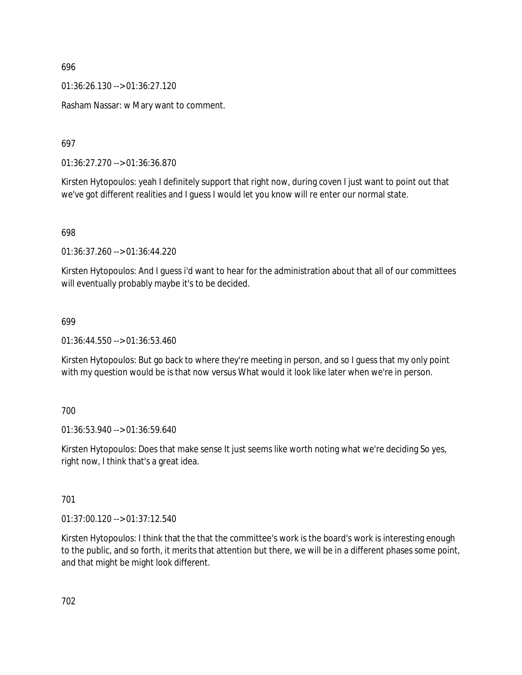01:36:26.130 --> 01:36:27.120

Rasham Nassar: w Mary want to comment.

697

01:36:27.270 --> 01:36:36.870

Kirsten Hytopoulos: yeah I definitely support that right now, during coven I just want to point out that we've got different realities and I guess I would let you know will re enter our normal state.

698

01:36:37.260 --> 01:36:44.220

Kirsten Hytopoulos: And I guess i'd want to hear for the administration about that all of our committees will eventually probably maybe it's to be decided.

### 699

01:36:44.550 --> 01:36:53.460

Kirsten Hytopoulos: But go back to where they're meeting in person, and so I guess that my only point with my question would be is that now versus What would it look like later when we're in person.

### 700

01:36:53.940 --> 01:36:59.640

Kirsten Hytopoulos: Does that make sense It just seems like worth noting what we're deciding So yes, right now, I think that's a great idea.

### 701

01:37:00.120 --> 01:37:12.540

Kirsten Hytopoulos: I think that the that the committee's work is the board's work is interesting enough to the public, and so forth, it merits that attention but there, we will be in a different phases some point, and that might be might look different.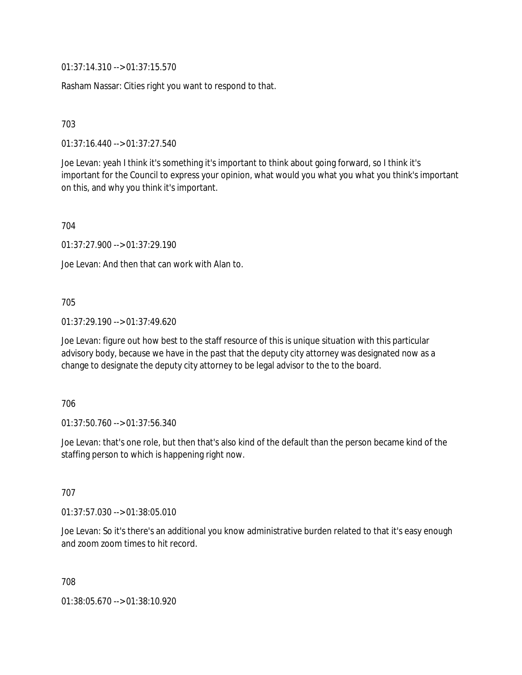01:37:14.310 --> 01:37:15.570

Rasham Nassar: Cities right you want to respond to that.

703

01:37:16.440 --> 01:37:27.540

Joe Levan: yeah I think it's something it's important to think about going forward, so I think it's important for the Council to express your opinion, what would you what you what you think's important on this, and why you think it's important.

704

01:37:27.900 --> 01:37:29.190

Joe Levan: And then that can work with Alan to.

705

01:37:29.190 --> 01:37:49.620

Joe Levan: figure out how best to the staff resource of this is unique situation with this particular advisory body, because we have in the past that the deputy city attorney was designated now as a change to designate the deputy city attorney to be legal advisor to the to the board.

706

01:37:50.760 --> 01:37:56.340

Joe Levan: that's one role, but then that's also kind of the default than the person became kind of the staffing person to which is happening right now.

707

01:37:57.030 --> 01:38:05.010

Joe Levan: So it's there's an additional you know administrative burden related to that it's easy enough and zoom zoom times to hit record.

708

01:38:05.670 --> 01:38:10.920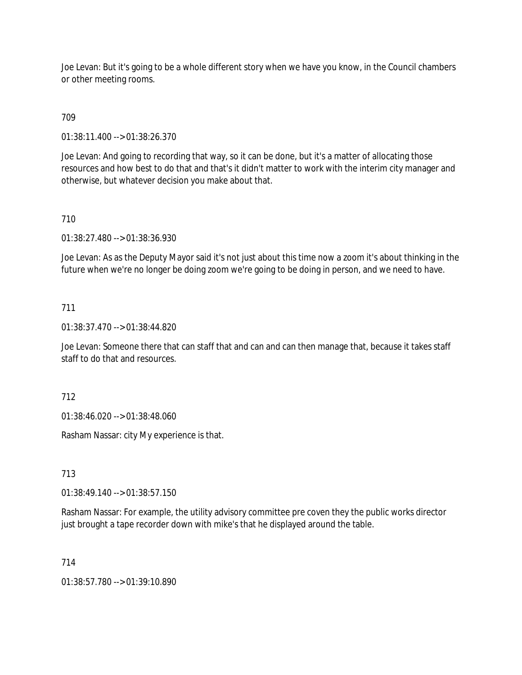Joe Levan: But it's going to be a whole different story when we have you know, in the Council chambers or other meeting rooms.

# 709

01:38:11.400 --> 01:38:26.370

Joe Levan: And going to recording that way, so it can be done, but it's a matter of allocating those resources and how best to do that and that's it didn't matter to work with the interim city manager and otherwise, but whatever decision you make about that.

# 710

01:38:27.480 --> 01:38:36.930

Joe Levan: As as the Deputy Mayor said it's not just about this time now a zoom it's about thinking in the future when we're no longer be doing zoom we're going to be doing in person, and we need to have.

## 711

01:38:37.470 --> 01:38:44.820

Joe Levan: Someone there that can staff that and can and can then manage that, because it takes staff staff to do that and resources.

712

01:38:46.020 --> 01:38:48.060

Rasham Nassar: city My experience is that.

713

01:38:49.140 --> 01:38:57.150

Rasham Nassar: For example, the utility advisory committee pre coven they the public works director just brought a tape recorder down with mike's that he displayed around the table.

714

01:38:57.780 --> 01:39:10.890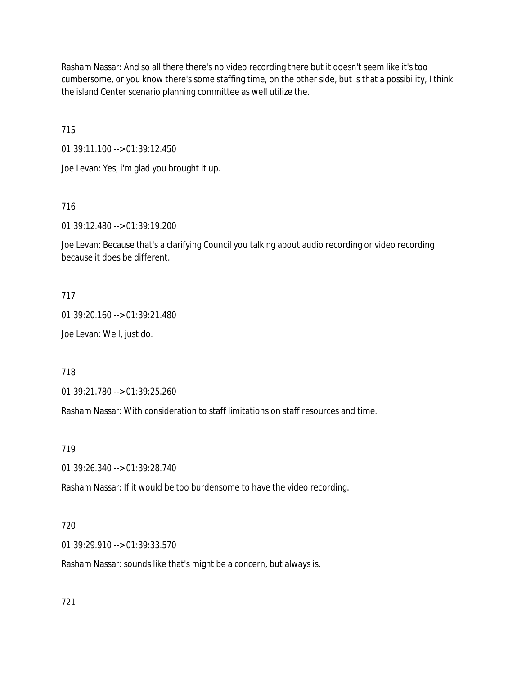Rasham Nassar: And so all there there's no video recording there but it doesn't seem like it's too cumbersome, or you know there's some staffing time, on the other side, but is that a possibility, I think the island Center scenario planning committee as well utilize the.

715

01:39:11.100 --> 01:39:12.450

Joe Levan: Yes, i'm glad you brought it up.

716

01:39:12.480 --> 01:39:19.200

Joe Levan: Because that's a clarifying Council you talking about audio recording or video recording because it does be different.

### 717

01:39:20.160 --> 01:39:21.480

Joe Levan: Well, just do.

718

01:39:21.780 --> 01:39:25.260

Rasham Nassar: With consideration to staff limitations on staff resources and time.

719

01:39:26.340 --> 01:39:28.740

Rasham Nassar: If it would be too burdensome to have the video recording.

### 720

01:39:29.910 --> 01:39:33.570

Rasham Nassar: sounds like that's might be a concern, but always is.

721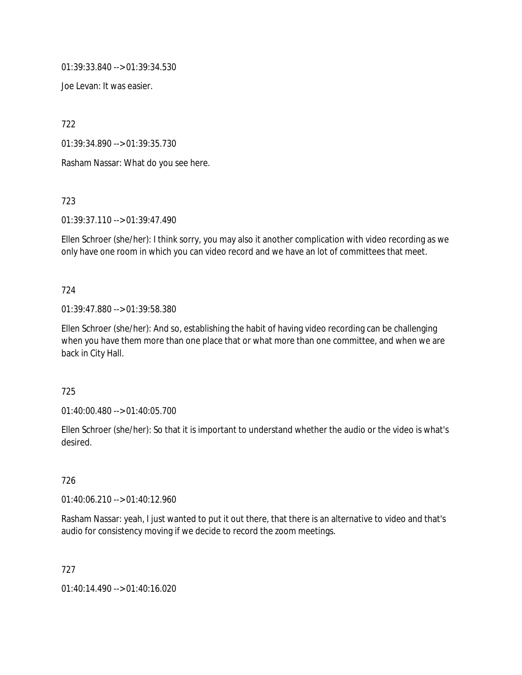01:39:33.840 --> 01:39:34.530

Joe Levan: It was easier.

722

01:39:34.890 --> 01:39:35.730

Rasham Nassar: What do you see here.

723

01:39:37.110 --> 01:39:47.490

Ellen Schroer (she/her): I think sorry, you may also it another complication with video recording as we only have one room in which you can video record and we have an lot of committees that meet.

#### 724

01:39:47.880 --> 01:39:58.380

Ellen Schroer (she/her): And so, establishing the habit of having video recording can be challenging when you have them more than one place that or what more than one committee, and when we are back in City Hall.

### 725

01:40:00.480 --> 01:40:05.700

Ellen Schroer (she/her): So that it is important to understand whether the audio or the video is what's desired.

## 726

01:40:06.210 --> 01:40:12.960

Rasham Nassar: yeah, I just wanted to put it out there, that there is an alternative to video and that's audio for consistency moving if we decide to record the zoom meetings.

727

01:40:14.490 --> 01:40:16.020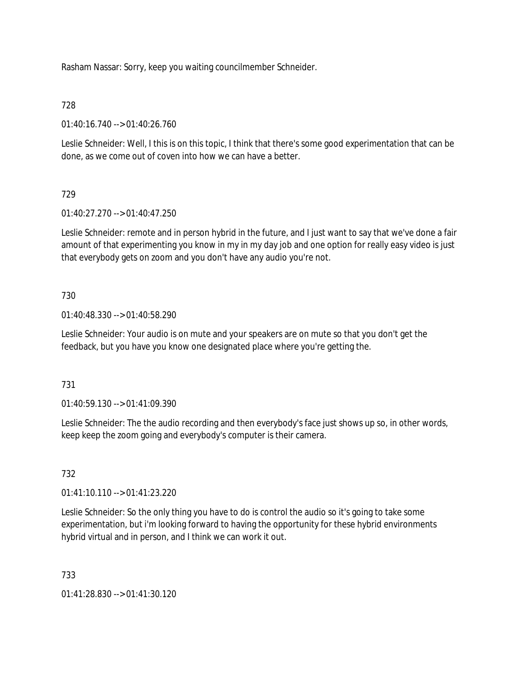Rasham Nassar: Sorry, keep you waiting councilmember Schneider.

728

01:40:16.740 --> 01:40:26.760

Leslie Schneider: Well, I this is on this topic, I think that there's some good experimentation that can be done, as we come out of coven into how we can have a better.

# 729

01:40:27.270 --> 01:40:47.250

Leslie Schneider: remote and in person hybrid in the future, and I just want to say that we've done a fair amount of that experimenting you know in my in my day job and one option for really easy video is just that everybody gets on zoom and you don't have any audio you're not.

## 730

01:40:48.330 --> 01:40:58.290

Leslie Schneider: Your audio is on mute and your speakers are on mute so that you don't get the feedback, but you have you know one designated place where you're getting the.

### 731

01:40:59.130 --> 01:41:09.390

Leslie Schneider: The the audio recording and then everybody's face just shows up so, in other words, keep keep the zoom going and everybody's computer is their camera.

# 732

01:41:10.110 --> 01:41:23.220

Leslie Schneider: So the only thing you have to do is control the audio so it's going to take some experimentation, but i'm looking forward to having the opportunity for these hybrid environments hybrid virtual and in person, and I think we can work it out.

### 733

01:41:28.830 --> 01:41:30.120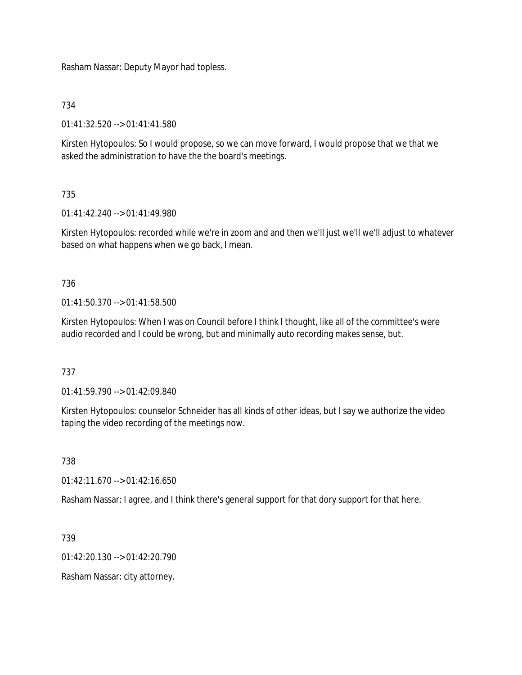Rasham Nassar: Deputy Mayor had topless.

734

01:41:32.520 --> 01:41:41.580

Kirsten Hytopoulos: So I would propose, so we can move forward, I would propose that we that we asked the administration to have the the board's meetings.

# 735

01:41:42.240 --> 01:41:49.980

Kirsten Hytopoulos: recorded while we're in zoom and and then we'll just we'll we'll adjust to whatever based on what happens when we go back, I mean.

736

 $01:41:50.370 \rightarrow 01:41:58.500$ 

Kirsten Hytopoulos: When I was on Council before I think I thought, like all of the committee's were audio recorded and I could be wrong, but and minimally auto recording makes sense, but.

737

01:41:59.790 --> 01:42:09.840

Kirsten Hytopoulos: counselor Schneider has all kinds of other ideas, but I say we authorize the video taping the video recording of the meetings now.

738

01:42:11.670 --> 01:42:16.650

Rasham Nassar: I agree, and I think there's general support for that dory support for that here.

739

01:42:20.130 --> 01:42:20.790

Rasham Nassar: city attorney.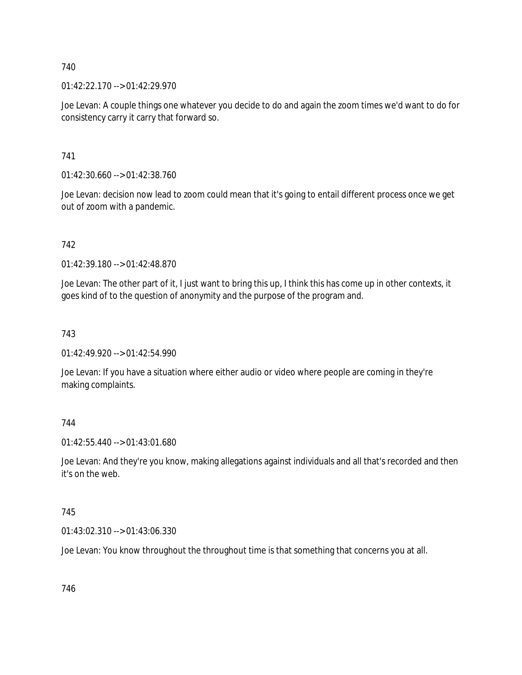01:42:22.170 --> 01:42:29.970

Joe Levan: A couple things one whatever you decide to do and again the zoom times we'd want to do for consistency carry it carry that forward so.

741

01:42:30.660 --> 01:42:38.760

Joe Levan: decision now lead to zoom could mean that it's going to entail different process once we get out of zoom with a pandemic.

742

01:42:39.180 --> 01:42:48.870

Joe Levan: The other part of it, I just want to bring this up, I think this has come up in other contexts, it goes kind of to the question of anonymity and the purpose of the program and.

743

01:42:49.920 --> 01:42:54.990

Joe Levan: If you have a situation where either audio or video where people are coming in they're making complaints.

744

01:42:55.440 --> 01:43:01.680

Joe Levan: And they're you know, making allegations against individuals and all that's recorded and then it's on the web.

745

01:43:02.310 --> 01:43:06.330

Joe Levan: You know throughout the throughout time is that something that concerns you at all.

746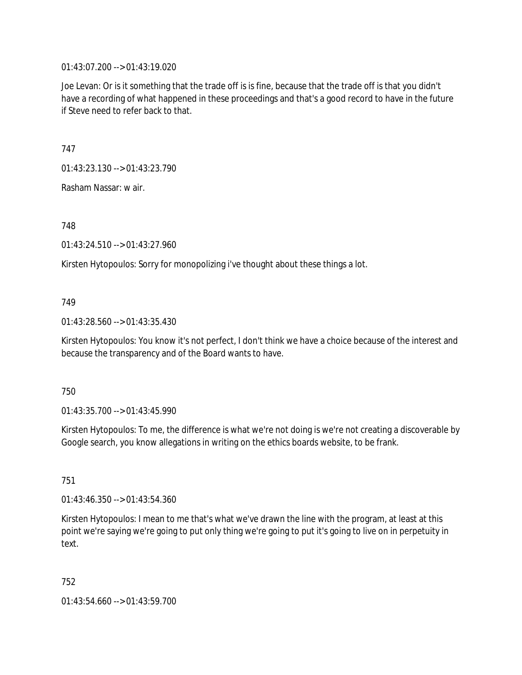01:43:07.200 --> 01:43:19.020

Joe Levan: Or is it something that the trade off is is fine, because that the trade off is that you didn't have a recording of what happened in these proceedings and that's a good record to have in the future if Steve need to refer back to that.

747

01:43:23.130 --> 01:43:23.790

Rasham Nassar: w air.

748

01:43:24.510 --> 01:43:27.960

Kirsten Hytopoulos: Sorry for monopolizing i've thought about these things a lot.

### 749

01:43:28.560 --> 01:43:35.430

Kirsten Hytopoulos: You know it's not perfect, I don't think we have a choice because of the interest and because the transparency and of the Board wants to have.

### 750

01:43:35.700 --> 01:43:45.990

Kirsten Hytopoulos: To me, the difference is what we're not doing is we're not creating a discoverable by Google search, you know allegations in writing on the ethics boards website, to be frank.

751

01:43:46.350 --> 01:43:54.360

Kirsten Hytopoulos: I mean to me that's what we've drawn the line with the program, at least at this point we're saying we're going to put only thing we're going to put it's going to live on in perpetuity in text.

752

01:43:54.660 --> 01:43:59.700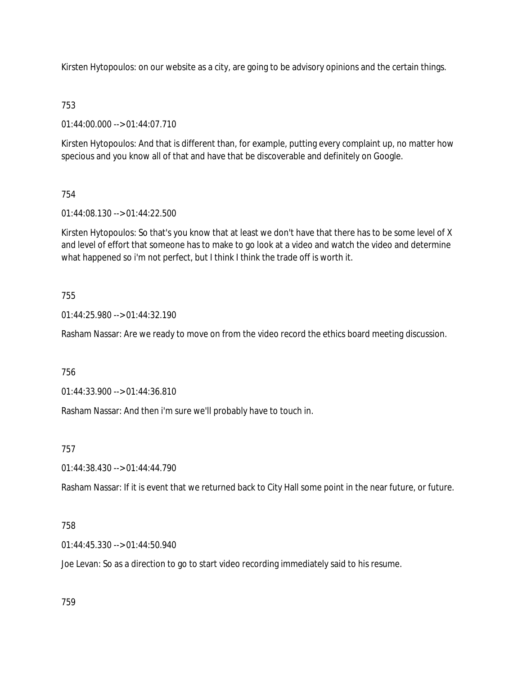Kirsten Hytopoulos: on our website as a city, are going to be advisory opinions and the certain things.

# 753

01:44:00.000 --> 01:44:07.710

Kirsten Hytopoulos: And that is different than, for example, putting every complaint up, no matter how specious and you know all of that and have that be discoverable and definitely on Google.

# 754

01:44:08.130 --> 01:44:22.500

Kirsten Hytopoulos: So that's you know that at least we don't have that there has to be some level of X and level of effort that someone has to make to go look at a video and watch the video and determine what happened so i'm not perfect, but I think I think the trade off is worth it.

# 755

01:44:25.980 --> 01:44:32.190

Rasham Nassar: Are we ready to move on from the video record the ethics board meeting discussion.

756

01:44:33.900 --> 01:44:36.810

Rasham Nassar: And then i'm sure we'll probably have to touch in.

757

01:44:38.430 --> 01:44:44.790

Rasham Nassar: If it is event that we returned back to City Hall some point in the near future, or future.

# 758

01:44:45.330 --> 01:44:50.940

Joe Levan: So as a direction to go to start video recording immediately said to his resume.

759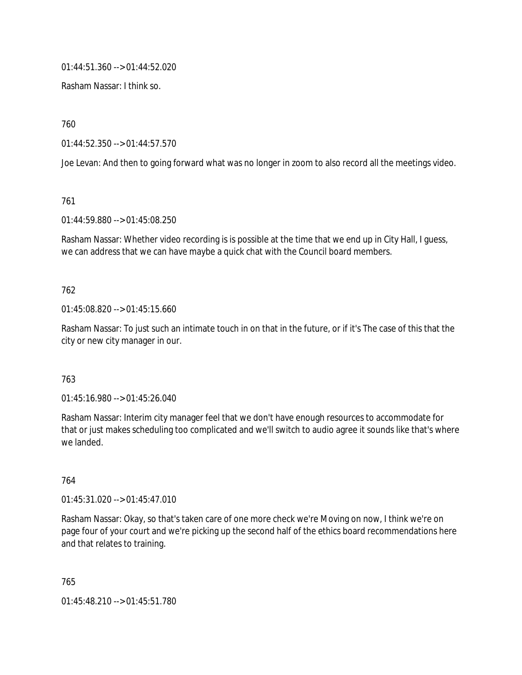01:44:51.360 --> 01:44:52.020

Rasham Nassar: I think so.

760

01:44:52.350 --> 01:44:57.570

Joe Levan: And then to going forward what was no longer in zoom to also record all the meetings video.

761

01:44:59.880 --> 01:45:08.250

Rasham Nassar: Whether video recording is is possible at the time that we end up in City Hall, I guess, we can address that we can have maybe a quick chat with the Council board members.

## 762

01:45:08.820 --> 01:45:15.660

Rasham Nassar: To just such an intimate touch in on that in the future, or if it's The case of this that the city or new city manager in our.

### 763

01:45:16.980 --> 01:45:26.040

Rasham Nassar: Interim city manager feel that we don't have enough resources to accommodate for that or just makes scheduling too complicated and we'll switch to audio agree it sounds like that's where we landed.

### 764

 $01:45:31.020 \rightarrow 01:45:47.010$ 

Rasham Nassar: Okay, so that's taken care of one more check we're Moving on now, I think we're on page four of your court and we're picking up the second half of the ethics board recommendations here and that relates to training.

765 01:45:48.210 --> 01:45:51.780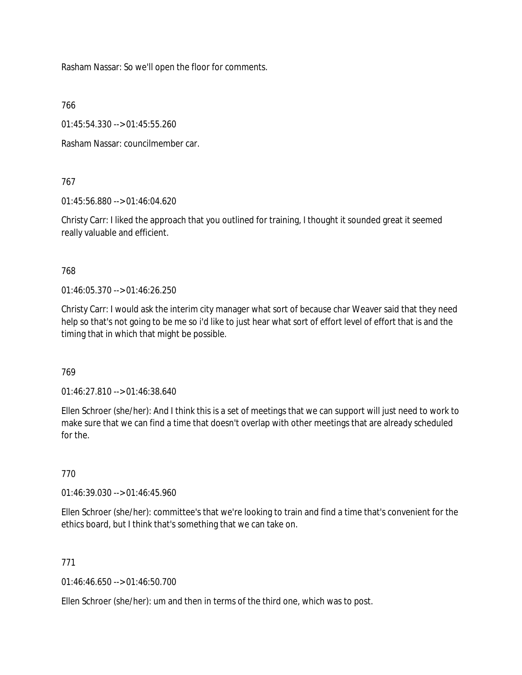Rasham Nassar: So we'll open the floor for comments.

766

01:45:54.330 --> 01:45:55.260

Rasham Nassar: councilmember car.

### 767

01:45:56.880 --> 01:46:04.620

Christy Carr: I liked the approach that you outlined for training, I thought it sounded great it seemed really valuable and efficient.

### 768

01:46:05.370 --> 01:46:26.250

Christy Carr: I would ask the interim city manager what sort of because char Weaver said that they need help so that's not going to be me so i'd like to just hear what sort of effort level of effort that is and the timing that in which that might be possible.

### 769

01:46:27.810 --> 01:46:38.640

Ellen Schroer (she/her): And I think this is a set of meetings that we can support will just need to work to make sure that we can find a time that doesn't overlap with other meetings that are already scheduled for the.

### 770

01:46:39.030 --> 01:46:45.960

Ellen Schroer (she/her): committee's that we're looking to train and find a time that's convenient for the ethics board, but I think that's something that we can take on.

### 771

01:46:46.650 --> 01:46:50.700

Ellen Schroer (she/her): um and then in terms of the third one, which was to post.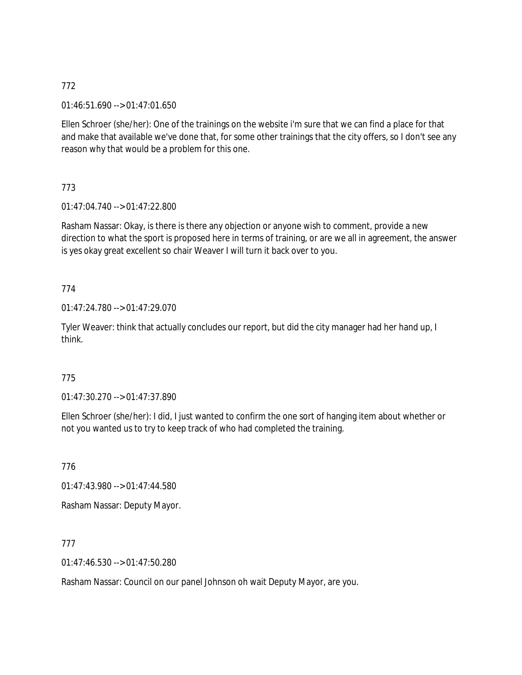01:46:51.690 --> 01:47:01.650

Ellen Schroer (she/her): One of the trainings on the website i'm sure that we can find a place for that and make that available we've done that, for some other trainings that the city offers, so I don't see any reason why that would be a problem for this one.

773

01:47:04.740 --> 01:47:22.800

Rasham Nassar: Okay, is there is there any objection or anyone wish to comment, provide a new direction to what the sport is proposed here in terms of training, or are we all in agreement, the answer is yes okay great excellent so chair Weaver I will turn it back over to you.

# 774

01:47:24.780 --> 01:47:29.070

Tyler Weaver: think that actually concludes our report, but did the city manager had her hand up, I think.

# 775

01:47:30.270 --> 01:47:37.890

Ellen Schroer (she/her): I did, I just wanted to confirm the one sort of hanging item about whether or not you wanted us to try to keep track of who had completed the training.

776

01:47:43.980 --> 01:47:44.580

Rasham Nassar: Deputy Mayor.

777

01:47:46.530 --> 01:47:50.280

Rasham Nassar: Council on our panel Johnson oh wait Deputy Mayor, are you.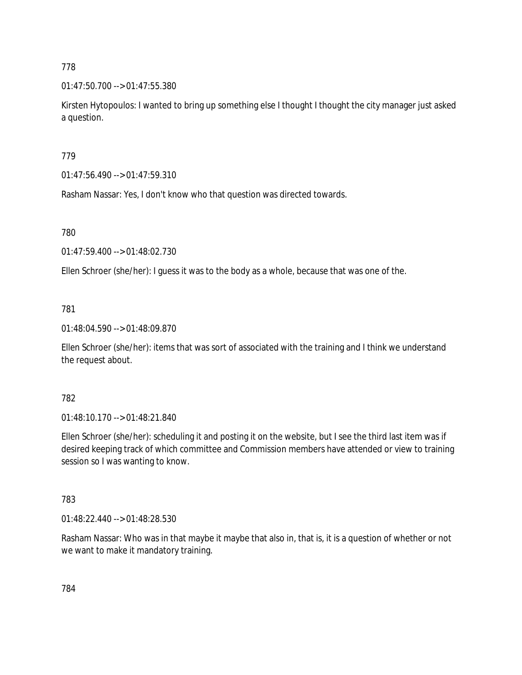01:47:50.700 --> 01:47:55.380

Kirsten Hytopoulos: I wanted to bring up something else I thought I thought the city manager just asked a question.

779

01:47:56.490 --> 01:47:59.310

Rasham Nassar: Yes, I don't know who that question was directed towards.

780

01:47:59.400 --> 01:48:02.730

Ellen Schroer (she/her): I guess it was to the body as a whole, because that was one of the.

781

01:48:04.590 --> 01:48:09.870

Ellen Schroer (she/her): items that was sort of associated with the training and I think we understand the request about.

782

01:48:10.170 --> 01:48:21.840

Ellen Schroer (she/her): scheduling it and posting it on the website, but I see the third last item was if desired keeping track of which committee and Commission members have attended or view to training session so I was wanting to know.

783

01:48:22.440 --> 01:48:28.530

Rasham Nassar: Who was in that maybe it maybe that also in, that is, it is a question of whether or not we want to make it mandatory training.

784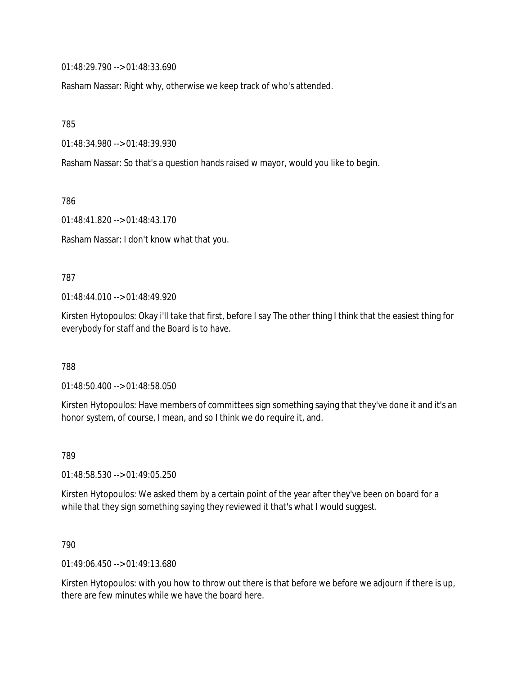01:48:29.790 --> 01:48:33.690

Rasham Nassar: Right why, otherwise we keep track of who's attended.

785

01:48:34.980 --> 01:48:39.930

Rasham Nassar: So that's a question hands raised w mayor, would you like to begin.

786

01:48:41.820 --> 01:48:43.170

Rasham Nassar: I don't know what that you.

#### 787

 $01:48:44.010 \rightarrow 01:48:49.920$ 

Kirsten Hytopoulos: Okay i'll take that first, before I say The other thing I think that the easiest thing for everybody for staff and the Board is to have.

788

01:48:50.400 --> 01:48:58.050

Kirsten Hytopoulos: Have members of committees sign something saying that they've done it and it's an honor system, of course, I mean, and so I think we do require it, and.

789

01:48:58.530 --> 01:49:05.250

Kirsten Hytopoulos: We asked them by a certain point of the year after they've been on board for a while that they sign something saying they reviewed it that's what I would suggest.

790

01:49:06.450 --> 01:49:13.680

Kirsten Hytopoulos: with you how to throw out there is that before we before we adjourn if there is up, there are few minutes while we have the board here.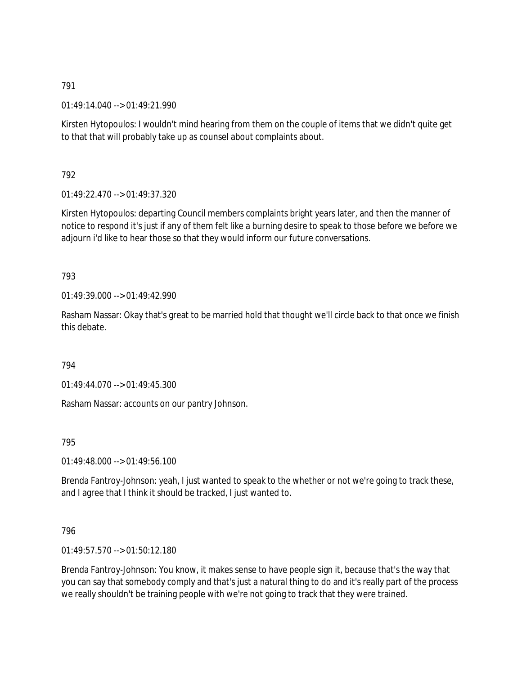01:49:14.040 --> 01:49:21.990

Kirsten Hytopoulos: I wouldn't mind hearing from them on the couple of items that we didn't quite get to that that will probably take up as counsel about complaints about.

792

01:49:22.470 --> 01:49:37.320

Kirsten Hytopoulos: departing Council members complaints bright years later, and then the manner of notice to respond it's just if any of them felt like a burning desire to speak to those before we before we adjourn i'd like to hear those so that they would inform our future conversations.

793

01:49:39.000 --> 01:49:42.990

Rasham Nassar: Okay that's great to be married hold that thought we'll circle back to that once we finish this debate.

794

01:49:44.070 --> 01:49:45.300

Rasham Nassar: accounts on our pantry Johnson.

795

 $01:49:48.000 \rightarrow 01:49:56.100$ 

Brenda Fantroy-Johnson: yeah, I just wanted to speak to the whether or not we're going to track these, and I agree that I think it should be tracked, I just wanted to.

796

01:49:57.570 --> 01:50:12.180

Brenda Fantroy-Johnson: You know, it makes sense to have people sign it, because that's the way that you can say that somebody comply and that's just a natural thing to do and it's really part of the process we really shouldn't be training people with we're not going to track that they were trained.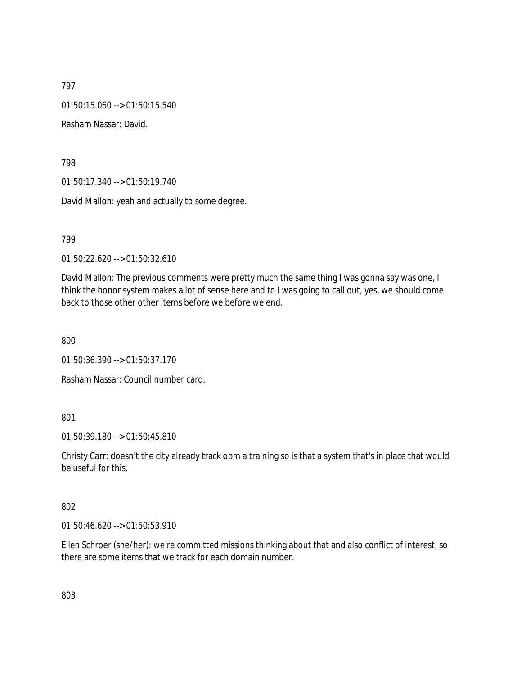01:50:15.060 --> 01:50:15.540

Rasham Nassar: David.

798

01:50:17.340 --> 01:50:19.740

David Mallon: yeah and actually to some degree.

799

01:50:22.620 --> 01:50:32.610

David Mallon: The previous comments were pretty much the same thing I was gonna say was one, I think the honor system makes a lot of sense here and to I was going to call out, yes, we should come back to those other other items before we before we end.

800

01:50:36.390 --> 01:50:37.170

Rasham Nassar: Council number card.

## 801

01:50:39.180 --> 01:50:45.810

Christy Carr: doesn't the city already track opm a training so is that a system that's in place that would be useful for this.

### 802

01:50:46.620 --> 01:50:53.910

Ellen Schroer (she/her): we're committed missions thinking about that and also conflict of interest, so there are some items that we track for each domain number.

803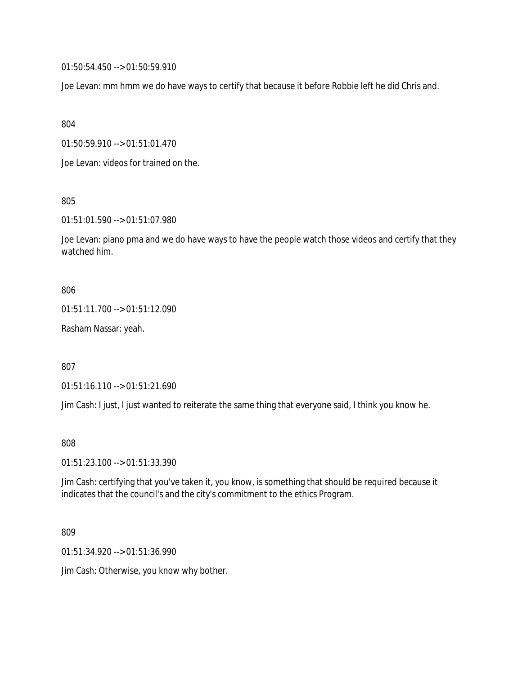01:50:54.450 --> 01:50:59.910

Joe Levan: mm hmm we do have ways to certify that because it before Robbie left he did Chris and.

804

01:50:59.910 --> 01:51:01.470

Joe Levan: videos for trained on the.

805

01:51:01.590 --> 01:51:07.980

Joe Levan: piano pma and we do have ways to have the people watch those videos and certify that they watched him.

806

01:51:11.700 --> 01:51:12.090

Rasham Nassar: yeah.

807

01:51:16.110 --> 01:51:21.690

Jim Cash: I just, I just wanted to reiterate the same thing that everyone said, I think you know he.

808

01:51:23.100 --> 01:51:33.390

Jim Cash: certifying that you've taken it, you know, is something that should be required because it indicates that the council's and the city's commitment to the ethics Program.

809

01:51:34.920 --> 01:51:36.990

Jim Cash: Otherwise, you know why bother.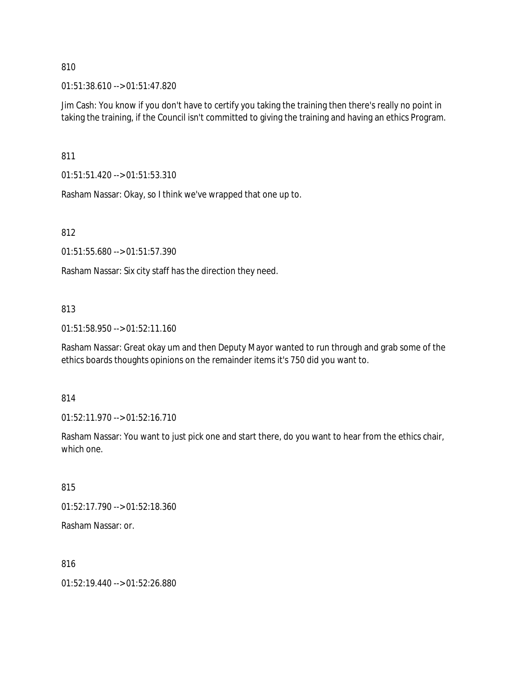01:51:38.610 --> 01:51:47.820

Jim Cash: You know if you don't have to certify you taking the training then there's really no point in taking the training, if the Council isn't committed to giving the training and having an ethics Program.

811

01:51:51.420 --> 01:51:53.310

Rasham Nassar: Okay, so I think we've wrapped that one up to.

812

01:51:55.680 --> 01:51:57.390

Rasham Nassar: Six city staff has the direction they need.

### 813

01:51:58.950 --> 01:52:11.160

Rasham Nassar: Great okay um and then Deputy Mayor wanted to run through and grab some of the ethics boards thoughts opinions on the remainder items it's 750 did you want to.

814

01:52:11.970 --> 01:52:16.710

Rasham Nassar: You want to just pick one and start there, do you want to hear from the ethics chair, which one.

815

01:52:17.790 --> 01:52:18.360

Rasham Nassar: or.

816

01:52:19.440 --> 01:52:26.880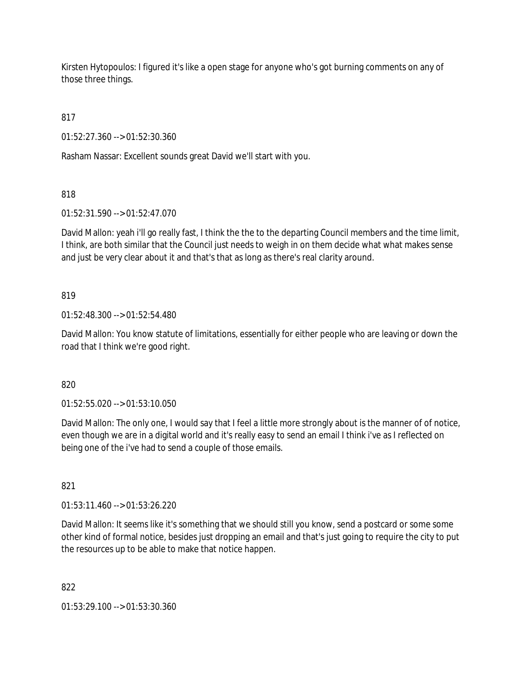Kirsten Hytopoulos: I figured it's like a open stage for anyone who's got burning comments on any of those three things.

817

01:52:27.360 --> 01:52:30.360

Rasham Nassar: Excellent sounds great David we'll start with you.

818

01:52:31.590 --> 01:52:47.070

David Mallon: yeah i'll go really fast, I think the the to the departing Council members and the time limit, I think, are both similar that the Council just needs to weigh in on them decide what what makes sense and just be very clear about it and that's that as long as there's real clarity around.

### 819

01:52:48.300 --> 01:52:54.480

David Mallon: You know statute of limitations, essentially for either people who are leaving or down the road that I think we're good right.

820

01:52:55.020 --> 01:53:10.050

David Mallon: The only one, I would say that I feel a little more strongly about is the manner of of notice, even though we are in a digital world and it's really easy to send an email I think i've as I reflected on being one of the i've had to send a couple of those emails.

821

01:53:11.460 --> 01:53:26.220

David Mallon: It seems like it's something that we should still you know, send a postcard or some some other kind of formal notice, besides just dropping an email and that's just going to require the city to put the resources up to be able to make that notice happen.

822

01:53:29.100 --> 01:53:30.360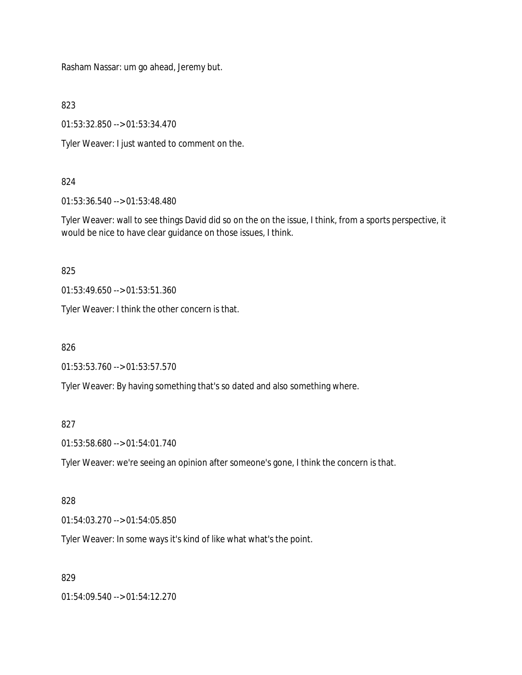Rasham Nassar: um go ahead, Jeremy but.

823

01:53:32.850 --> 01:53:34.470

Tyler Weaver: I just wanted to comment on the.

### 824

01:53:36.540 --> 01:53:48.480

Tyler Weaver: wall to see things David did so on the on the issue, I think, from a sports perspective, it would be nice to have clear guidance on those issues, I think.

825

01:53:49.650 --> 01:53:51.360

Tyler Weaver: I think the other concern is that.

826

01:53:53.760 --> 01:53:57.570

Tyler Weaver: By having something that's so dated and also something where.

### 827

01:53:58.680 --> 01:54:01.740

Tyler Weaver: we're seeing an opinion after someone's gone, I think the concern is that.

### 828

01:54:03.270 --> 01:54:05.850

Tyler Weaver: In some ways it's kind of like what what's the point.

### 829

01:54:09.540 --> 01:54:12.270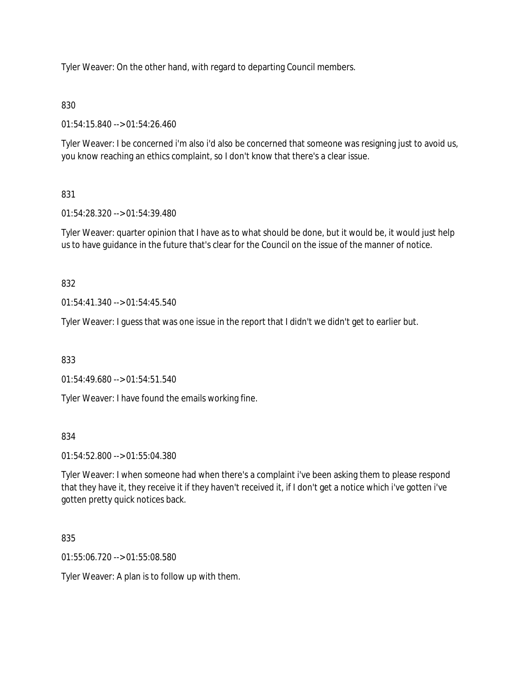Tyler Weaver: On the other hand, with regard to departing Council members.

# 830

01:54:15.840 --> 01:54:26.460

Tyler Weaver: I be concerned i'm also i'd also be concerned that someone was resigning just to avoid us, you know reaching an ethics complaint, so I don't know that there's a clear issue.

# 831

01:54:28.320 --> 01:54:39.480

Tyler Weaver: quarter opinion that I have as to what should be done, but it would be, it would just help us to have guidance in the future that's clear for the Council on the issue of the manner of notice.

# 832

01:54:41.340 --> 01:54:45.540

Tyler Weaver: I guess that was one issue in the report that I didn't we didn't get to earlier but.

833

01:54:49.680 --> 01:54:51.540

Tyler Weaver: I have found the emails working fine.

# 834

01:54:52.800 --> 01:55:04.380

Tyler Weaver: I when someone had when there's a complaint i've been asking them to please respond that they have it, they receive it if they haven't received it, if I don't get a notice which i've gotten i've gotten pretty quick notices back.

835

01:55:06.720 --> 01:55:08.580

Tyler Weaver: A plan is to follow up with them.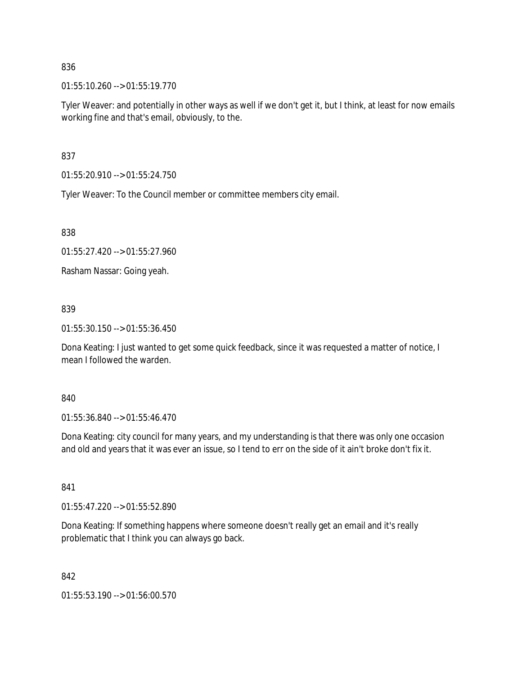01:55:10.260 --> 01:55:19.770

Tyler Weaver: and potentially in other ways as well if we don't get it, but I think, at least for now emails working fine and that's email, obviously, to the.

837

01:55:20.910 --> 01:55:24.750

Tyler Weaver: To the Council member or committee members city email.

838

01:55:27.420 --> 01:55:27.960

Rasham Nassar: Going yeah.

## 839

01:55:30.150 --> 01:55:36.450

Dona Keating: I just wanted to get some quick feedback, since it was requested a matter of notice, I mean I followed the warden.

840

01:55:36.840 --> 01:55:46.470

Dona Keating: city council for many years, and my understanding is that there was only one occasion and old and years that it was ever an issue, so I tend to err on the side of it ain't broke don't fix it.

841

01:55:47.220 --> 01:55:52.890

Dona Keating: If something happens where someone doesn't really get an email and it's really problematic that I think you can always go back.

842

01:55:53.190 --> 01:56:00.570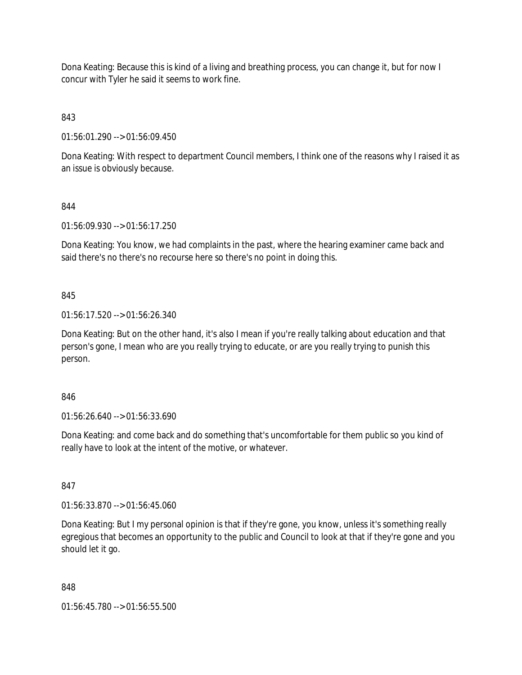Dona Keating: Because this is kind of a living and breathing process, you can change it, but for now I concur with Tyler he said it seems to work fine.

843

01:56:01.290 --> 01:56:09.450

Dona Keating: With respect to department Council members, I think one of the reasons why I raised it as an issue is obviously because.

844

01:56:09.930 --> 01:56:17.250

Dona Keating: You know, we had complaints in the past, where the hearing examiner came back and said there's no there's no recourse here so there's no point in doing this.

845

01:56:17.520 --> 01:56:26.340

Dona Keating: But on the other hand, it's also I mean if you're really talking about education and that person's gone, I mean who are you really trying to educate, or are you really trying to punish this person.

846

01:56:26.640 --> 01:56:33.690

Dona Keating: and come back and do something that's uncomfortable for them public so you kind of really have to look at the intent of the motive, or whatever.

847

01:56:33.870 --> 01:56:45.060

Dona Keating: But I my personal opinion is that if they're gone, you know, unless it's something really egregious that becomes an opportunity to the public and Council to look at that if they're gone and you should let it go.

848

01:56:45.780 --> 01:56:55.500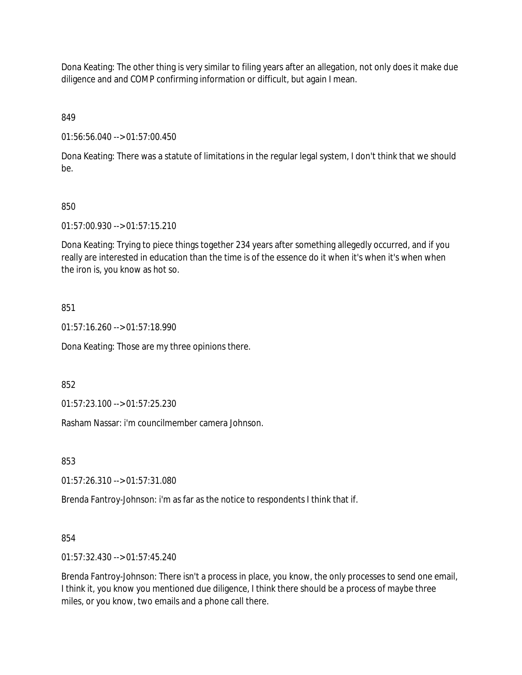Dona Keating: The other thing is very similar to filing years after an allegation, not only does it make due diligence and and COMP confirming information or difficult, but again I mean.

849

01:56:56.040 --> 01:57:00.450

Dona Keating: There was a statute of limitations in the regular legal system, I don't think that we should be.

## 850

01:57:00.930 --> 01:57:15.210

Dona Keating: Trying to piece things together 234 years after something allegedly occurred, and if you really are interested in education than the time is of the essence do it when it's when it's when when the iron is, you know as hot so.

### 851

01:57:16.260 --> 01:57:18.990

Dona Keating: Those are my three opinions there.

852

01:57:23.100 --> 01:57:25.230

Rasham Nassar: i'm councilmember camera Johnson.

853

01:57:26.310 --> 01:57:31.080

Brenda Fantroy-Johnson: i'm as far as the notice to respondents I think that if.

### 854

01:57:32.430 --> 01:57:45.240

Brenda Fantroy-Johnson: There isn't a process in place, you know, the only processes to send one email, I think it, you know you mentioned due diligence, I think there should be a process of maybe three miles, or you know, two emails and a phone call there.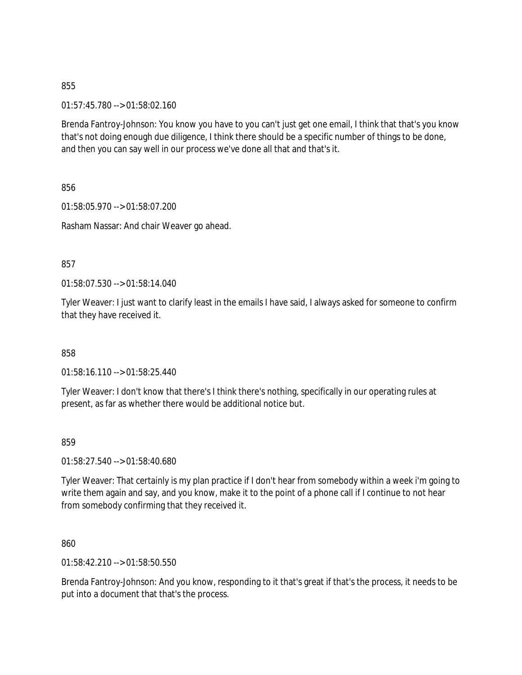01:57:45.780 --> 01:58:02.160

Brenda Fantroy-Johnson: You know you have to you can't just get one email, I think that that's you know that's not doing enough due diligence, I think there should be a specific number of things to be done, and then you can say well in our process we've done all that and that's it.

856

01:58:05.970 --> 01:58:07.200 Rasham Nassar: And chair Weaver go ahead.

857

01:58:07.530 --> 01:58:14.040

Tyler Weaver: I just want to clarify least in the emails I have said, I always asked for someone to confirm that they have received it.

858

01:58:16.110 --> 01:58:25.440

Tyler Weaver: I don't know that there's I think there's nothing, specifically in our operating rules at present, as far as whether there would be additional notice but.

859

01:58:27.540 --> 01:58:40.680

Tyler Weaver: That certainly is my plan practice if I don't hear from somebody within a week i'm going to write them again and say, and you know, make it to the point of a phone call if I continue to not hear from somebody confirming that they received it.

860

01:58:42.210 --> 01:58:50.550

Brenda Fantroy-Johnson: And you know, responding to it that's great if that's the process, it needs to be put into a document that that's the process.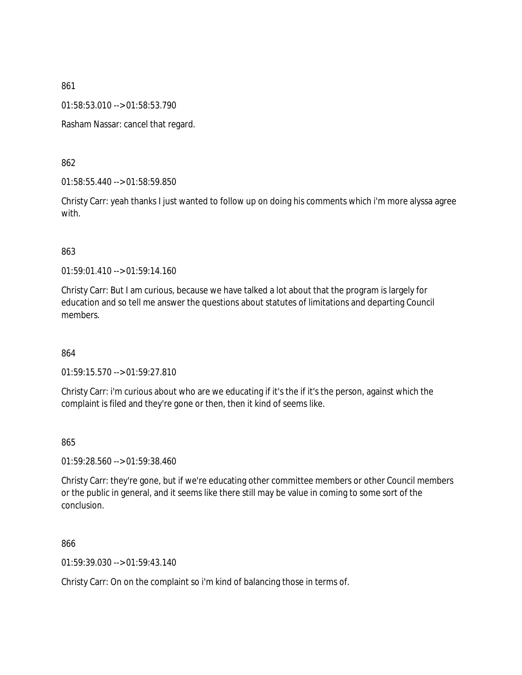01:58:53.010 --> 01:58:53.790

Rasham Nassar: cancel that regard.

862

01:58:55.440 --> 01:58:59.850

Christy Carr: yeah thanks I just wanted to follow up on doing his comments which i'm more alyssa agree with.

### 863

01:59:01.410 --> 01:59:14.160

Christy Carr: But I am curious, because we have talked a lot about that the program is largely for education and so tell me answer the questions about statutes of limitations and departing Council members.

864

01:59:15.570 --> 01:59:27.810

Christy Carr: i'm curious about who are we educating if it's the if it's the person, against which the complaint is filed and they're gone or then, then it kind of seems like.

865

01:59:28.560 --> 01:59:38.460

Christy Carr: they're gone, but if we're educating other committee members or other Council members or the public in general, and it seems like there still may be value in coming to some sort of the conclusion.

866

01:59:39.030 --> 01:59:43.140

Christy Carr: On on the complaint so i'm kind of balancing those in terms of.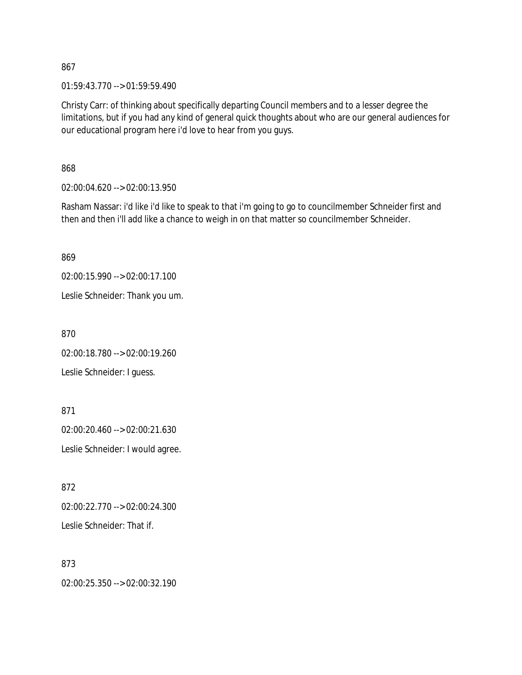01:59:43.770 --> 01:59:59.490

Christy Carr: of thinking about specifically departing Council members and to a lesser degree the limitations, but if you had any kind of general quick thoughts about who are our general audiences for our educational program here i'd love to hear from you guys.

868

02:00:04.620 --> 02:00:13.950

Rasham Nassar: i'd like i'd like to speak to that i'm going to go to councilmember Schneider first and then and then i'll add like a chance to weigh in on that matter so councilmember Schneider.

869

02:00:15.990 --> 02:00:17.100

Leslie Schneider: Thank you um.

870

02:00:18.780 --> 02:00:19.260

Leslie Schneider: I guess.

871

02:00:20.460 --> 02:00:21.630 Leslie Schneider: I would agree.

872 02:00:22.770 --> 02:00:24.300 Leslie Schneider: That if.

873

02:00:25.350 --> 02:00:32.190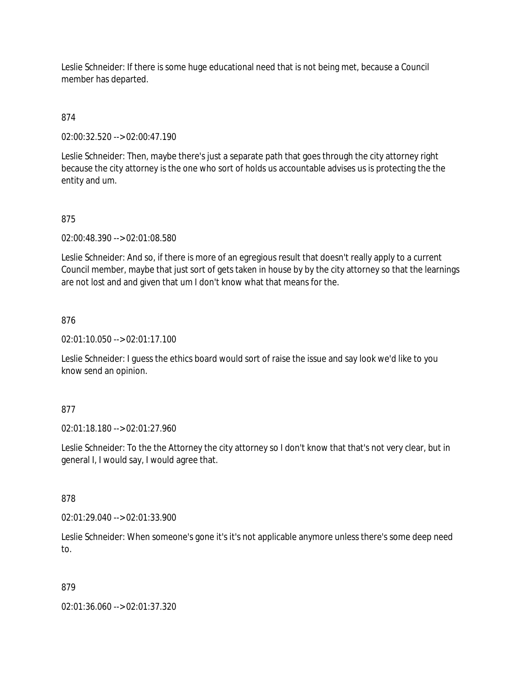Leslie Schneider: If there is some huge educational need that is not being met, because a Council member has departed.

## 874

02:00:32.520 --> 02:00:47.190

Leslie Schneider: Then, maybe there's just a separate path that goes through the city attorney right because the city attorney is the one who sort of holds us accountable advises us is protecting the the entity and um.

### 875

02:00:48.390 --> 02:01:08.580

Leslie Schneider: And so, if there is more of an egregious result that doesn't really apply to a current Council member, maybe that just sort of gets taken in house by by the city attorney so that the learnings are not lost and and given that um I don't know what that means for the.

### 876

02:01:10.050 --> 02:01:17.100

Leslie Schneider: I guess the ethics board would sort of raise the issue and say look we'd like to you know send an opinion.

### 877

02:01:18.180 --> 02:01:27.960

Leslie Schneider: To the the Attorney the city attorney so I don't know that that's not very clear, but in general I, I would say, I would agree that.

### 878

02:01:29.040 --> 02:01:33.900

Leslie Schneider: When someone's gone it's it's not applicable anymore unless there's some deep need to.

### 879

02:01:36.060 --> 02:01:37.320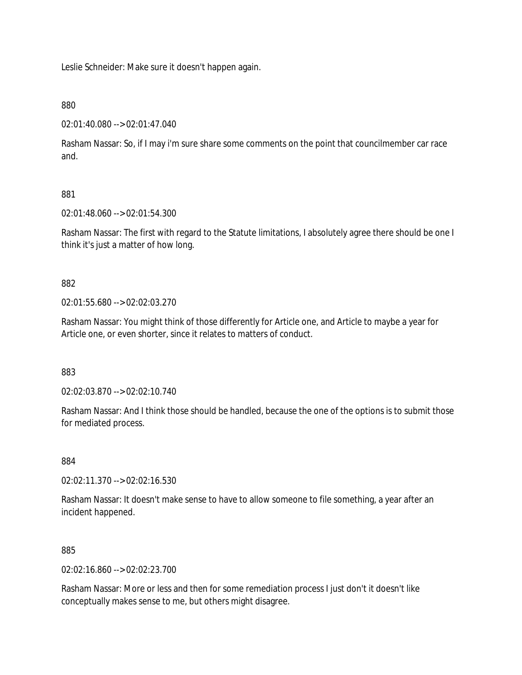Leslie Schneider: Make sure it doesn't happen again.

### 880

02:01:40.080 --> 02:01:47.040

Rasham Nassar: So, if I may i'm sure share some comments on the point that councilmember car race and.

## 881

02:01:48.060 --> 02:01:54.300

Rasham Nassar: The first with regard to the Statute limitations, I absolutely agree there should be one I think it's just a matter of how long.

### 882

02:01:55.680 --> 02:02:03.270

Rasham Nassar: You might think of those differently for Article one, and Article to maybe a year for Article one, or even shorter, since it relates to matters of conduct.

### 883

02:02:03.870 --> 02:02:10.740

Rasham Nassar: And I think those should be handled, because the one of the options is to submit those for mediated process.

### 884

02:02:11.370 --> 02:02:16.530

Rasham Nassar: It doesn't make sense to have to allow someone to file something, a year after an incident happened.

### 885

02:02:16.860 --> 02:02:23.700

Rasham Nassar: More or less and then for some remediation process I just don't it doesn't like conceptually makes sense to me, but others might disagree.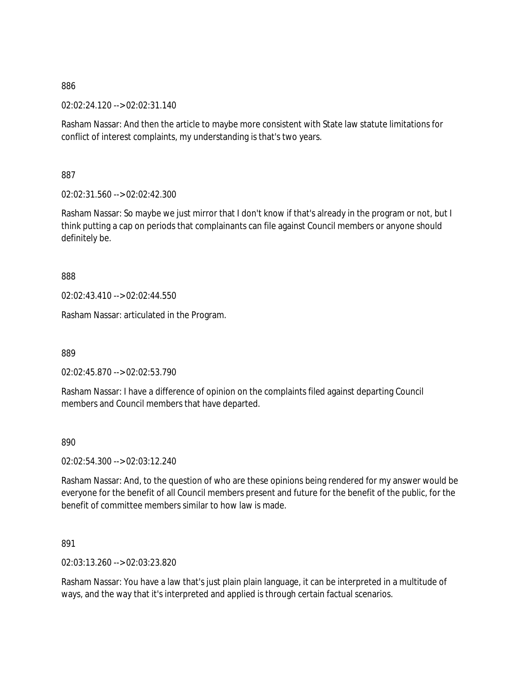02:02:24.120 --> 02:02:31.140

Rasham Nassar: And then the article to maybe more consistent with State law statute limitations for conflict of interest complaints, my understanding is that's two years.

887

02:02:31.560 --> 02:02:42.300

Rasham Nassar: So maybe we just mirror that I don't know if that's already in the program or not, but I think putting a cap on periods that complainants can file against Council members or anyone should definitely be.

888

02:02:43.410 --> 02:02:44.550

Rasham Nassar: articulated in the Program.

889

02:02:45.870 --> 02:02:53.790

Rasham Nassar: I have a difference of opinion on the complaints filed against departing Council members and Council members that have departed.

890

02:02:54.300 --> 02:03:12.240

Rasham Nassar: And, to the question of who are these opinions being rendered for my answer would be everyone for the benefit of all Council members present and future for the benefit of the public, for the benefit of committee members similar to how law is made.

891

02:03:13.260 --> 02:03:23.820

Rasham Nassar: You have a law that's just plain plain language, it can be interpreted in a multitude of ways, and the way that it's interpreted and applied is through certain factual scenarios.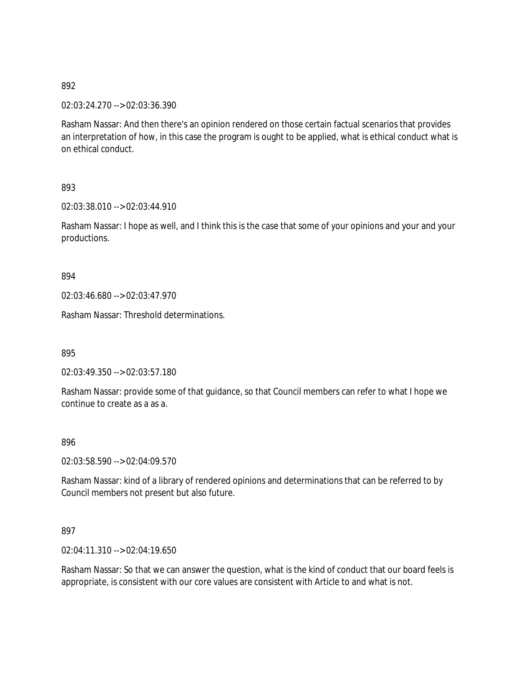02:03:24.270 --> 02:03:36.390

Rasham Nassar: And then there's an opinion rendered on those certain factual scenarios that provides an interpretation of how, in this case the program is ought to be applied, what is ethical conduct what is on ethical conduct.

893

02:03:38.010 --> 02:03:44.910

Rasham Nassar: I hope as well, and I think this is the case that some of your opinions and your and your productions.

894

02:03:46.680 --> 02:03:47.970

Rasham Nassar: Threshold determinations.

895

02:03:49.350 --> 02:03:57.180

Rasham Nassar: provide some of that guidance, so that Council members can refer to what I hope we continue to create as a as a.

896

02:03:58.590 --> 02:04:09.570

Rasham Nassar: kind of a library of rendered opinions and determinations that can be referred to by Council members not present but also future.

897

02:04:11.310 --> 02:04:19.650

Rasham Nassar: So that we can answer the question, what is the kind of conduct that our board feels is appropriate, is consistent with our core values are consistent with Article to and what is not.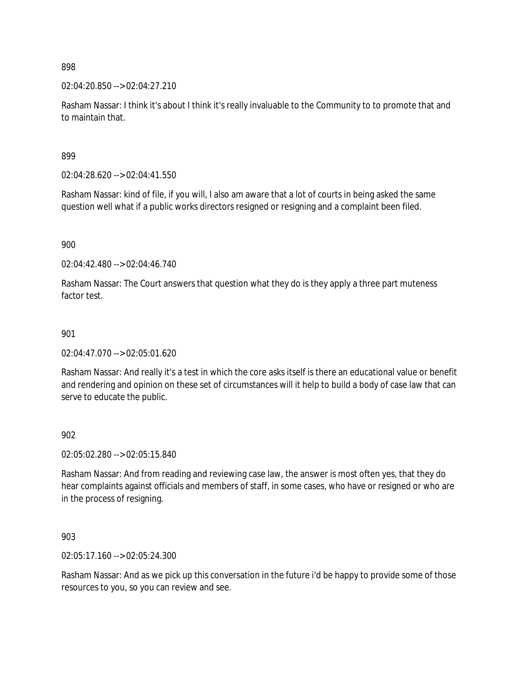02:04:20.850 --> 02:04:27.210

Rasham Nassar: I think it's about I think it's really invaluable to the Community to to promote that and to maintain that.

899

02:04:28.620 --> 02:04:41.550

Rasham Nassar: kind of file, if you will, I also am aware that a lot of courts in being asked the same question well what if a public works directors resigned or resigning and a complaint been filed.

900

02:04:42.480 --> 02:04:46.740

Rasham Nassar: The Court answers that question what they do is they apply a three part muteness factor test.

#### 901

02:04:47.070 --> 02:05:01.620

Rasham Nassar: And really it's a test in which the core asks itself is there an educational value or benefit and rendering and opinion on these set of circumstances will it help to build a body of case law that can serve to educate the public.

#### 902

02:05:02.280 --> 02:05:15.840

Rasham Nassar: And from reading and reviewing case law, the answer is most often yes, that they do hear complaints against officials and members of staff, in some cases, who have or resigned or who are in the process of resigning.

903

02:05:17.160 --> 02:05:24.300

Rasham Nassar: And as we pick up this conversation in the future i'd be happy to provide some of those resources to you, so you can review and see.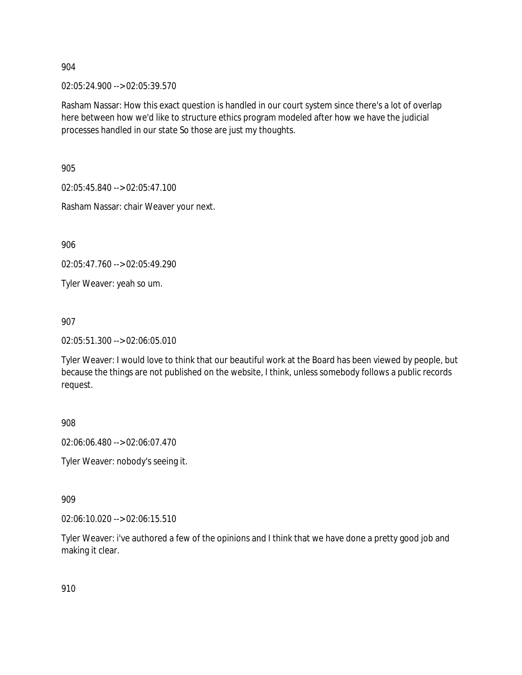02:05:24.900 --> 02:05:39.570

Rasham Nassar: How this exact question is handled in our court system since there's a lot of overlap here between how we'd like to structure ethics program modeled after how we have the judicial processes handled in our state So those are just my thoughts.

905

02:05:45.840 --> 02:05:47.100

Rasham Nassar: chair Weaver your next.

906

02:05:47.760 --> 02:05:49.290

Tyler Weaver: yeah so um.

907

02:05:51.300 --> 02:06:05.010

Tyler Weaver: I would love to think that our beautiful work at the Board has been viewed by people, but because the things are not published on the website, I think, unless somebody follows a public records request.

908

02:06:06.480 --> 02:06:07.470

Tyler Weaver: nobody's seeing it.

909

02:06:10.020 --> 02:06:15.510

Tyler Weaver: i've authored a few of the opinions and I think that we have done a pretty good job and making it clear.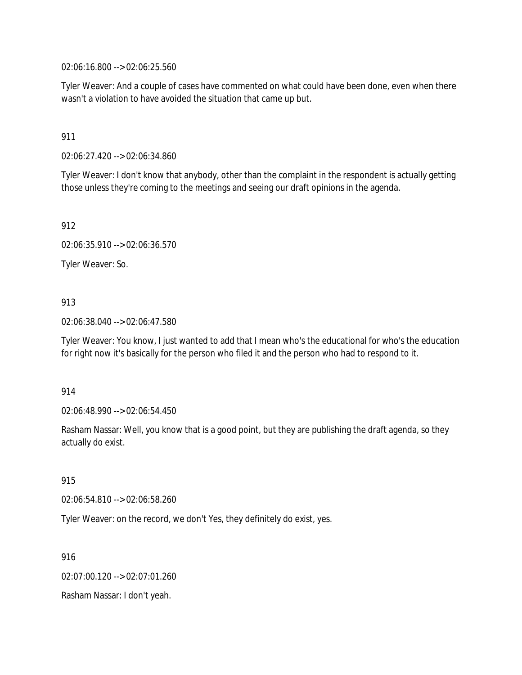02:06:16.800 --> 02:06:25.560

Tyler Weaver: And a couple of cases have commented on what could have been done, even when there wasn't a violation to have avoided the situation that came up but.

## 911

02:06:27.420 --> 02:06:34.860

Tyler Weaver: I don't know that anybody, other than the complaint in the respondent is actually getting those unless they're coming to the meetings and seeing our draft opinions in the agenda.

912

02:06:35.910 --> 02:06:36.570

Tyler Weaver: So.

# 913

02:06:38.040 --> 02:06:47.580

Tyler Weaver: You know, I just wanted to add that I mean who's the educational for who's the education for right now it's basically for the person who filed it and the person who had to respond to it.

## 914

02:06:48.990 --> 02:06:54.450

Rasham Nassar: Well, you know that is a good point, but they are publishing the draft agenda, so they actually do exist.

## 915

02:06:54.810 --> 02:06:58.260

Tyler Weaver: on the record, we don't Yes, they definitely do exist, yes.

916

02:07:00.120 --> 02:07:01.260

Rasham Nassar: I don't yeah.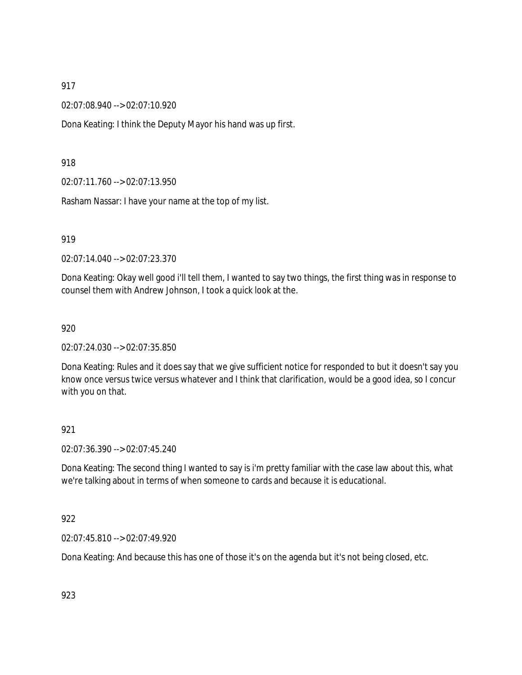02:07:08.940 --> 02:07:10.920

Dona Keating: I think the Deputy Mayor his hand was up first.

918

02:07:11.760 --> 02:07:13.950

Rasham Nassar: I have your name at the top of my list.

919

02:07:14.040 --> 02:07:23.370

Dona Keating: Okay well good i'll tell them, I wanted to say two things, the first thing was in response to counsel them with Andrew Johnson, I took a quick look at the.

920

02:07:24.030 --> 02:07:35.850

Dona Keating: Rules and it does say that we give sufficient notice for responded to but it doesn't say you know once versus twice versus whatever and I think that clarification, would be a good idea, so I concur with you on that.

## 921

02:07:36.390 --> 02:07:45.240

Dona Keating: The second thing I wanted to say is i'm pretty familiar with the case law about this, what we're talking about in terms of when someone to cards and because it is educational.

922

02:07:45.810 --> 02:07:49.920

Dona Keating: And because this has one of those it's on the agenda but it's not being closed, etc.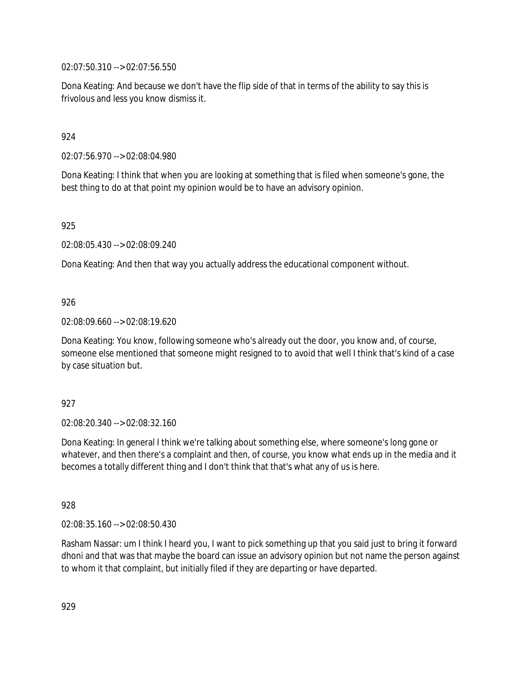02:07:50.310 --> 02:07:56.550

Dona Keating: And because we don't have the flip side of that in terms of the ability to say this is frivolous and less you know dismiss it.

# 924

02:07:56.970 --> 02:08:04.980

Dona Keating: I think that when you are looking at something that is filed when someone's gone, the best thing to do at that point my opinion would be to have an advisory opinion.

925

02:08:05.430 --> 02:08:09.240

Dona Keating: And then that way you actually address the educational component without.

## 926

02:08:09.660 --> 02:08:19.620

Dona Keating: You know, following someone who's already out the door, you know and, of course, someone else mentioned that someone might resigned to to avoid that well I think that's kind of a case by case situation but.

## 927

02:08:20.340 --> 02:08:32.160

Dona Keating: In general I think we're talking about something else, where someone's long gone or whatever, and then there's a complaint and then, of course, you know what ends up in the media and it becomes a totally different thing and I don't think that that's what any of us is here.

928

02:08:35.160 --> 02:08:50.430

Rasham Nassar: um I think I heard you, I want to pick something up that you said just to bring it forward dhoni and that was that maybe the board can issue an advisory opinion but not name the person against to whom it that complaint, but initially filed if they are departing or have departed.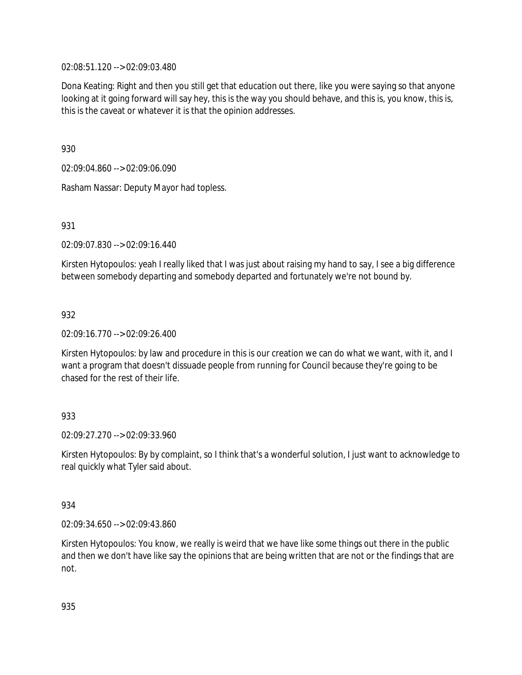02:08:51.120 --> 02:09:03.480

Dona Keating: Right and then you still get that education out there, like you were saying so that anyone looking at it going forward will say hey, this is the way you should behave, and this is, you know, this is, this is the caveat or whatever it is that the opinion addresses.

930

02:09:04.860 --> 02:09:06.090

Rasham Nassar: Deputy Mayor had topless.

931

02:09:07.830 --> 02:09:16.440

Kirsten Hytopoulos: yeah I really liked that I was just about raising my hand to say, I see a big difference between somebody departing and somebody departed and fortunately we're not bound by.

# 932

02:09:16.770 --> 02:09:26.400

Kirsten Hytopoulos: by law and procedure in this is our creation we can do what we want, with it, and I want a program that doesn't dissuade people from running for Council because they're going to be chased for the rest of their life.

# 933

02:09:27.270 --> 02:09:33.960

Kirsten Hytopoulos: By by complaint, so I think that's a wonderful solution, I just want to acknowledge to real quickly what Tyler said about.

## 934

02:09:34.650 --> 02:09:43.860

Kirsten Hytopoulos: You know, we really is weird that we have like some things out there in the public and then we don't have like say the opinions that are being written that are not or the findings that are not.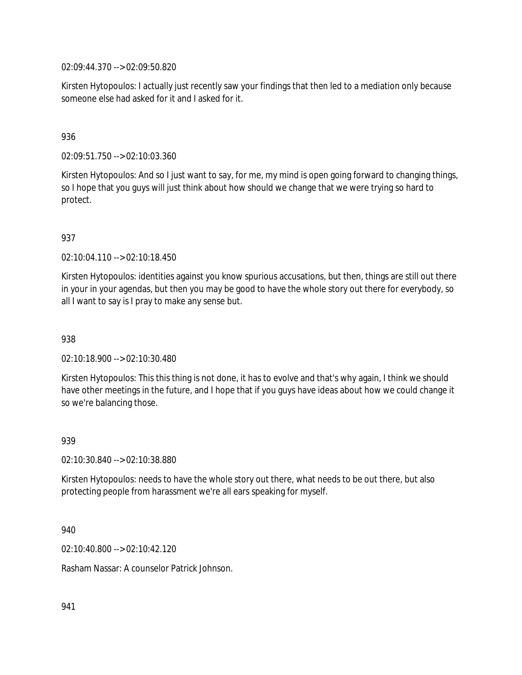02:09:44.370 --> 02:09:50.820

Kirsten Hytopoulos: I actually just recently saw your findings that then led to a mediation only because someone else had asked for it and I asked for it.

## 936

02:09:51.750 --> 02:10:03.360

Kirsten Hytopoulos: And so I just want to say, for me, my mind is open going forward to changing things, so I hope that you guys will just think about how should we change that we were trying so hard to protect.

## 937

02:10:04.110 --> 02:10:18.450

Kirsten Hytopoulos: identities against you know spurious accusations, but then, things are still out there in your in your agendas, but then you may be good to have the whole story out there for everybody, so all I want to say is I pray to make any sense but.

## 938

02:10:18.900 --> 02:10:30.480

Kirsten Hytopoulos: This this thing is not done, it has to evolve and that's why again, I think we should have other meetings in the future, and I hope that if you guys have ideas about how we could change it so we're balancing those.

### 939

02:10:30.840 --> 02:10:38.880

Kirsten Hytopoulos: needs to have the whole story out there, what needs to be out there, but also protecting people from harassment we're all ears speaking for myself.

940

02:10:40.800 --> 02:10:42.120

Rasham Nassar: A counselor Patrick Johnson.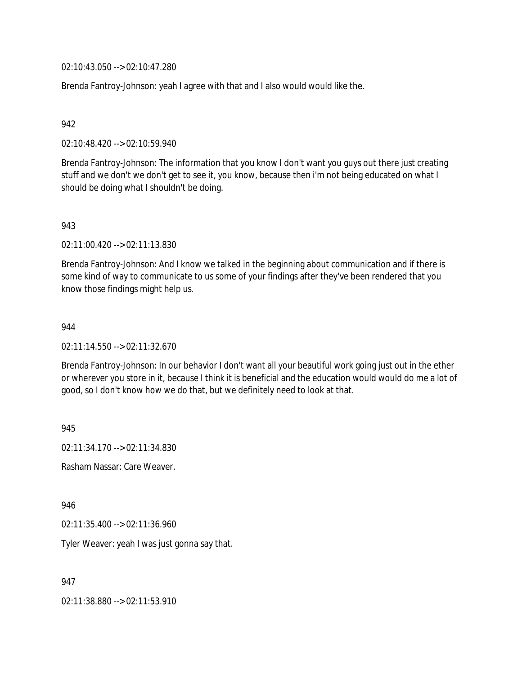02:10:43.050 --> 02:10:47.280

Brenda Fantroy-Johnson: yeah I agree with that and I also would would like the.

### 942

02:10:48.420 --> 02:10:59.940

Brenda Fantroy-Johnson: The information that you know I don't want you guys out there just creating stuff and we don't we don't get to see it, you know, because then i'm not being educated on what I should be doing what I shouldn't be doing.

### 943

02:11:00.420 --> 02:11:13.830

Brenda Fantroy-Johnson: And I know we talked in the beginning about communication and if there is some kind of way to communicate to us some of your findings after they've been rendered that you know those findings might help us.

### 944

02:11:14.550 --> 02:11:32.670

Brenda Fantroy-Johnson: In our behavior I don't want all your beautiful work going just out in the ether or wherever you store in it, because I think it is beneficial and the education would would do me a lot of good, so I don't know how we do that, but we definitely need to look at that.

945

02:11:34.170 --> 02:11:34.830

Rasham Nassar: Care Weaver.

946

02:11:35.400 --> 02:11:36.960

Tyler Weaver: yeah I was just gonna say that.

947

02:11:38.880 --> 02:11:53.910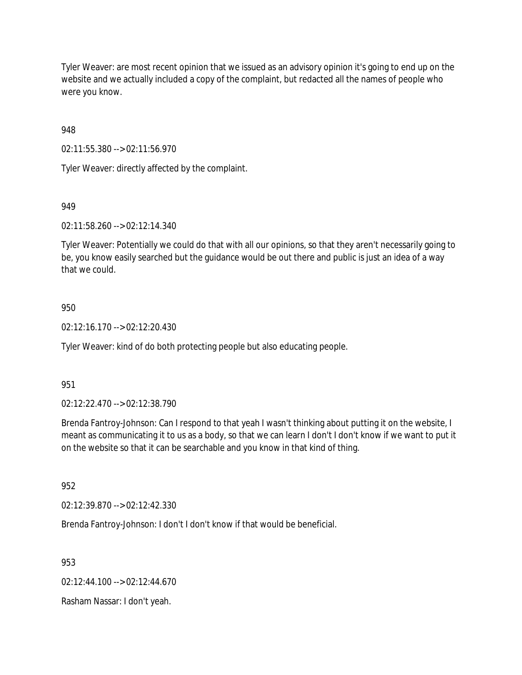Tyler Weaver: are most recent opinion that we issued as an advisory opinion it's going to end up on the website and we actually included a copy of the complaint, but redacted all the names of people who were you know.

948

02:11:55.380 --> 02:11:56.970

Tyler Weaver: directly affected by the complaint.

# 949

02:11:58.260 --> 02:12:14.340

Tyler Weaver: Potentially we could do that with all our opinions, so that they aren't necessarily going to be, you know easily searched but the guidance would be out there and public is just an idea of a way that we could.

# 950

02:12:16.170 --> 02:12:20.430

Tyler Weaver: kind of do both protecting people but also educating people.

## 951

02:12:22.470 --> 02:12:38.790

Brenda Fantroy-Johnson: Can I respond to that yeah I wasn't thinking about putting it on the website, I meant as communicating it to us as a body, so that we can learn I don't I don't know if we want to put it on the website so that it can be searchable and you know in that kind of thing.

## 952

02:12:39.870 --> 02:12:42.330

Brenda Fantroy-Johnson: I don't I don't know if that would be beneficial.

953

02:12:44.100 --> 02:12:44.670

Rasham Nassar: I don't yeah.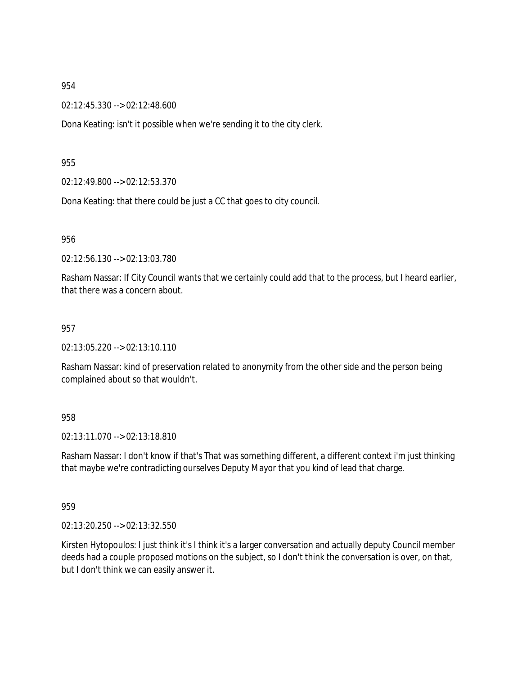02:12:45.330 --> 02:12:48.600

Dona Keating: isn't it possible when we're sending it to the city clerk.

### 955

02:12:49.800 --> 02:12:53.370

Dona Keating: that there could be just a CC that goes to city council.

956

02:12:56.130 --> 02:13:03.780

Rasham Nassar: If City Council wants that we certainly could add that to the process, but I heard earlier, that there was a concern about.

### 957

02:13:05.220 --> 02:13:10.110

Rasham Nassar: kind of preservation related to anonymity from the other side and the person being complained about so that wouldn't.

## 958

02:13:11.070 --> 02:13:18.810

Rasham Nassar: I don't know if that's That was something different, a different context i'm just thinking that maybe we're contradicting ourselves Deputy Mayor that you kind of lead that charge.

### 959

02:13:20.250 --> 02:13:32.550

Kirsten Hytopoulos: I just think it's I think it's a larger conversation and actually deputy Council member deeds had a couple proposed motions on the subject, so I don't think the conversation is over, on that, but I don't think we can easily answer it.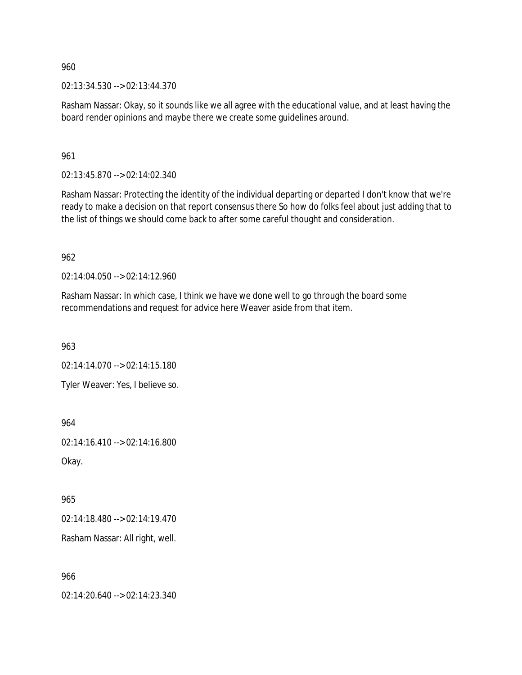02:13:34.530 --> 02:13:44.370

Rasham Nassar: Okay, so it sounds like we all agree with the educational value, and at least having the board render opinions and maybe there we create some guidelines around.

961

02:13:45.870 --> 02:14:02.340

Rasham Nassar: Protecting the identity of the individual departing or departed I don't know that we're ready to make a decision on that report consensus there So how do folks feel about just adding that to the list of things we should come back to after some careful thought and consideration.

962

02:14:04.050 --> 02:14:12.960

Rasham Nassar: In which case, I think we have we done well to go through the board some recommendations and request for advice here Weaver aside from that item.

963

02:14:14.070 --> 02:14:15.180

Tyler Weaver: Yes, I believe so.

964

02:14:16.410 --> 02:14:16.800

Okay.

965

02:14:18.480 --> 02:14:19.470

Rasham Nassar: All right, well.

966

02:14:20.640 --> 02:14:23.340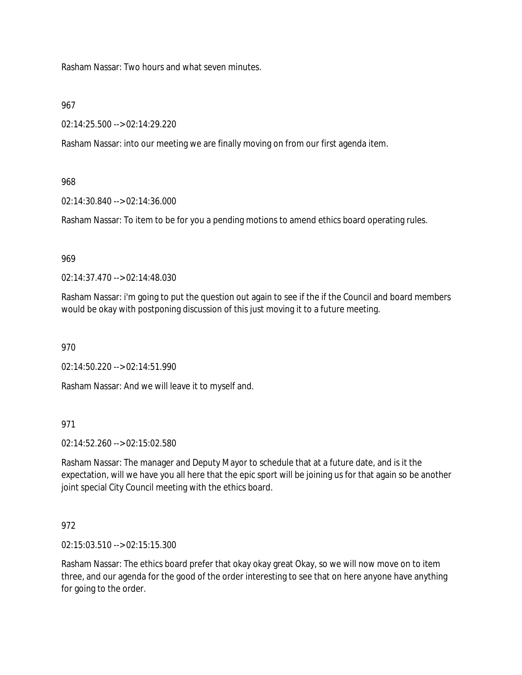Rasham Nassar: Two hours and what seven minutes.

## 967

02:14:25.500 --> 02:14:29.220

Rasham Nassar: into our meeting we are finally moving on from our first agenda item.

# 968

02:14:30.840 --> 02:14:36.000

Rasham Nassar: To item to be for you a pending motions to amend ethics board operating rules.

# 969

02:14:37.470 --> 02:14:48.030

Rasham Nassar: i'm going to put the question out again to see if the if the Council and board members would be okay with postponing discussion of this just moving it to a future meeting.

970

02:14:50.220 --> 02:14:51.990

Rasham Nassar: And we will leave it to myself and.

# 971

02:14:52.260 --> 02:15:02.580

Rasham Nassar: The manager and Deputy Mayor to schedule that at a future date, and is it the expectation, will we have you all here that the epic sport will be joining us for that again so be another joint special City Council meeting with the ethics board.

# 972

02:15:03.510 --> 02:15:15.300

Rasham Nassar: The ethics board prefer that okay okay great Okay, so we will now move on to item three, and our agenda for the good of the order interesting to see that on here anyone have anything for going to the order.